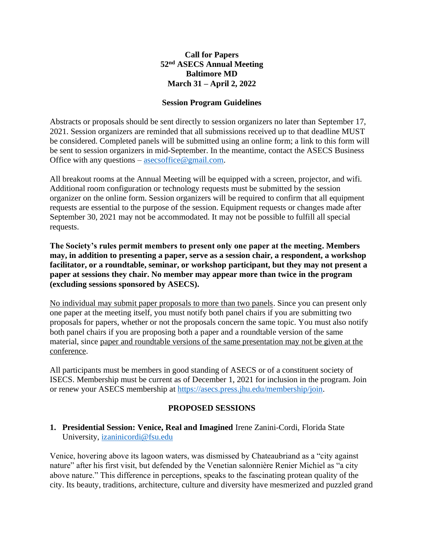### **Call for Papers 52 nd ASECS Annual Meeting Baltimore MD March 31 – April 2, 2022**

#### **Session Program Guidelines**

Abstracts or proposals should be sent directly to session organizers no later than September 17, 2021. Session organizers are reminded that all submissions received up to that deadline MUST be considered. Completed panels will be submitted using an online form; a link to this form will be sent to session organizers in mid-September. In the meantime, contact the ASECS Business Office with any questions – asecsoffice @gmail.com.

All breakout rooms at the Annual Meeting will be equipped with a screen, projector, and wifi. Additional room configuration or technology requests must be submitted by the session organizer on the online form. Session organizers will be required to confirm that all equipment requests are essential to the purpose of the session. Equipment requests or changes made after September 30, 2021 may not be accommodated. It may not be possible to fulfill all special requests.

**The Society's rules permit members to present only one paper at the meeting. Members may, in addition to presenting a paper, serve as a session chair, a respondent, a workshop facilitator, or a roundtable, seminar, or workshop participant, but they may not present a paper at sessions they chair. No member may appear more than twice in the program (excluding sessions sponsored by ASECS).**

No individual may submit paper proposals to more than two panels. Since you can present only one paper at the meeting itself, you must notify both panel chairs if you are submitting two proposals for papers, whether or not the proposals concern the same topic. You must also notify both panel chairs if you are proposing both a paper and a roundtable version of the same material, since paper and roundtable versions of the same presentation may not be given at the conference.

All participants must be members in good standing of ASECS or of a constituent society of ISECS. Membership must be current as of December 1, 2021 for inclusion in the program. Join or renew your ASECS membership at [https://asecs.press.jhu.edu/membership/join.](https://asecs.press.jhu.edu/membership/join)

#### **PROPOSED SESSIONS**

### **1. Presidential Session: Venice, Real and Imagined** Irene Zanini-Cordi, Florida State University, [izaninicordi@fsu.edu](mailto:izaninicordi@fsu.edu)

Venice, hovering above its lagoon waters, was dismissed by Chateaubriand as a "city against nature" after his first visit, but defended by the Venetian salonnière Renier Michiel as "a city above nature." This difference in perceptions, speaks to the fascinating protean quality of the city. Its beauty, traditions, architecture, culture and diversity have mesmerized and puzzled grand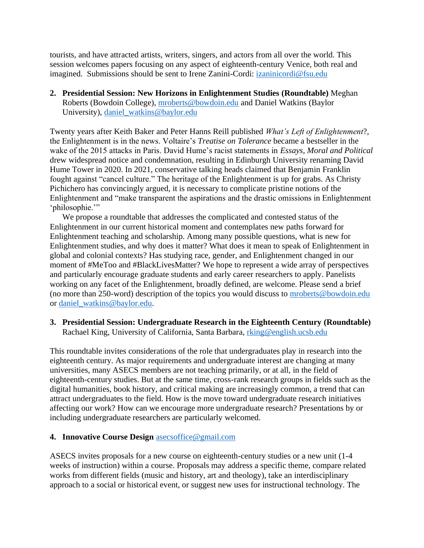tourists, and have attracted artists, writers, singers, and actors from all over the world. This session welcomes papers focusing on any aspect of eighteenth-century Venice, both real and imagined. Submissions should be sent to Irene Zanini-Cordi: [izaninicordi@fsu.edu](mailto:izaninicordi@fsu.edu)

**2. Presidential Session: New Horizons in Enlightenment Studies (Roundtable)** Meghan Roberts (Bowdoin College), [mroberts@bowdoin.edu](mailto:mroberts@bowdoin.edu) and Daniel Watkins (Baylor University), [daniel\\_watkins@baylor.edu](mailto:daniel_watkins@baylor.edu)

Twenty years after Keith Baker and Peter Hanns Reill published *What's Left of Enlightenment*?, the Enlightenment is in the news. Voltaire's *Treatise on Tolerance* became a bestseller in the wake of the 2015 attacks in Paris. David Hume's racist statements in *Essays, Moral and Political* drew widespread notice and condemnation, resulting in Edinburgh University renaming David Hume Tower in 2020. In 2021, conservative talking heads claimed that Benjamin Franklin fought against "cancel culture." The heritage of the Enlightenment is up for grabs. As Christy Pichichero has convincingly argued, it is necessary to complicate pristine notions of the Enlightenment and "make transparent the aspirations and the drastic omissions in Enlightenment 'philosophie."

We propose a roundtable that addresses the complicated and contested status of the Enlightenment in our current historical moment and contemplates new paths forward for Enlightenment teaching and scholarship. Among many possible questions, what is new for Enlightenment studies, and why does it matter? What does it mean to speak of Enlightenment in global and colonial contexts? Has studying race, gender, and Enlightenment changed in our moment of #MeToo and #BlackLivesMatter? We hope to represent a wide array of perspectives and particularly encourage graduate students and early career researchers to apply. Panelists working on any facet of the Enlightenment, broadly defined, are welcome. Please send a brief (no more than 250-word) description of the topics you would discuss to [mroberts@bowdoin.edu](mailto:mroberts@bowdoin.edu) or [daniel\\_watkins@baylor.edu.](mailto:daniel_watkins@baylor.edu)

**3. Presidential Session: Undergraduate Research in the Eighteenth Century (Roundtable)**  Rachael King, University of California, Santa Barbara, [rking@english.ucsb.edu](mailto:rking@english.ucsb.edu)

This roundtable invites considerations of the role that undergraduates play in research into the eighteenth century. As major requirements and undergraduate interest are changing at many universities, many ASECS members are not teaching primarily, or at all, in the field of eighteenth-century studies. But at the same time, cross-rank research groups in fields such as the digital humanities, book history, and critical making are increasingly common, a trend that can attract undergraduates to the field. How is the move toward undergraduate research initiatives affecting our work? How can we encourage more undergraduate research? Presentations by or including undergraduate researchers are particularly welcomed.

#### **4. Innovative Course Design** [asecsoffice@gmail.com](mailto:asecsoffice@gmail.com)

ASECS invites proposals for a new course on eighteenth-century studies or a new unit (1-4 weeks of instruction) within a course. Proposals may address a specific theme, compare related works from different fields (music and history, art and theology), take an interdisciplinary approach to a social or historical event, or suggest new uses for instructional technology. The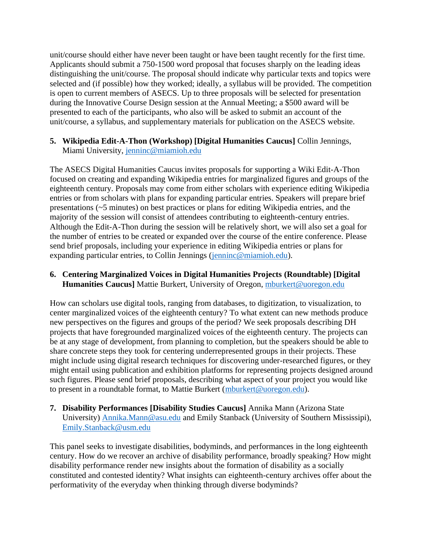unit/course should either have never been taught or have been taught recently for the first time. Applicants should submit a 750-1500 word proposal that focuses sharply on the leading ideas distinguishing the unit/course. The proposal should indicate why particular texts and topics were selected and (if possible) how they worked; ideally, a syllabus will be provided. The competition is open to current members of ASECS. Up to three proposals will be selected for presentation during the Innovative Course Design session at the Annual Meeting; a \$500 award will be presented to each of the participants, who also will be asked to submit an account of the unit/course, a syllabus, and supplementary materials for publication on the ASECS website.

### **5. Wikipedia Edit-A-Thon (Workshop) [Digital Humanities Caucus]** Collin Jennings, Miami University, [jenninc@miamioh.edu](mailto:jenninc@miamioh.edu)

The ASECS Digital Humanities Caucus invites proposals for supporting a Wiki Edit-A-Thon focused on creating and expanding Wikipedia entries for marginalized figures and groups of the eighteenth century. Proposals may come from either scholars with experience editing Wikipedia entries or from scholars with plans for expanding particular entries. Speakers will prepare brief presentations (~5 minutes) on best practices or plans for editing Wikipedia entries, and the majority of the session will consist of attendees contributing to eighteenth-century entries. Although the Edit-A-Thon during the session will be relatively short, we will also set a goal for the number of entries to be created or expanded over the course of the entire conference. Please send brief proposals, including your experience in editing Wikipedia entries or plans for expanding particular entries, to Collin Jennings (jenning @miamioh.edu).

# **6. Centering Marginalized Voices in Digital Humanities Projects (Roundtable) [Digital Humanities Caucus**] Mattie Burkert, University of Oregon, [mburkert@uoregon.edu](mailto:mburkert@uoregon.edu)

How can scholars use digital tools, ranging from databases, to digitization, to visualization, to center marginalized voices of the eighteenth century? To what extent can new methods produce new perspectives on the figures and groups of the period? We seek proposals describing DH projects that have foregrounded marginalized voices of the eighteenth century. The projects can be at any stage of development, from planning to completion, but the speakers should be able to share concrete steps they took for centering underrepresented groups in their projects. These might include using digital research techniques for discovering under-researched figures, or they might entail using publication and exhibition platforms for representing projects designed around such figures. Please send brief proposals, describing what aspect of your project you would like to present in a roundtable format, to Mattie Burkert [\(mburkert@uoregon.edu\)](mailto:mburkert@uoregon.edu).

### **7. Disability Performances [Disability Studies Caucus]** Annika Mann (Arizona State University) [Annika.Mann@asu.edu](mailto:Annika.Mann@asu.edu) and Emily Stanback (University of Southern Mississipi), [Emily.Stanback@usm.edu](mailto:Emily.Stanback@usm.edu)

This panel seeks to investigate disabilities, bodyminds, and performances in the long eighteenth century. How do we recover an archive of disability performance, broadly speaking? How might disability performance render new insights about the formation of disability as a socially constituted and contested identity? What insights can eighteenth-century archives offer about the performativity of the everyday when thinking through diverse bodyminds?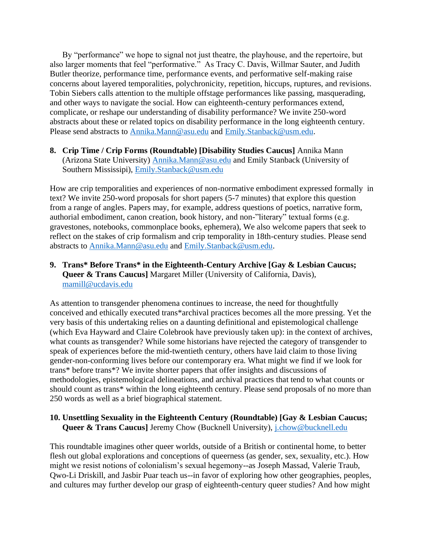By "performance" we hope to signal not just theatre, the playhouse, and the repertoire, but also larger moments that feel "performative." As Tracy C. Davis, Willmar Sauter, and Judith Butler theorize, performance time, performance events, and performative self-making raise concerns about layered temporalities, polychronicity, repetition, hiccups, ruptures, and revisions. Tobin Siebers calls attention to the multiple offstage performances like passing, masquerading, and other ways to navigate the social. How can eighteenth-century performances extend, complicate, or reshape our understanding of disability performance? We invite 250-word abstracts about these or related topics on disability performance in the long eighteenth century. Please send abstracts to [Annika.Mann@asu.edu](mailto:Annika.Mann@asu.edu) and [Emily.Stanback@usm.edu.](mailto:Emily.Stanback@usm.edu)

# **8. Crip Time / Crip Forms (Roundtable) [Disability Studies Caucus]** Annika Mann (Arizona State University) [Annika.Mann@asu.edu](mailto:Annika.Mann@asu.edu) and Emily Stanback (University of Southern Mississipi), [Emily.Stanback@usm.edu](mailto:Emily.Stanback@usm.edu)

How are crip temporalities and experiences of non-normative embodiment expressed formally in text? We invite 250-word proposals for short papers (5-7 minutes) that explore this question from a range of angles. Papers may, for example, address questions of poetics, narrative form, authorial embodiment, canon creation, book history, and non-"literary" textual forms (e.g. gravestones, notebooks, commonplace books, ephemera), We also welcome papers that seek to reflect on the stakes of crip formalism and crip temporality in 18th-century studies. Please send abstracts to [Annika.Mann@asu.edu](mailto:Annika.Mann@asu.edu) and [Emily.Stanback@usm.edu.](mailto:Emily.Stanback@usm.edu)

**9. Trans\* Before Trans\* in the Eighteenth-Century Archive [Gay & Lesbian Caucus; Queer & Trans Caucus**] Margaret Miller (University of California, Davis), [mamill@ucdavis.edu](mailto:mamill@ucdavis.edu)

As attention to transgender phenomena continues to increase, the need for thoughtfully conceived and ethically executed trans\*archival practices becomes all the more pressing. Yet the very basis of this undertaking relies on a daunting definitional and epistemological challenge (which Eva Hayward and Claire Colebrook have previously taken up): in the context of archives, what counts as transgender? While some historians have rejected the category of transgender to speak of experiences before the mid-twentieth century, others have laid claim to those living gender-non-conforming lives before our contemporary era. What might we find if we look for trans\* before trans\*? We invite shorter papers that offer insights and discussions of methodologies, epistemological delineations, and archival practices that tend to what counts or should count as trans\* within the long eighteenth century. Please send proposals of no more than 250 words as well as a brief biographical statement.

# **10. Unsettling Sexuality in the Eighteenth Century (Roundtable) [Gay & Lesbian Caucus; Queer & Trans Caucus**] Jeremy Chow (Bucknell University), *j.chow@bucknell.edu*

This roundtable imagines other queer worlds, outside of a British or continental home, to better flesh out global explorations and conceptions of queerness (as gender, sex, sexuality, etc.). How might we resist notions of colonialism's sexual hegemony--as Joseph Massad, Valerie Traub, Qwo-Li Driskill, and Jasbir Puar teach us--in favor of exploring how other geographies, peoples, and cultures may further develop our grasp of eighteenth-century queer studies? And how might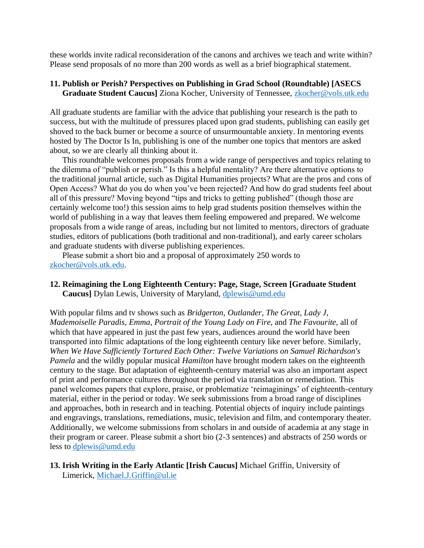these worlds invite radical reconsideration of the canons and archives we teach and write within? Please send proposals of no more than 200 words as well as a brief biographical statement.

#### **11. Publish or Perish? Perspectives on Publishing in Grad School (Roundtable) [ASECS Graduate Student Caucus]** Ziona Kocher, University of Tennessee, [zkocher@vols.utk.edu](mailto:zkocher@vols.utk.edu)

All graduate students are familiar with the advice that publishing your research is the path to success, but with the multitude of pressures placed upon grad students, publishing can easily get shoved to the back burner or become a source of unsurmountable anxiety. In mentoring events hosted by The Doctor Is In, publishing is one of the number one topics that mentors are asked about, so we are clearly all thinking about it.

This roundtable welcomes proposals from a wide range of perspectives and topics relating to the dilemma of "publish or perish." Is this a helpful mentality? Are there alternative options to the traditional journal article, such as Digital Humanities projects? What are the pros and cons of Open Access? What do you do when you've been rejected? And how do grad students feel about all of this pressure? Moving beyond "tips and tricks to getting published" (though those are certainly welcome too!) this session aims to help grad students position themselves within the world of publishing in a way that leaves them feeling empowered and prepared. We welcome proposals from a wide range of areas, including but not limited to mentors, directors of graduate studies, editors of publications (both traditional and non-traditional), and early career scholars and graduate students with diverse publishing experiences.

Please submit a short bio and a proposal of approximately 250 words to [zkocher@vols.utk.edu.](mailto:zkocher@vols.utk.edu)

#### **12. Reimagining the Long Eighteenth Century: Page, Stage, Screen [Graduate Student Caucus]** Dylan Lewis, University of Maryland, [dplewis@umd.edu](mailto:dplewis@umd.edu)

With popular films and tv shows such as *Bridgerton*, *Outlander*, *The Great, Lady J*, *Mademoiselle Paradis*, *Emma*, *Portrait of the Young Lady on Fire*, and *The Favourite*, all of which that have appeared in just the past few years, audiences around the world have been transported into filmic adaptations of the long eighteenth century like never before. Similarly, *When We Have Sufficiently Tortured Each Other: Twelve Variations on Samuel Richardson's Pamela* and the wildly popular musical *Hamilton* have brought modern takes on the eighteenth century to the stage. But adaptation of eighteenth-century material was also an important aspect of print and performance cultures throughout the period via translation or remediation. This panel welcomes papers that explore, praise, or problematize 'reimaginings' of eighteenth-century material, either in the period or today. We seek submissions from a broad range of disciplines and approaches, both in research and in teaching. Potential objects of inquiry include paintings and engravings, translations, remediations, music, television and film, and contemporary theater. Additionally, we welcome submissions from scholars in and outside of academia at any stage in their program or career. Please submit a short bio (2-3 sentences) and abstracts of 250 words or less to [dplewis@umd.edu](mailto:dplewis@umd.edu)

**13. Irish Writing in the Early Atlantic [Irish Caucus]** Michael Griffin, University of Limerick, [Michael.J.Griffin@ul.ie](mailto:Michael.J.Griffin@ul.ie)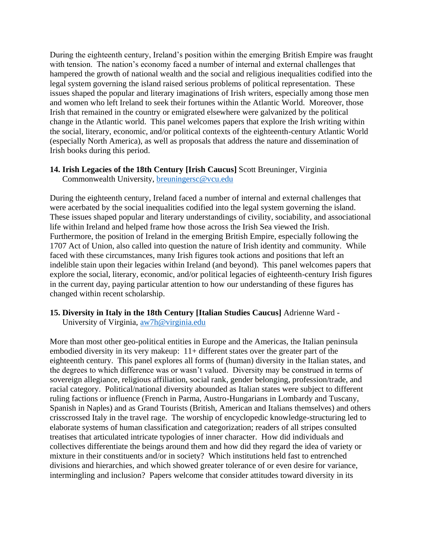During the eighteenth century, Ireland's position within the emerging British Empire was fraught with tension. The nation's economy faced a number of internal and external challenges that hampered the growth of national wealth and the social and religious inequalities codified into the legal system governing the island raised serious problems of political representation. These issues shaped the popular and literary imaginations of Irish writers, especially among those men and women who left Ireland to seek their fortunes within the Atlantic World. Moreover, those Irish that remained in the country or emigrated elsewhere were galvanized by the political change in the Atlantic world. This panel welcomes papers that explore the Irish writing within the social, literary, economic, and/or political contexts of the eighteenth-century Atlantic World (especially North America), as well as proposals that address the nature and dissemination of Irish books during this period.

# **14. Irish Legacies of the 18th Century [Irish Caucus]** Scott Breuninger, Virginia

Commonwealth University, [breuningersc@vcu.edu](mailto:breuningersc@vcu.edu)

During the eighteenth century, Ireland faced a number of internal and external challenges that were acerbated by the social inequalities codified into the legal system governing the island. These issues shaped popular and literary understandings of civility, sociability, and associational life within Ireland and helped frame how those across the Irish Sea viewed the Irish. Furthermore, the position of Ireland in the emerging British Empire, especially following the 1707 Act of Union, also called into question the nature of Irish identity and community. While faced with these circumstances, many Irish figures took actions and positions that left an indelible stain upon their legacies within Ireland (and beyond). This panel welcomes papers that explore the social, literary, economic, and/or political legacies of eighteenth-century Irish figures in the current day, paying particular attention to how our understanding of these figures has changed within recent scholarship.

# **15. Diversity in Italy in the 18th Century [Italian Studies Caucus]** Adrienne Ward -

University of Virginia, [aw7h@virginia.edu](mailto:aw7h@virginia.edu)

More than most other geo-political entities in Europe and the Americas, the Italian peninsula embodied diversity in its very makeup: 11+ different states over the greater part of the eighteenth century. This panel explores all forms of (human) diversity in the Italian states, and the degrees to which difference was or wasn't valued. Diversity may be construed in terms of sovereign allegiance, religious affiliation, social rank, gender belonging, profession/trade, and racial category. Political/national diversity abounded as Italian states were subject to different ruling factions or influence (French in Parma, Austro-Hungarians in Lombardy and Tuscany, Spanish in Naples) and as Grand Tourists (British, American and Italians themselves) and others crisscrossed Italy in the travel rage. The worship of encyclopedic knowledge-structuring led to elaborate systems of human classification and categorization; readers of all stripes consulted treatises that articulated intricate typologies of inner character. How did individuals and collectives differentiate the beings around them and how did they regard the idea of variety or mixture in their constituents and/or in society? Which institutions held fast to entrenched divisions and hierarchies, and which showed greater tolerance of or even desire for variance, intermingling and inclusion? Papers welcome that consider attitudes toward diversity in its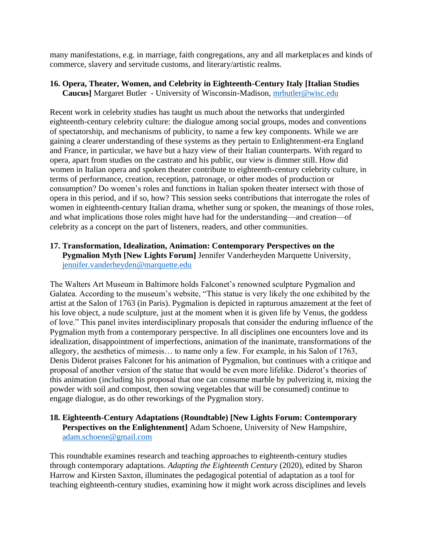many manifestations, e.g. in marriage, faith congregations, any and all marketplaces and kinds of commerce, slavery and servitude customs, and literary/artistic realms.

#### **16. Opera, Theater, Women, and Celebrity in Eighteenth-Century Italy [Italian Studies Caucus]** Margaret Butler - University of Wisconsin-Madison, [mrbutler@wisc.edu](mailto:mrbutler@wisc.edu)

Recent work in celebrity studies has taught us much about the networks that undergirded eighteenth-century celebrity culture: the dialogue among social groups, modes and conventions of spectatorship, and mechanisms of publicity, to name a few key components. While we are gaining a clearer understanding of these systems as they pertain to Enlightenment-era England and France, in particular, we have but a hazy view of their Italian counterparts. With regard to opera, apart from studies on the castrato and his public, our view is dimmer still. How did women in Italian opera and spoken theater contribute to eighteenth-century celebrity culture, in terms of performance, creation, reception, patronage, or other modes of production or consumption? Do women's roles and functions in Italian spoken theater intersect with those of opera in this period, and if so, how? This session seeks contributions that interrogate the roles of women in eighteenth-century Italian drama, whether sung or spoken, the meanings of those roles, and what implications those roles might have had for the understanding—and creation—of celebrity as a concept on the part of listeners, readers, and other communities.

# **17. Transformation, Idealization, Animation: Contemporary Perspectives on the Pygmalion Myth [New Lights Forum]** Jennifer Vanderheyden Marquette University, [jennifer.vanderheyden@marquette.edu](mailto:jennifer.vanderheyden@marquette.edu)

The Walters Art Museum in Baltimore holds Falconet's renowned sculpture Pygmalion and Galatea. According to the museum's website, "This statue is very likely the one exhibited by the artist at the Salon of 1763 (in Paris). Pygmalion is depicted in rapturous amazement at the feet of his love object, a nude sculpture, just at the moment when it is given life by Venus, the goddess of love." This panel invites interdisciplinary proposals that consider the enduring influence of the Pygmalion myth from a contemporary perspective. In all disciplines one encounters love and its idealization, disappointment of imperfections, animation of the inanimate, transformations of the allegory, the aesthetics of mimesis… to name only a few. For example, in his Salon of 1763, Denis Diderot praises Falconet for his animation of Pygmalion, but continues with a critique and proposal of another version of the statue that would be even more lifelike. Diderot's theories of this animation (including his proposal that one can consume marble by pulverizing it, mixing the powder with soil and compost, then sowing vegetables that will be consumed) continue to engage dialogue, as do other reworkings of the Pygmalion story.

# **18. Eighteenth-Century Adaptations (Roundtable) [New Lights Forum: Contemporary Perspectives on the Enlightenment]** Adam Schoene, University of New Hampshire, [adam.schoene@gmail.com](mailto:adam.schoene@gmail.com)

This roundtable examines research and teaching approaches to eighteenth-century studies through contemporary adaptations. *Adapting the Eighteenth Century* (2020), edited by Sharon Harrow and Kirsten Saxton, illuminates the pedagogical potential of adaptation as a tool for teaching eighteenth-century studies, examining how it might work across disciplines and levels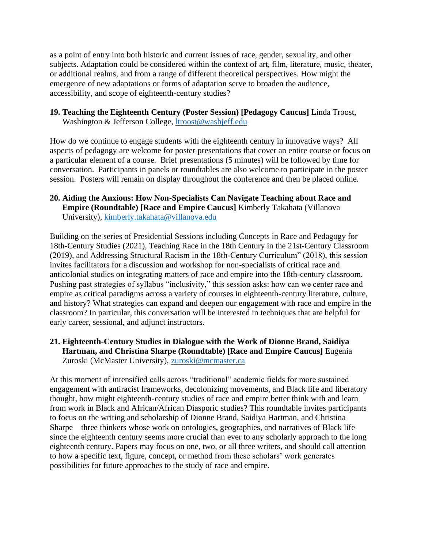as a point of entry into both historic and current issues of race, gender, sexuality, and other subjects. Adaptation could be considered within the context of art, film, literature, music, theater, or additional realms, and from a range of different theoretical perspectives. How might the emergence of new adaptations or forms of adaptation serve to broaden the audience, accessibility, and scope of eighteenth-century studies?

**19. Teaching the Eighteenth Century (Poster Session) [Pedagogy Caucus]** Linda Troost, Washington & Jefferson College, [ltroost@washjeff.edu](mailto:ltroost@washjeff.edu)

How do we continue to engage students with the eighteenth century in innovative ways? All aspects of pedagogy are welcome for poster presentations that cover an entire course or focus on a particular element of a course. Brief presentations (5 minutes) will be followed by time for conversation. Participants in panels or roundtables are also welcome to participate in the poster session. Posters will remain on display throughout the conference and then be placed online.

### **20. Aiding the Anxious: How Non-Specialists Can Navigate Teaching about Race and Empire (Roundtable) [Race and Empire Caucus]** Kimberly Takahata (Villanova University), [kimberly.takahata@villanova.edu](mailto:kimberly.takahata@villanova.edu)

Building on the series of Presidential Sessions including Concepts in Race and Pedagogy for 18th-Century Studies (2021), Teaching Race in the 18th Century in the 21st-Century Classroom (2019), and Addressing Structural Racism in the 18th-Century Curriculum" (2018), this session invites facilitators for a discussion and workshop for non-specialists of critical race and anticolonial studies on integrating matters of race and empire into the 18th-century classroom. Pushing past strategies of syllabus "inclusivity," this session asks: how can we center race and empire as critical paradigms across a variety of courses in eighteenth-century literature, culture, and history? What strategies can expand and deepen our engagement with race and empire in the classroom? In particular, this conversation will be interested in techniques that are helpful for early career, sessional, and adjunct instructors.

# **21. Eighteenth-Century Studies in Dialogue with the Work of Dionne Brand, Saidiya Hartman, and Christina Sharpe (Roundtable) [Race and Empire Caucus]** Eugenia Zuroski (McMaster University), [zuroski@mcmaster.ca](mailto:zuroski@mcmaster.ca)

At this moment of intensified calls across "traditional" academic fields for more sustained engagement with antiracist frameworks, decolonizing movements, and Black life and liberatory thought, how might eighteenth-century studies of race and empire better think with and learn from work in Black and African/African Diasporic studies? This roundtable invites participants to focus on the writing and scholarship of Dionne Brand, Saidiya Hartman, and Christina Sharpe—three thinkers whose work on ontologies, geographies, and narratives of Black life since the eighteenth century seems more crucial than ever to any scholarly approach to the long eighteenth century. Papers may focus on one, two, or all three writers, and should call attention to how a specific text, figure, concept, or method from these scholars' work generates possibilities for future approaches to the study of race and empire.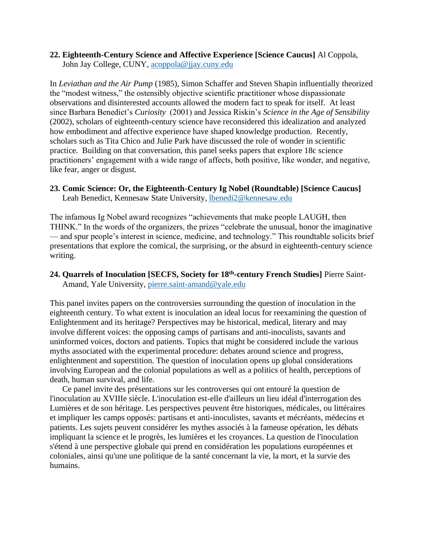#### **22. Eighteenth-Century Science and Affective Experience [Science Caucus]** Al Coppola, John Jay College, CUNY, [acoppola@jjay.cuny.edu](mailto:acoppola@jjay.cuny.edu)

In *Leviathan and the Air Pump* (1985), Simon Schaffer and Steven Shapin influentially theorized the "modest witness," the ostensibly objective scientific practitioner whose dispassionate observations and disinterested accounts allowed the modern fact to speak for itself. At least since Barbara Benedict's *Curiosity* (2001) and Jessica Riskin's *Science in the Age of Sensibility*  (2002), scholars of eighteenth-century science have reconsidered this idealization and analyzed how embodiment and affective experience have shaped knowledge production. Recently, scholars such as Tita Chico and Julie Park have discussed the role of wonder in scientific practice. Building on that conversation, this panel seeks papers that explore 18c science practitioners' engagement with a wide range of affects, both positive, like wonder, and negative, like fear, anger or disgust.

### **23. Comic Science: Or, the Eighteenth-Century Ig Nobel (Roundtable) [Science Caucus]**

Leah Benedict, Kennesaw State University, [lbenedi2@kennesaw.edu](mailto:lbenedi2@kennesaw.edu)

The infamous Ig Nobel award recognizes "achievements that make people LAUGH, then THINK." In the words of the organizers, the prizes "celebrate the unusual, honor the imaginative — and spur people's interest in science, medicine, and technology." This roundtable solicits brief presentations that explore the comical, the surprising, or the absurd in eighteenth-century science writing.

# **24. Quarrels of Inoculation [SECFS, Society for 18th -century French Studies]** Pierre Saint-Amand, Yale University, [pierre.saint-amand@yale.edu](mailto:pierre.saint-amand@yale.edu)

This panel invites papers on the controversies surrounding the question of inoculation in the eighteenth century. To what extent is inoculation an ideal locus for reexamining the question of Enlightenment and its heritage? Perspectives may be historical, medical, literary and may involve different voices: the opposing camps of partisans and anti-inoculists, savants and uninformed voices, doctors and patients. Topics that might be considered include the various myths associated with the experimental procedure: debates around science and progress, enlightenment and superstition. The question of inoculation opens up global considerations involving European and the colonial populations as well as a politics of health, perceptions of death, human survival, and life.

Ce panel invite des présentations sur les controverses qui ont entouré la question de l'inoculation au XVIIIe siècle. L'inoculation est-elle d'ailleurs un lieu idéal d'interrogation des Lumières et de son héritage. Les perspectives peuvent être historiques, médicales, ou littéraires et impliquer les camps opposés: partisans et anti-inoculistes, savants et mécréants, médecins et patients. Les sujets peuvent considérer les mythes associés à la fameuse opération, les débats impliquant la science et le progrès, les lumières et les croyances. La question de l'inoculation s'étend à une perspective globale qui prend en considération les populations européennes et coloniales, ainsi qu'une une politique de la santé concernant la vie, la mort, et la survie des humains.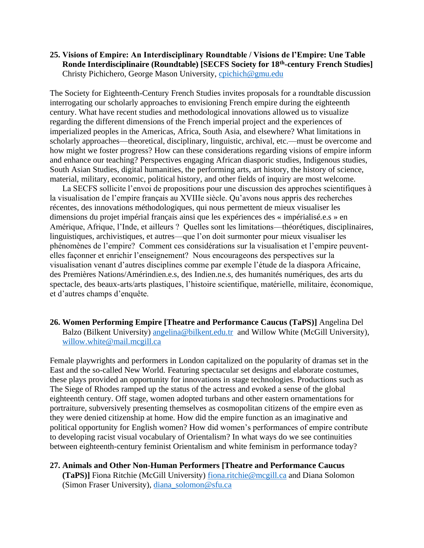#### **25. Visions of Empire: An Interdisciplinary Roundtable / Visions de l'Empire: Une Table Ronde Interdisciplinaire (Roundtable) [SECFS Society for 18th -century French Studies]** Christy Pichichero, George Mason University, [cpichich@gmu.edu](mailto:cpichich@gmu.edu)

The Society for Eighteenth-Century French Studies invites proposals for a roundtable discussion interrogating our scholarly approaches to envisioning French empire during the eighteenth century. What have recent studies and methodological innovations allowed us to visualize regarding the different dimensions of the French imperial project and the experiences of imperialized peoples in the Americas, Africa, South Asia, and elsewhere? What limitations in scholarly approaches—theoretical, disciplinary, linguistic, archival, etc.—must be overcome and how might we foster progress? How can these considerations regarding visions of empire inform and enhance our teaching? Perspectives engaging African diasporic studies, Indigenous studies, South Asian Studies, digital humanities, the performing arts, art history, the history of science, material, military, economic, political history, and other fields of inquiry are most welcome.

La SECFS sollicite l'envoi de propositions pour une discussion des approches scientifiques à la visualisation de l'empire français au XVIIIe siècle. Qu'avons nous appris des recherches récentes, des innovations méthodologiques, qui nous permettent de mieux visualiser les dimensions du projet impérial français ainsi que les expériences des « impérialisé.e.s » en Amérique, Afrique, l'Inde, et ailleurs ? Quelles sont les limitations—théorétiques, disciplinaires, linguistiques, archivistiques, et autres—que l'on doit surmonter pour mieux visualiser les phénomènes de l'empire? Comment ces considérations sur la visualisation et l'empire peuventelles façonner et enrichir l'enseignement? Nous encourageons des perspectives sur la visualisation venant d'autres disciplines comme par exemple l'étude de la diaspora Africaine, des Premières Nations/Amérindien.e.s, des Indien.ne.s, des humanités numériques, des arts du spectacle, des beaux-arts/arts plastiques, l'histoire scientifique, matérielle, militaire, économique, et d'autres champs d'enquête.

### **26. Women Performing Empire [Theatre and Performance Caucus (TaPS)]** Angelina Del Balzo (Bilkent University) [angelina@bilkent.edu.tr](mailto:angelina@bilkent.edu.tr) and Willow White (McGill University), [willow.white@mail.mcgill.ca](mailto:willow.white@mail.mcgill.ca)

Female playwrights and performers in London capitalized on the popularity of dramas set in the East and the so-called New World. Featuring spectacular set designs and elaborate costumes, these plays provided an opportunity for innovations in stage technologies. Productions such as The Siege of Rhodes ramped up the status of the actress and evoked a sense of the global eighteenth century. Off stage, women adopted turbans and other eastern ornamentations for portraiture, subversively presenting themselves as cosmopolitan citizens of the empire even as they were denied citizenship at home. How did the empire function as an imaginative and political opportunity for English women? How did women's performances of empire contribute to developing racist visual vocabulary of Orientalism? In what ways do we see continuities between eighteenth-century feminist Orientalism and white feminism in performance today?

**27. Animals and Other Non-Human Performers [Theatre and Performance Caucus (TaPS)]** Fiona Ritchie (McGill University) [fiona.ritchie@mcgill.ca](mailto:fiona.ritchie@mcgill.ca) and Diana Solomon (Simon Fraser University), [diana\\_solomon@sfu.ca](mailto:diana_solomon@sfu.ca)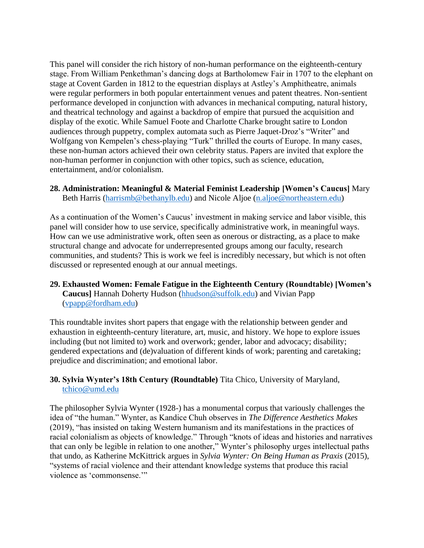This panel will consider the rich history of non-human performance on the eighteenth-century stage. From William Penkethman's dancing dogs at Bartholomew Fair in 1707 to the elephant on stage at Covent Garden in 1812 to the equestrian displays at Astley's Amphitheatre, animals were regular performers in both popular entertainment venues and patent theatres. Non-sentient performance developed in conjunction with advances in mechanical computing, natural history, and theatrical technology and against a backdrop of empire that pursued the acquisition and display of the exotic. While Samuel Foote and Charlotte Charke brought satire to London audiences through puppetry, complex automata such as Pierre Jaquet-Droz's "Writer" and Wolfgang von Kempelen's chess-playing "Turk" thrilled the courts of Europe. In many cases, these non-human actors achieved their own celebrity status. Papers are invited that explore the non-human performer in conjunction with other topics, such as science, education, entertainment, and/or colonialism.

**28. Administration: Meaningful & Material Feminist Leadership [Women's Caucus]** Mary Beth Harris [\(harrismb@bethanylb.edu\)](mailto:harrismb@bethanylb.edu) and Nicole Aljoe [\(n.aljoe@northeastern.edu\)](mailto:n.aljoe@northeastern.edu)

As a continuation of the Women's Caucus' investment in making service and labor visible, this panel will consider how to use service, specifically administrative work, in meaningful ways. How can we use administrative work, often seen as onerous or distracting, as a place to make structural change and advocate for underrepresented groups among our faculty, research communities, and students? This is work we feel is incredibly necessary, but which is not often discussed or represented enough at our annual meetings.

**29. Exhausted Women: Female Fatigue in the Eighteenth Century (Roundtable) [Women's Caucus]** Hannah Doherty Hudson [\(hhudson@suffolk.edu\)](mailto:hhudson@suffolk.edu) and Vivian Papp [\(vpapp@fordham.edu\)](mailto:vpapp@fordham.edu)

This roundtable invites short papers that engage with the relationship between gender and exhaustion in eighteenth-century literature, art, music, and history. We hope to explore issues including (but not limited to) work and overwork; gender, labor and advocacy; disability; gendered expectations and (de)valuation of different kinds of work; parenting and caretaking; prejudice and discrimination; and emotional labor.

### **30. Sylvia Wynter's 18th Century (Roundtable)** Tita Chico, University of Maryland, [tchico@umd.edu](mailto:tchico@umd.edu)

The philosopher Sylvia Wynter (1928-) has a monumental corpus that variously challenges the idea of "the human." Wynter, as Kandice Chuh observes in *The Difference Aesthetics Makes* (2019), "has insisted on taking Western humanism and its manifestations in the practices of racial colonialism as objects of knowledge." Through "knots of ideas and histories and narratives that can only be legible in relation to one another," Wynter's philosophy urges intellectual paths that undo, as Katherine McKittrick argues in *Sylvia Wynter: On Being Human as Praxis* (2015), "systems of racial violence and their attendant knowledge systems that produce this racial violence as 'commonsense.'"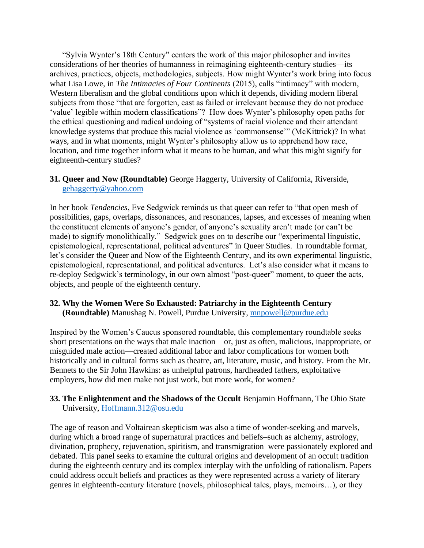"Sylvia Wynter's 18th Century" centers the work of this major philosopher and invites considerations of her theories of humanness in reimagining eighteenth-century studies—its archives, practices, objects, methodologies, subjects. How might Wynter's work bring into focus what Lisa Lowe, in *The Intimacies of Four Continents* (2015), calls "intimacy" with modern, Western liberalism and the global conditions upon which it depends, dividing modern liberal subjects from those "that are forgotten, cast as failed or irrelevant because they do not produce 'value' legible within modern classifications"? How does Wynter's philosophy open paths for the ethical questioning and radical undoing of "systems of racial violence and their attendant knowledge systems that produce this racial violence as 'commonsense'" (McKittrick)? In what ways, and in what moments, might Wynter's philosophy allow us to apprehend how race, location, and time together inform what it means to be human, and what this might signify for eighteenth-century studies?

### **31. Queer and Now (Roundtable)** George Haggerty, University of California, Riverside, [gehaggerty@yahoo.com](mailto:gehaggerty@yahoo.com)

In her book *Tendencies*, Eve Sedgwick reminds us that queer can refer to "that open mesh of possibilities, gaps, overlaps, dissonances, and resonances, lapses, and excesses of meaning when the constituent elements of anyone's gender, of anyone's sexuality aren't made (or can't be made) to signify monolithically." Sedgwick goes on to describe our "experimental linguistic, epistemological, representational, political adventures" in Queer Studies. In roundtable format, let's consider the Queer and Now of the Eighteenth Century, and its own experimental linguistic, epistemological, representational, and political adventures. Let's also consider what it means to re-deploy Sedgwick's terminology, in our own almost "post-queer" moment, to queer the acts, objects, and people of the eighteenth century.

#### **32. Why the Women Were So Exhausted: Patriarchy in the Eighteenth Century (Roundtable)** Manushag N. Powell, Purdue University, [mnpowell@purdue.edu](mailto:mnpowell@purdue.edu)

Inspired by the Women's Caucus sponsored roundtable, this complementary roundtable seeks short presentations on the ways that male inaction—or, just as often, malicious, inappropriate, or misguided male action—created additional labor and labor complications for women both historically and in cultural forms such as theatre, art, literature, music, and history. From the Mr. Bennets to the Sir John Hawkins: as unhelpful patrons, hardheaded fathers, exploitative employers, how did men make not just work, but more work, for women?

### **33. The Enlightenment and the Shadows of the Occult** Benjamin Hoffmann, The Ohio State University, [Hoffmann.312@osu.edu](mailto:Hoffmann.312@osu.edu)

The age of reason and Voltairean skepticism was also a time of wonder-seeking and marvels, during which a broad range of supernatural practices and beliefs–such as alchemy, astrology, divination, prophecy, rejuvenation, spiritism, and transmigration–were passionately explored and debated. This panel seeks to examine the cultural origins and development of an occult tradition during the eighteenth century and its complex interplay with the unfolding of rationalism. Papers could address occult beliefs and practices as they were represented across a variety of literary genres in eighteenth-century literature (novels, philosophical tales, plays, memoirs…), or they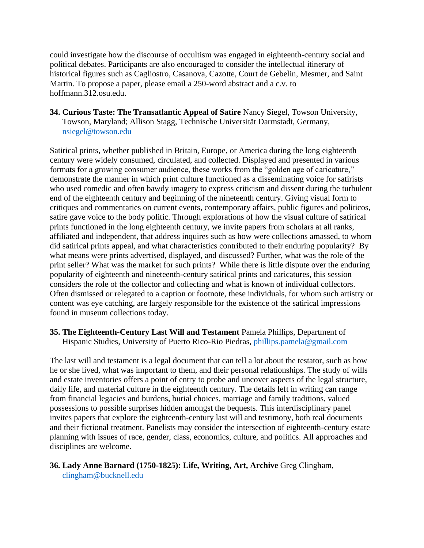could investigate how the discourse of occultism was engaged in eighteenth-century social and political debates. Participants are also encouraged to consider the intellectual itinerary of historical figures such as Cagliostro, Casanova, Cazotte, Court de Gebelin, Mesmer, and Saint Martin. To propose a paper, please email a 250-word abstract and a c.v. to hoffmann.312.osu.edu.

**34. Curious Taste: The Transatlantic Appeal of Satire** Nancy Siegel, Towson University, Towson, Maryland; Allison Stagg, Technische Universität Darmstadt, Germany, [nsiegel@towson.edu](mailto:nsiegel@towson.edu)

Satirical prints, whether published in Britain, Europe, or America during the long eighteenth century were widely consumed, circulated, and collected. Displayed and presented in various formats for a growing consumer audience, these works from the "golden age of caricature," demonstrate the manner in which print culture functioned as a disseminating voice for satirists who used comedic and often bawdy imagery to express criticism and dissent during the turbulent end of the eighteenth century and beginning of the nineteenth century. Giving visual form to critiques and commentaries on current events, contemporary affairs, public figures and politicos, satire gave voice to the body politic. Through explorations of how the visual culture of satirical prints functioned in the long eighteenth century, we invite papers from scholars at all ranks, affiliated and independent, that address inquires such as how were collections amassed, to whom did satirical prints appeal, and what characteristics contributed to their enduring popularity? By what means were prints advertised, displayed, and discussed? Further, what was the role of the print seller? What was the market for such prints? While there is little dispute over the enduring popularity of eighteenth and nineteenth-century satirical prints and caricatures, this session considers the role of the collector and collecting and what is known of individual collectors. Often dismissed or relegated to a caption or footnote, these individuals, for whom such artistry or content was eye catching, are largely responsible for the existence of the satirical impressions found in museum collections today.

### **35. The Eighteenth-Century Last Will and Testament** Pamela Phillips, Department of Hispanic Studies, University of Puerto Rico-Rio Piedras, [phillips.pamela@gmail.com](mailto:phillips.pamela@gmail.com)

The last will and testament is a legal document that can tell a lot about the testator, such as how he or she lived, what was important to them, and their personal relationships. The study of wills and estate inventories offers a point of entry to probe and uncover aspects of the legal structure, daily life, and material culture in the eighteenth century. The details left in writing can range from financial legacies and burdens, burial choices, marriage and family traditions, valued possessions to possible surprises hidden amongst the bequests. This interdisciplinary panel invites papers that explore the eighteenth-century last will and testimony, both real documents and their fictional treatment. Panelists may consider the intersection of eighteenth-century estate planning with issues of race, gender, class, economics, culture, and politics. All approaches and disciplines are welcome.

# **36. Lady Anne Barnard (1750-1825): Life, Writing, Art, Archive** Greg Clingham, [clingham@bucknell.edu](mailto:clingham@bucknell.edu)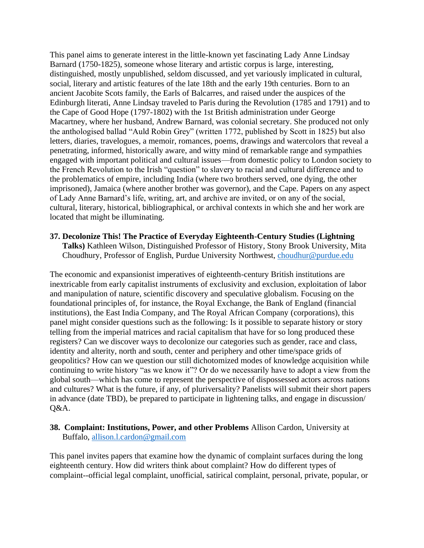This panel aims to generate interest in the little-known yet fascinating Lady Anne Lindsay Barnard (1750-1825), someone whose literary and artistic corpus is large, interesting, distinguished, mostly unpublished, seldom discussed, and yet variously implicated in cultural, social, literary and artistic features of the late 18th and the early 19th centuries. Born to an ancient Jacobite Scots family, the Earls of Balcarres, and raised under the auspices of the Edinburgh literati, Anne Lindsay traveled to Paris during the Revolution (1785 and 1791) and to the Cape of Good Hope (1797-1802) with the 1st British administration under George Macartney, where her husband, Andrew Barnard, was colonial secretary. She produced not only the anthologised ballad "Auld Robin Grey" (written 1772, published by Scott in 1825) but also letters, diaries, travelogues, a memoir, romances, poems, drawings and watercolors that reveal a penetrating, informed, historically aware, and witty mind of remarkable range and sympathies engaged with important political and cultural issues—from domestic policy to London society to the French Revolution to the Irish "question" to slavery to racial and cultural difference and to the problematics of empire, including India (where two brothers served, one dying, the other imprisoned), Jamaica (where another brother was governor), and the Cape. Papers on any aspect of Lady Anne Barnard's life, writing, art, and archive are invited, or on any of the social, cultural, literary, historical, bibliographical, or archival contexts in which she and her work are located that might be illuminating.

#### **37. Decolonize This! The Practice of Everyday Eighteenth-Century Studies (Lightning Talks)** Kathleen Wilson, Distinguished Professor of History, Stony Brook University, Mita

Choudhury, Professor of English, Purdue University Northwest, [choudhur@purdue.edu](mailto:choudhur@purdue.edu)

The economic and expansionist imperatives of eighteenth-century British institutions are inextricable from early capitalist instruments of exclusivity and exclusion, exploitation of labor and manipulation of nature, scientific discovery and speculative globalism. Focusing on the foundational principles of, for instance, the Royal Exchange, the Bank of England (financial institutions), the East India Company, and The Royal African Company (corporations), this panel might consider questions such as the following: Is it possible to separate history or story telling from the imperial matrices and racial capitalism that have for so long produced these registers? Can we discover ways to decolonize our categories such as gender, race and class, identity and alterity, north and south, center and periphery and other time/space grids of geopolitics? How can we question our still dichotomized modes of knowledge acquisition while continuing to write history "as we know it"? Or do we necessarily have to adopt a view from the global south—which has come to represent the perspective of dispossessed actors across nations and cultures? What is the future, if any, of pluriversality? Panelists will submit their short papers in advance (date TBD), be prepared to participate in lightening talks, and engage in discussion/ Q&A.

### **38. Complaint: Institutions, Power, and other Problems** Allison Cardon, University at Buffalo, [allison.l.cardon@gmail.com](mailto:allison.l.cardon@gmail.com)

This panel invites papers that examine how the dynamic of complaint surfaces during the long eighteenth century. How did writers think about complaint? How do different types of complaint--official legal complaint, unofficial, satirical complaint, personal, private, popular, or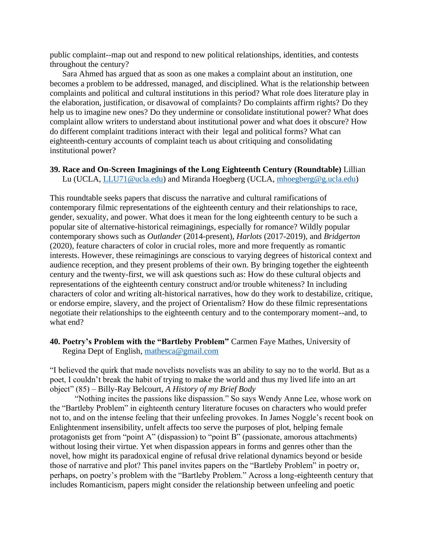public complaint--map out and respond to new political relationships, identities, and contests throughout the century?

Sara Ahmed has argued that as soon as one makes a complaint about an institution, one becomes a problem to be addressed, managed, and disciplined. What is the relationship between complaints and political and cultural institutions in this period? What role does literature play in the elaboration, justification, or disavowal of complaints? Do complaints affirm rights? Do they help us to imagine new ones? Do they undermine or consolidate institutional power? What does complaint allow writers to understand about institutional power and what does it obscure? How do different complaint traditions interact with their legal and political forms? What can eighteenth-century accounts of complaint teach us about critiquing and consolidating institutional power?

#### **39. Race and On-Screen Imaginings of the Long Eighteenth Century (Roundtable)** Lillian Lu (UCLA, [LLU71@ucla.edu\)](mailto:LLU71@ucla.edu) and Miranda Hoegberg (UCLA, [mhoegberg@g.ucla.edu\)](mailto:mhoegberg@g.ucla.edu)

This roundtable seeks papers that discuss the narrative and cultural ramifications of contemporary filmic representations of the eighteenth century and their relationships to race, gender, sexuality, and power. What does it mean for the long eighteenth century to be such a popular site of alternative-historical reimaginings, especially for romance? Wildly popular contemporary shows such as *Outlander* (2014-present), *Harlots* (2017-2019), and *Bridgerton* (2020), feature characters of color in crucial roles, more and more frequently as romantic interests. However, these reimaginings are conscious to varying degrees of historical context and audience reception, and they present problems of their own. By bringing together the eighteenth century and the twenty-first, we will ask questions such as: How do these cultural objects and representations of the eighteenth century construct and/or trouble whiteness? In including characters of color and writing alt-historical narratives, how do they work to destabilize, critique, or endorse empire, slavery, and the project of Orientalism? How do these filmic representations negotiate their relationships to the eighteenth century and to the contemporary moment--and, to what end?

### **40. Poetry's Problem with the "Bartleby Problem"** Carmen Faye Mathes, University of Regina Dept of English, [mathesca@gmail.com](mailto:mathesca@gmail.com)

"I believed the quirk that made novelists novelists was an ability to say no to the world. But as a poet, I couldn't break the habit of trying to make the world and thus my lived life into an art object" (85) – Billy-Ray Belcourt, *A History of my Brief Body*

"Nothing incites the passions like dispassion." So says Wendy Anne Lee, whose work on the "Bartleby Problem" in eighteenth century literature focuses on characters who would prefer not to, and on the intense feeling that their unfeeling provokes. In James Noggle's recent book on Enlightenment insensibility, unfelt affects too serve the purposes of plot, helping female protagonists get from "point A" (dispassion) to "point B" (passionate, amorous attachments) without losing their virtue. Yet when dispassion appears in forms and genres other than the novel, how might its paradoxical engine of refusal drive relational dynamics beyond or beside those of narrative and plot? This panel invites papers on the "Bartleby Problem" in poetry or, perhaps, on poetry's problem with the "Bartleby Problem." Across a long-eighteenth century that includes Romanticism, papers might consider the relationship between unfeeling and poetic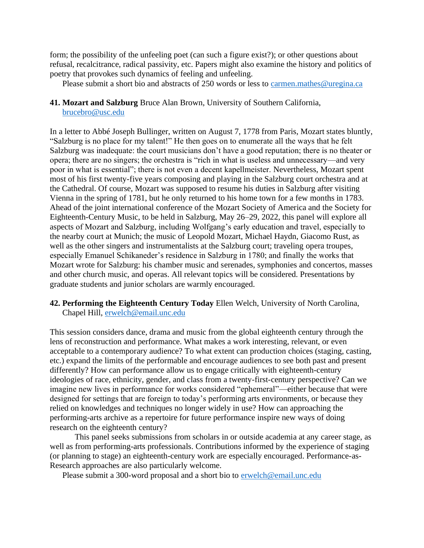form; the possibility of the unfeeling poet (can such a figure exist?); or other questions about refusal, recalcitrance, radical passivity, etc. Papers might also examine the history and politics of poetry that provokes such dynamics of feeling and unfeeling.

Please submit a short bio and abstracts of 250 words or less to [carmen.mathes@uregina.ca](mailto:carmen.mathes@uregina.ca)

**41. Mozart and Salzburg** Bruce Alan Brown, University of Southern California, [brucebro@usc.edu](mailto:brucebro@usc.edu)

In a letter to Abbé Joseph Bullinger, written on August 7, 1778 from Paris, Mozart states bluntly, "Salzburg is no place for my talent!" He then goes on to enumerate all the ways that he felt Salzburg was inadequate: the court musicians don't have a good reputation; there is no theater or opera; there are no singers; the orchestra is "rich in what is useless and unnecessary—and very poor in what is essential"; there is not even a decent kapellmeister. Nevertheless, Mozart spent most of his first twenty-five years composing and playing in the Salzburg court orchestra and at the Cathedral. Of course, Mozart was supposed to resume his duties in Salzburg after visiting Vienna in the spring of 1781, but he only returned to his home town for a few months in 1783. Ahead of the joint international conference of the Mozart Society of America and the Society for Eighteenth-Century Music, to be held in Salzburg, May 26–29, 2022, this panel will explore all aspects of Mozart and Salzburg, including Wolfgang's early education and travel, especially to the nearby court at Munich; the music of Leopold Mozart, Michael Haydn, Giacomo Rust, as well as the other singers and instrumentalists at the Salzburg court; traveling opera troupes, especially Emanuel Schikaneder's residence in Salzburg in 1780; and finally the works that Mozart wrote for Salzburg: his chamber music and serenades, symphonies and concertos, masses and other church music, and operas. All relevant topics will be considered. Presentations by graduate students and junior scholars are warmly encouraged.

**42. Performing the Eighteenth Century Today** Ellen Welch, University of North Carolina, Chapel Hill, [erwelch@email.unc.edu](mailto:erwelch@email.unc.edu)

This session considers dance, drama and music from the global eighteenth century through the lens of reconstruction and performance. What makes a work interesting, relevant, or even acceptable to a contemporary audience? To what extent can production choices (staging, casting, etc.) expand the limits of the performable and encourage audiences to see both past and present differently? How can performance allow us to engage critically with eighteenth-century ideologies of race, ethnicity, gender, and class from a twenty-first-century perspective? Can we imagine new lives in performance for works considered "ephemeral"—either because that were designed for settings that are foreign to today's performing arts environments, or because they relied on knowledges and techniques no longer widely in use? How can approaching the performing-arts archive as a repertoire for future performance inspire new ways of doing research on the eighteenth century?

This panel seeks submissions from scholars in or outside academia at any career stage, as well as from performing-arts professionals. Contributions informed by the experience of staging (or planning to stage) an eighteenth-century work are especially encouraged. Performance-as-Research approaches are also particularly welcome.

Please submit a 300-word proposal and a short bio to [erwelch@email.unc.edu](mailto:erwelch@email.unc.edu)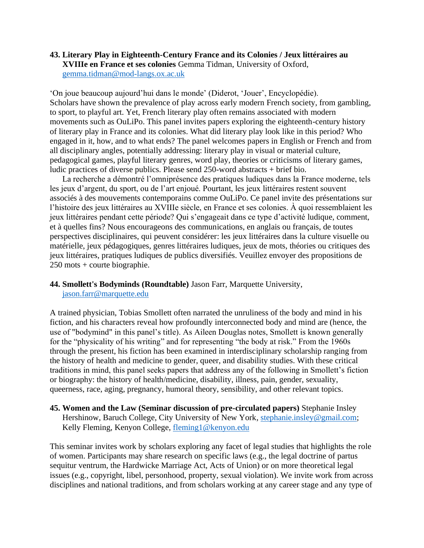#### **43. Literary Play in Eighteenth-Century France and its Colonies / Jeux littéraires au XVIIIe en France et ses colonies** Gemma Tidman, University of Oxford, [gemma.tidman@mod-langs.ox.ac.uk](mailto:gemma.tidman@mod-langs.ox.ac.uk)

'On joue beaucoup aujourd'hui dans le monde' (Diderot, 'Jouer', Encyclopédie). Scholars have shown the prevalence of play across early modern French society, from gambling, to sport, to playful art. Yet, French literary play often remains associated with modern movements such as OuLiPo. This panel invites papers exploring the eighteenth-century history of literary play in France and its colonies. What did literary play look like in this period? Who engaged in it, how, and to what ends? The panel welcomes papers in English or French and from all disciplinary angles, potentially addressing: literary play in visual or material culture, pedagogical games, playful literary genres, word play, theories or criticisms of literary games, ludic practices of diverse publics. Please send 250-word abstracts + brief bio.

La recherche a démontré l'omniprésence des pratiques ludiques dans la France moderne, tels les jeux d'argent, du sport, ou de l'art enjoué. Pourtant, les jeux littéraires restent souvent associés à des mouvements contemporains comme OuLiPo. Ce panel invite des présentations sur l'histoire des jeux littéraires au XVIIIe siècle, en France et ses colonies. À quoi ressemblaient les jeux littéraires pendant cette période? Qui s'engageait dans ce type d'activité ludique, comment, et à quelles fins? Nous encourageons des communications, en anglais ou français, de toutes perspectives disciplinaires, qui peuvent considérer: les jeux littéraires dans la culture visuelle ou matérielle, jeux pédagogiques, genres littéraires ludiques, jeux de mots, théories ou critiques des jeux littéraires, pratiques ludiques de publics diversifiés. Veuillez envoyer des propositions de 250 mots + courte biographie.

#### **44. Smollett's Bodyminds (Roundtable)** Jason Farr, Marquette University,

[jason.farr@marquette.edu](mailto:jason.farr@marquette.edu)

A trained physician, Tobias Smollett often narrated the unruliness of the body and mind in his fiction, and his characters reveal how profoundly interconnected body and mind are (hence, the use of "bodymind" in this panel's title). As Aileen Douglas notes, Smollett is known generally for the "physicality of his writing" and for representing "the body at risk." From the 1960s through the present, his fiction has been examined in interdisciplinary scholarship ranging from the history of health and medicine to gender, queer, and disability studies. With these critical traditions in mind, this panel seeks papers that address any of the following in Smollett's fiction or biography: the history of health/medicine, disability, illness, pain, gender, sexuality, queerness, race, aging, pregnancy, humoral theory, sensibility, and other relevant topics.

**45. Women and the Law (Seminar discussion of pre-circulated papers)** Stephanie Insley Hershinow, Baruch College, City University of New York, [stephanie.insley@gmail.com;](mailto:stephanie.insley@gmail.com) Kelly Fleming, Kenyon College, [fleming1@kenyon.edu](mailto:fleming1@kenyon.edu)

This seminar invites work by scholars exploring any facet of legal studies that highlights the role of women. Participants may share research on specific laws (e.g., the legal doctrine of partus sequitur ventrum, the Hardwicke Marriage Act, Acts of Union) or on more theoretical legal issues (e.g., copyright, libel, personhood, property, sexual violation). We invite work from across disciplines and national traditions, and from scholars working at any career stage and any type of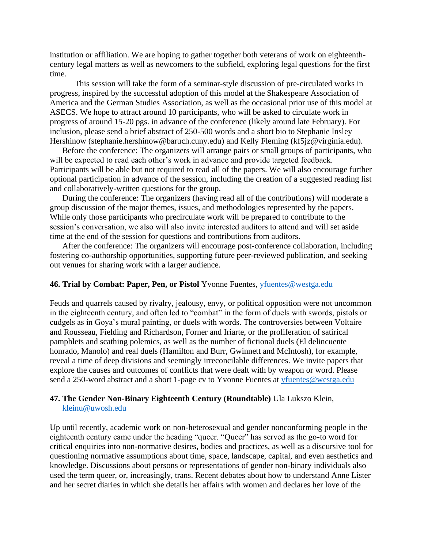institution or affiliation. We are hoping to gather together both veterans of work on eighteenthcentury legal matters as well as newcomers to the subfield, exploring legal questions for the first time.

This session will take the form of a seminar-style discussion of pre-circulated works in progress, inspired by the successful adoption of this model at the Shakespeare Association of America and the German Studies Association, as well as the occasional prior use of this model at ASECS. We hope to attract around 10 participants, who will be asked to circulate work in progress of around 15-20 pgs. in advance of the conference (likely around late February). For inclusion, please send a brief abstract of 250-500 words and a short bio to Stephanie Insley Hershinow (stephanie.hershinow@baruch.cuny.edu) and Kelly Fleming (kf5jz@virginia.edu).

Before the conference: The organizers will arrange pairs or small groups of participants, who will be expected to read each other's work in advance and provide targeted feedback. Participants will be able but not required to read all of the papers. We will also encourage further optional participation in advance of the session, including the creation of a suggested reading list and collaboratively-written questions for the group.

During the conference: The organizers (having read all of the contributions) will moderate a group discussion of the major themes, issues, and methodologies represented by the papers. While only those participants who precirculate work will be prepared to contribute to the session's conversation, we also will also invite interested auditors to attend and will set aside time at the end of the session for questions and contributions from auditors.

After the conference: The organizers will encourage post-conference collaboration, including fostering co-authorship opportunities, supporting future peer-reviewed publication, and seeking out venues for sharing work with a larger audience.

#### **46. Trial by Combat: Paper, Pen, or Pistol** Yvonne Fuentes, [yfuentes@westga.edu](mailto:yfuentes@westga.edu)

Feuds and quarrels caused by rivalry, jealousy, envy, or political opposition were not uncommon in the eighteenth century, and often led to "combat" in the form of duels with swords, pistols or cudgels as in Goya's mural painting, or duels with words. The controversies between Voltaire and Rousseau, Fielding and Richardson, Forner and Iriarte, or the proliferation of satirical pamphlets and scathing polemics, as well as the number of fictional duels (El delincuente honrado, Manolo) and real duels (Hamilton and Burr, Gwinnett and McIntosh), for example, reveal a time of deep divisions and seemingly irreconcilable differences. We invite papers that explore the causes and outcomes of conflicts that were dealt with by weapon or word. Please send a 250-word abstract and a short 1-page cv to Yvonne Fuentes at [yfuentes@westga.edu](mailto:yfuentes@westga.edu)

#### **47. The Gender Non-Binary Eighteenth Century (Roundtable)** Ula Lukszo Klein, [kleinu@uwosh.edu](mailto:kleinu@uwosh.edu)

Up until recently, academic work on non-heterosexual and gender nonconforming people in the eighteenth century came under the heading "queer. "Queer" has served as the go-to word for critical enquiries into non-normative desires, bodies and practices, as well as a discursive tool for questioning normative assumptions about time, space, landscape, capital, and even aesthetics and knowledge. Discussions about persons or representations of gender non-binary individuals also used the term queer, or, increasingly, trans. Recent debates about how to understand Anne Lister and her secret diaries in which she details her affairs with women and declares her love of the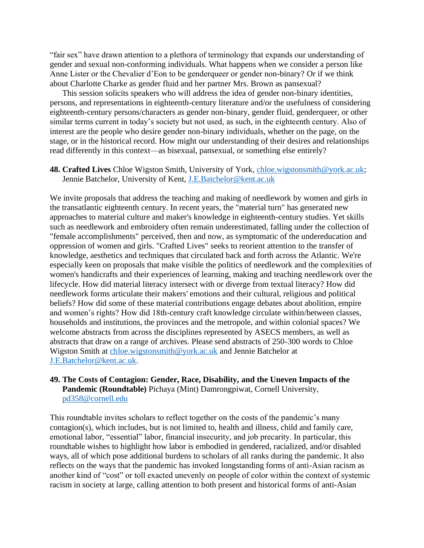"fair sex" have drawn attention to a plethora of terminology that expands our understanding of gender and sexual non-conforming individuals. What happens when we consider a person like Anne Lister or the Chevalier d'Eon to be genderqueer or gender non-binary? Or if we think about Charlotte Charke as gender fluid and her partner Mrs. Brown as pansexual?

This session solicits speakers who will address the idea of gender non-binary identities, persons, and representations in eighteenth-century literature and/or the usefulness of considering eighteenth-century persons/characters as gender non-binary, gender fluid, genderqueer, or other similar terms current in today's society but not used, as such, in the eighteenth century. Also of interest are the people who desire gender non-binary individuals, whether on the page, on the stage, or in the historical record. How might our understanding of their desires and relationships read differently in this context—as bisexual, pansexual, or something else entirely?

**48. Crafted Lives** Chloe Wigston Smith, University of York, [chloe.wigstonsmith@york.ac.uk;](mailto:chloe.wigstonsmith@york.ac.uk) Jennie Batchelor, University of Kent, [J.E.Batchelor@kent.ac.uk](mailto:J.E.Batchelor@kent.ac.uk)

We invite proposals that address the teaching and making of needlework by women and girls in the transatlantic eighteenth century. In recent years, the "material turn" has generated new approaches to material culture and maker's knowledge in eighteenth-century studies. Yet skills such as needlework and embroidery often remain underestimated, falling under the collection of "female accomplishments" perceived, then and now, as symptomatic of the undereducation and oppression of women and girls. "Crafted Lives" seeks to reorient attention to the transfer of knowledge, aesthetics and techniques that circulated back and forth across the Atlantic. We're especially keen on proposals that make visible the politics of needlework and the complexities of women's handicrafts and their experiences of learning, making and teaching needlework over the lifecycle. How did material literacy intersect with or diverge from textual literacy? How did needlework forms articulate their makers' emotions and their cultural, religious and political beliefs? How did some of these material contributions engage debates about abolition, empire and women's rights? How did 18th-century craft knowledge circulate within/between classes, households and institutions, the provinces and the metropole, and within colonial spaces? We welcome abstracts from across the disciplines represented by ASECS members, as well as abstracts that draw on a range of archives. Please send abstracts of 250-300 words to Chloe Wigston Smith at [chloe.wigstonsmith@york.ac.uk](mailto:chloe.wigstonsmith@york.ac.uk) and Jennie Batchelor at [J.E.Batchelor@kent.ac.uk.](mailto:J.E.Batchelor@kent.ac.uk)

#### **49. The Costs of Contagion: Gender, Race, Disability, and the Uneven Impacts of the Pandemic (Roundtable)** Pichaya (Mint) Damrongpiwat, Cornell University, [pd358@cornell.edu](mailto:pd358@cornell.edu)

This roundtable invites scholars to reflect together on the costs of the pandemic's many contagion(s), which includes, but is not limited to, health and illness, child and family care, emotional labor, "essential" labor, financial insecurity, and job precarity. In particular, this roundtable wishes to highlight how labor is embodied in gendered, racialized, and/or disabled ways, all of which pose additional burdens to scholars of all ranks during the pandemic. It also reflects on the ways that the pandemic has invoked longstanding forms of anti-Asian racism as another kind of "cost" or toll exacted unevenly on people of color within the context of systemic racism in society at large, calling attention to both present and historical forms of anti-Asian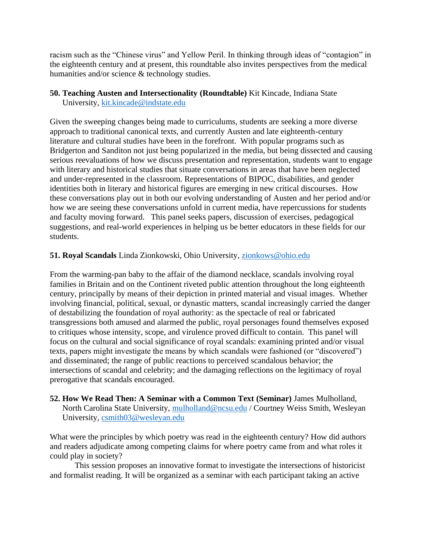racism such as the "Chinese virus" and Yellow Peril. In thinking through ideas of "contagion" in the eighteenth century and at present, this roundtable also invites perspectives from the medical humanities and/or science & technology studies.

#### **50. Teaching Austen and Intersectionality (Roundtable)** Kit Kincade, Indiana State University, [kit.kincade@indstate.edu](mailto:kit.kincade@indstate.edu)

Given the sweeping changes being made to curriculums, students are seeking a more diverse approach to traditional canonical texts, and currently Austen and late eighteenth-century literature and cultural studies have been in the forefront. With popular programs such as Bridgerton and Sanditon not just being popularized in the media, but being dissected and causing serious reevaluations of how we discuss presentation and representation, students want to engage with literary and historical studies that situate conversations in areas that have been neglected and under-represented in the classroom. Representations of BIPOC, disabilities, and gender identities both in literary and historical figures are emerging in new critical discourses. How these conversations play out in both our evolving understanding of Austen and her period and/or how we are seeing these conversations unfold in current media, have repercussions for students and faculty moving forward. This panel seeks papers, discussion of exercises, pedagogical suggestions, and real-world experiences in helping us be better educators in these fields for our students.

### **51. Royal Scandals** Linda Zionkowski, Ohio University, [zionkows@ohio.edu](mailto:zionkows@ohio.edu)

From the warming-pan baby to the affair of the diamond necklace, scandals involving royal families in Britain and on the Continent riveted public attention throughout the long eighteenth century, principally by means of their depiction in printed material and visual images. Whether involving financial, political, sexual, or dynastic matters, scandal increasingly carried the danger of destabilizing the foundation of royal authority: as the spectacle of real or fabricated transgressions both amused and alarmed the public, royal personages found themselves exposed to critiques whose intensity, scope, and virulence proved difficult to contain. This panel will focus on the cultural and social significance of royal scandals: examining printed and/or visual texts, papers might investigate the means by which scandals were fashioned (or "discovered") and disseminated; the range of public reactions to perceived scandalous behavior; the intersections of scandal and celebrity; and the damaging reflections on the legitimacy of royal prerogative that scandals encouraged.

**52. How We Read Then: A Seminar with a Common Text (Seminar)** James Mulholland, North Carolina State University, [mulholland@ncsu.edu](mailto:mulholland@ncsu.edu) / Courtney Weiss Smith, Wesleyan University, [csmith03@wesleyan.edu](mailto:csmith03@wesleyan.edu)

What were the principles by which poetry was read in the eighteenth century? How did authors and readers adjudicate among competing claims for where poetry came from and what roles it could play in society?

This session proposes an innovative format to investigate the intersections of historicist and formalist reading. It will be organized as a seminar with each participant taking an active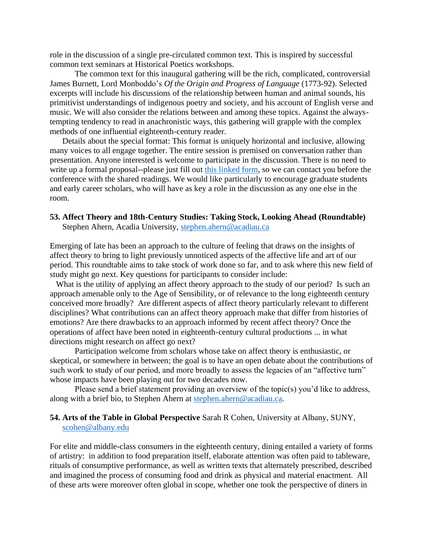role in the discussion of a single pre-circulated common text. This is inspired by successful common text seminars at Historical Poetics workshops.

The common text for this inaugural gathering will be the rich, complicated, controversial James Burnett, Lord Monboddo's *Of the Origin and Progress of Language* (1773-92). Selected excerpts will include his discussions of the relationship between human and animal sounds, his primitivist understandings of indigenous poetry and society, and his account of English verse and music. We will also consider the relations between and among these topics. Against the alwaystempting tendency to read in anachronistic ways, this gathering will grapple with the complex methods of one influential eighteenth-century reader.

Details about the special format: This format is uniquely horizontal and inclusive, allowing many voices to all engage together. The entire session is premised on conversation rather than presentation. Anyone interested is welcome to participate in the discussion. There is no need to write up a formal proposal--please just fill out [this linked form,](https://forms.gle/ayrbYq4xBUmPPtXCA) so we can contact you before the conference with the shared readings. We would like particularly to encourage graduate students and early career scholars, who will have as key a role in the discussion as any one else in the room.

# **53. Affect Theory and 18th-Century Studies: Taking Stock, Looking Ahead (Roundtable)**

Stephen Ahern, Acadia University, [stephen.ahern@acadiau.ca](mailto:stephen.ahern@acadiau.ca)

Emerging of late has been an approach to the culture of feeling that draws on the insights of affect theory to bring to light previously unnoticed aspects of the affective life and art of our period. This roundtable aims to take stock of work done so far, and to ask where this new field of study might go next. Key questions for participants to consider include:

What is the utility of applying an affect theory approach to the study of our period? Is such an approach amenable only to the Age of Sensibility, or of relevance to the long eighteenth century conceived more broadly? Are different aspects of affect theory particularly relevant to different disciplines? What contributions can an affect theory approach make that differ from histories of emotions? Are there drawbacks to an approach informed by recent affect theory? Once the operations of affect have been noted in eighteenth-century cultural productions ... in what directions might research on affect go next?

Participation welcome from scholars whose take on affect theory is enthusiastic, or skeptical, or somewhere in between; the goal is to have an open debate about the contributions of such work to study of our period, and more broadly to assess the legacies of an "affective turn" whose impacts have been playing out for two decades now.

Please send a brief statement providing an overview of the topic(s) you'd like to address, along with a brief bio, to Stephen Ahern at [stephen.ahern@acadiau.ca.](mailto:stephen.ahern@acadiau.ca)

#### **54. Arts of the Table in Global Perspective** Sarah R Cohen, University at Albany, SUNY, [scohen@albany.edu](mailto:scohen@albany.edu)

For elite and middle-class consumers in the eighteenth century, dining entailed a variety of forms of artistry: in addition to food preparation itself, elaborate attention was often paid to tableware, rituals of consumptive performance, as well as written texts that alternately prescribed, described and imagined the process of consuming food and drink as physical and material enactment. All of these arts were moreover often global in scope, whether one took the perspective of diners in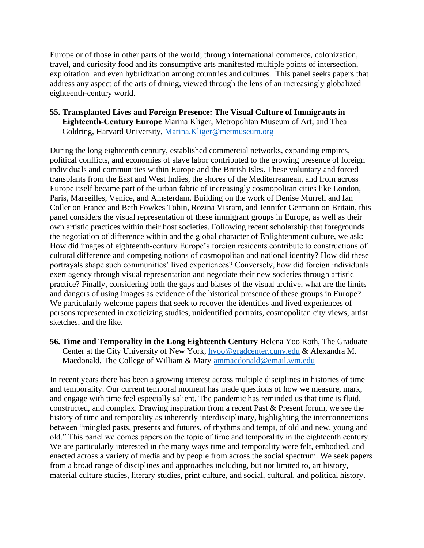Europe or of those in other parts of the world; through international commerce, colonization, travel, and curiosity food and its consumptive arts manifested multiple points of intersection, exploitation and even hybridization among countries and cultures. This panel seeks papers that address any aspect of the arts of dining, viewed through the lens of an increasingly globalized eighteenth-century world.

**55. Transplanted Lives and Foreign Presence: The Visual Culture of Immigrants in Eighteenth-Century Europe** Marina Kliger, Metropolitan Museum of Art; and Thea Goldring, Harvard University, [Marina.Kliger@metmuseum.org](mailto:Marina.Kliger@metmuseum.org)

During the long eighteenth century, established commercial networks, expanding empires, political conflicts, and economies of slave labor contributed to the growing presence of foreign individuals and communities within Europe and the British Isles. These voluntary and forced transplants from the East and West Indies, the shores of the Mediterreanean, and from across Europe itself became part of the urban fabric of increasingly cosmopolitan cities like London, Paris, Marseilles, Venice, and Amsterdam. Building on the work of Denise Murrell and Ian Coller on France and Beth Fowkes Tobin, Rozina Visram, and Jennifer Germann on Britain, this panel considers the visual representation of these immigrant groups in Europe, as well as their own artistic practices within their host societies. Following recent scholarship that foregrounds the negotiation of difference within and the global character of Enlightenment culture, we ask: How did images of eighteenth-century Europe's foreign residents contribute to constructions of cultural difference and competing notions of cosmopolitan and national identity? How did these portrayals shape such communities' lived experiences? Conversely, how did foreign individuals exert agency through visual representation and negotiate their new societies through artistic practice? Finally, considering both the gaps and biases of the visual archive, what are the limits and dangers of using images as evidence of the historical presence of these groups in Europe? We particularly welcome papers that seek to recover the identities and lived experiences of persons represented in exoticizing studies, unidentified portraits, cosmopolitan city views, artist sketches, and the like.

**56. Time and Temporality in the Long Eighteenth Century** Helena Yoo Roth, The Graduate Center at the City University of New York, [hyoo@gradcenter.cuny.edu](mailto:hyoo@gradcenter.cuny.edu) & Alexandra M. Macdonald, The College of William & Mary [ammacdonald@email.wm.edu](mailto:ammacdonald@email.wm.edu)

In recent years there has been a growing interest across multiple disciplines in histories of time and temporality. Our current temporal moment has made questions of how we measure, mark, and engage with time feel especially salient. The pandemic has reminded us that time is fluid, constructed, and complex. Drawing inspiration from a recent Past & Present forum, we see the history of time and temporality as inherently interdisciplinary, highlighting the interconnections between "mingled pasts, presents and futures, of rhythms and tempi, of old and new, young and old." This panel welcomes papers on the topic of time and temporality in the eighteenth century. We are particularly interested in the many ways time and temporality were felt, embodied, and enacted across a variety of media and by people from across the social spectrum. We seek papers from a broad range of disciplines and approaches including, but not limited to, art history, material culture studies, literary studies, print culture, and social, cultural, and political history.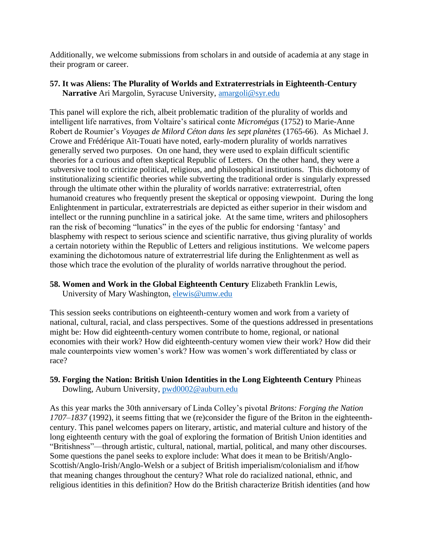Additionally, we welcome submissions from scholars in and outside of academia at any stage in their program or career.

### **57. It was Aliens: The Plurality of Worlds and Extraterrestrials in Eighteenth-Century Narrative** Ari Margolin, Syracuse University, [amargoli@syr.edu](mailto:amargoli@syr.edu)

This panel will explore the rich, albeit problematic tradition of the plurality of worlds and intelligent life narratives, from Voltaire's satirical conte *Micromégas* (1752) to Marie-Anne Robert de Roumier's *Voyages de Milord Céton dans les sept planètes* (1765-66). As Michael J. Crowe and Frédérique Aït-Touati have noted, early-modern plurality of worlds narratives generally served two purposes. On one hand, they were used to explain difficult scientific theories for a curious and often skeptical Republic of Letters. On the other hand, they were a subversive tool to criticize political, religious, and philosophical institutions. This dichotomy of institutionalizing scientific theories while subverting the traditional order is singularly expressed through the ultimate other within the plurality of worlds narrative: extraterrestrial, often humanoid creatures who frequently present the skeptical or opposing viewpoint. During the long Enlightenment in particular, extraterrestrials are depicted as either superior in their wisdom and intellect or the running punchline in a satirical joke. At the same time, writers and philosophers ran the risk of becoming "lunatics" in the eyes of the public for endorsing 'fantasy' and blasphemy with respect to serious science and scientific narrative, thus giving plurality of worlds a certain notoriety within the Republic of Letters and religious institutions. We welcome papers examining the dichotomous nature of extraterrestrial life during the Enlightenment as well as those which trace the evolution of the plurality of worlds narrative throughout the period.

**58. Women and Work in the Global Eighteenth Century** Elizabeth Franklin Lewis,

University of Mary Washington, [elewis@umw.edu](mailto:elewis@umw.edu)

This session seeks contributions on eighteenth-century women and work from a variety of national, cultural, racial, and class perspectives. Some of the questions addressed in presentations might be: How did eighteenth-century women contribute to home, regional, or national economies with their work? How did eighteenth-century women view their work? How did their male counterpoints view women's work? How was women's work differentiated by class or race?

### **59. Forging the Nation: British Union Identities in the Long Eighteenth Century** Phineas Dowling, Auburn University, [pwd0002@auburn.edu](mailto:pwd0002@auburn.edu)

As this year marks the 30th anniversary of Linda Colley's pivotal *Britons: Forging the Nation 1707–1837* (1992), it seems fitting that we (re)consider the figure of the Briton in the eighteenthcentury. This panel welcomes papers on literary, artistic, and material culture and history of the long eighteenth century with the goal of exploring the formation of British Union identities and "Britishness"—through artistic, cultural, national, martial, political, and many other discourses. Some questions the panel seeks to explore include: What does it mean to be British/Anglo-Scottish/Anglo-Irish/Anglo-Welsh or a subject of British imperialism/colonialism and if/how that meaning changes throughout the century? What role do racialized national, ethnic, and religious identities in this definition? How do the British characterize British identities (and how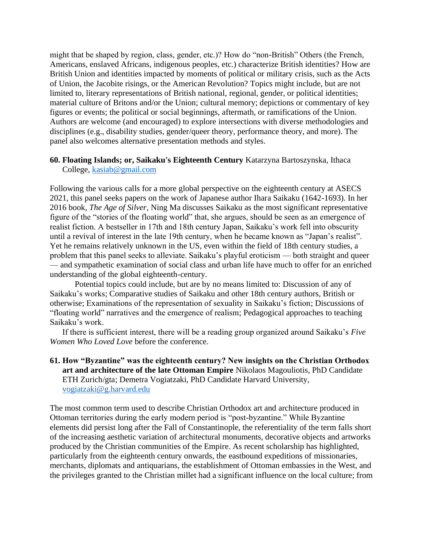might that be shaped by region, class, gender, etc.)? How do "non-British" Others (the French, Americans, enslaved Africans, indigenous peoples, etc.) characterize British identities? How are British Union and identities impacted by moments of political or military crisis, such as the Acts of Union, the Jacobite risings, or the American Revolution? Topics might include, but are not limited to, literary representations of British national, regional, gender, or political identities; material culture of Britons and/or the Union; cultural memory; depictions or commentary of key figures or events; the political or social beginnings, aftermath, or ramifications of the Union. Authors are welcome (and encouraged) to explore intersections with diverse methodologies and disciplines (e.g., disability studies, gender/queer theory, performance theory, and more). The panel also welcomes alternative presentation methods and styles.

#### **60. Floating Islands; or, Saikaku's Eighteenth Century** Katarzyna Bartoszynska, Ithaca College, [kasiab@gmail.com](mailto:kasiab@gmail.com)

Following the various calls for a more global perspective on the eighteenth century at ASECS 2021, this panel seeks papers on the work of Japanese author Ihara Saikaku (1642-1693). In her 2016 book, *The Age of Silver*, Ning Ma discusses Saikaku as the most significant representative figure of the "stories of the floating world" that, she argues, should be seen as an emergence of realist fiction. A bestseller in 17th and 18th century Japan, Saikaku's work fell into obscurity until a revival of interest in the late 19th century, when he became known as "Japan's realist". Yet he remains relatively unknown in the US, even within the field of 18th century studies, a problem that this panel seeks to alleviate. Saikaku's playful eroticism — both straight and queer — and sympathetic examination of social class and urban life have much to offer for an enriched understanding of the global eighteenth-century.

Potential topics could include, but are by no means limited to: Discussion of any of Saikaku's works; Comparative studies of Saikaku and other 18th century authors, British or otherwise; Examinations of the representation of sexuality in Saikaku's fiction; Discussions of "floating world" narratives and the emergence of realism; Pedagogical approaches to teaching Saikaku's work.

If there is sufficient interest, there will be a reading group organized around Saikaku's *Five Women Who Loved Love* before the conference.

### **61. How "Byzantine" was the eighteenth century? New insights on the Christian Orthodox art and architecture of the late Ottoman Empire** Nikolaos Magouliotis, PhD Candidate ETH Zurich/gta; Demetra Vogiatzaki, PhD Candidate Harvard University, [vogiatzaki@g.harvard.edu](mailto:vogiatzaki@g.harvard.edu)

The most common term used to describe Christian Orthodox art and architecture produced in Ottoman territories during the early modern period is "post-byzantine." While Byzantine elements did persist long after the Fall of Constantinople, the referentiality of the term falls short of the increasing aesthetic variation of architectural monuments, decorative objects and artworks produced by the Christian communities of the Empire. As recent scholarship has highlighted, particularly from the eighteenth century onwards, the eastbound expeditions of missionaries, merchants, diplomats and antiquarians, the establishment of Ottoman embassies in the West, and the privileges granted to the Christian millet had a significant influence on the local culture; from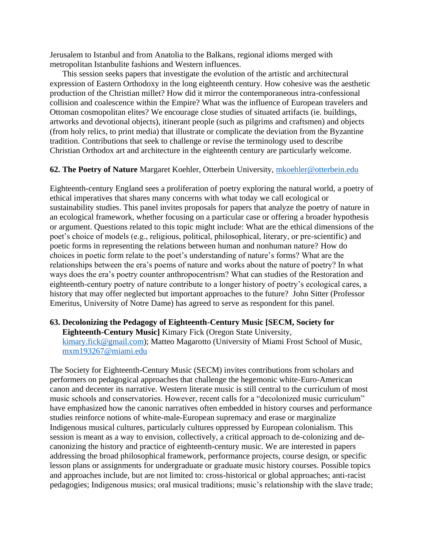Jerusalem to Istanbul and from Anatolia to the Balkans, regional idioms merged with metropolitan Istanbulite fashions and Western influences.

This session seeks papers that investigate the evolution of the artistic and architectural expression of Eastern Orthodoxy in the long eighteenth century. How cohesive was the aesthetic production of the Christian millet? How did it mirror the contemporaneous intra-confessional collision and coalescence within the Empire? What was the influence of European travelers and Ottoman cosmopolitan elites? We encourage close studies of situated artifacts (ie. buildings, artworks and devotional objects), itinerant people (such as pilgrims and craftsmen) and objects (from holy relics, to print media) that illustrate or complicate the deviation from the Byzantine tradition. Contributions that seek to challenge or revise the terminology used to describe Christian Orthodox art and architecture in the eighteenth century are particularly welcome.

#### **62. The Poetry of Nature** Margaret Koehler, Otterbein University, [mkoehler@otterbein.edu](mailto:mkoehler@otterbein.edu)

Eighteenth-century England sees a proliferation of poetry exploring the natural world, a poetry of ethical imperatives that shares many concerns with what today we call ecological or sustainability studies. This panel invites proposals for papers that analyze the poetry of nature in an ecological framework, whether focusing on a particular case or offering a broader hypothesis or argument. Questions related to this topic might include: What are the ethical dimensions of the poet's choice of models (e.g., religious, political, philosophical, literary, or pre-scientific) and poetic forms in representing the relations between human and nonhuman nature? How do choices in poetic form relate to the poet's understanding of nature's forms? What are the relationships between the era's poems of nature and works about the nature of poetry? In what ways does the era's poetry counter anthropocentrism? What can studies of the Restoration and eighteenth-century poetry of nature contribute to a longer history of poetry's ecological cares, a history that may offer neglected but important approaches to the future? John Sitter (Professor Emeritus, University of Notre Dame) has agreed to serve as respondent for this panel.

#### **63. Decolonizing the Pedagogy of Eighteenth-Century Music [SECM, Society for Eighteenth-Century Music]** Kimary Fick (Oregon State University, [kimary.fick@gmail.com\)](mailto:kimary.fick@gmail.com); Matteo Magarotto (University of Miami Frost School of Music, [mxm193267@miami.edu](mailto:mxm193267@miami.edu)

The Society for Eighteenth-Century Music (SECM) invites contributions from scholars and performers on pedagogical approaches that challenge the hegemonic white-Euro-American canon and decenter its narrative. Western literate music is still central to the curriculum of most music schools and conservatories. However, recent calls for a "decolonized music curriculum" have emphasized how the canonic narratives often embedded in history courses and performance studies reinforce notions of white-male-European supremacy and erase or marginalize Indigenous musical cultures, particularly cultures oppressed by European colonialism. This session is meant as a way to envision, collectively, a critical approach to de-colonizing and decanonizing the history and practice of eighteenth-century music. We are interested in papers addressing the broad philosophical framework, performance projects, course design, or specific lesson plans or assignments for undergraduate or graduate music history courses. Possible topics and approaches include, but are not limited to: cross-historical or global approaches; anti-racist pedagogies; Indigenous musics; oral musical traditions; music's relationship with the slave trade;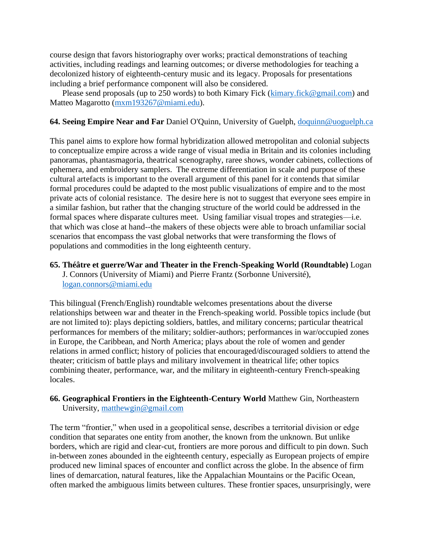course design that favors historiography over works; practical demonstrations of teaching activities, including readings and learning outcomes; or diverse methodologies for teaching a decolonized history of eighteenth-century music and its legacy. Proposals for presentations including a brief performance component will also be considered.

Please send proposals (up to 250 words) to both Kimary Fick [\(kimary.fick@gmail.com\)](mailto:kimary.fick@gmail.com) and Matteo Magarotto [\(mxm193267@miami.edu\)](mailto:mxm193267@miami.edu).

#### **64. Seeing Empire Near and Far** Daniel O'Quinn, University of Guelph, [doquinn@uoguelph.ca](mailto:doquinn@uoguelph.ca)

This panel aims to explore how formal hybridization allowed metropolitan and colonial subjects to conceptualize empire across a wide range of visual media in Britain and its colonies including panoramas, phantasmagoria, theatrical scenography, raree shows, wonder cabinets, collections of ephemera, and embroidery samplers. The extreme differentiation in scale and purpose of these cultural artefacts is important to the overall argument of this panel for it contends that similar formal procedures could be adapted to the most public visualizations of empire and to the most private acts of colonial resistance. The desire here is not to suggest that everyone sees empire in a similar fashion, but rather that the changing structure of the world could be addressed in the formal spaces where disparate cultures meet. Using familiar visual tropes and strategies—i.e. that which was close at hand--the makers of these objects were able to broach unfamiliar social scenarios that encompass the vast global networks that were transforming the flows of populations and commodities in the long eighteenth century.

**65. Théâtre et guerre/War and Theater in the French-Speaking World (Roundtable)** Logan J. Connors (University of Miami) and Pierre Frantz (Sorbonne Université), [logan.connors@miami.edu](mailto:logan.connors@miami.edu)

This bilingual (French/English) roundtable welcomes presentations about the diverse relationships between war and theater in the French-speaking world. Possible topics include (but are not limited to): plays depicting soldiers, battles, and military concerns; particular theatrical performances for members of the military; soldier-authors; performances in war/occupied zones in Europe, the Caribbean, and North America; plays about the role of women and gender relations in armed conflict; history of policies that encouraged/discouraged soldiers to attend the theater; criticism of battle plays and military involvement in theatrical life; other topics combining theater, performance, war, and the military in eighteenth-century French-speaking locales.

#### **66. Geographical Frontiers in the Eighteenth-Century World** Matthew Gin, Northeastern University, [matthewgin@gmail.com](mailto:matthewgin@gmail.com)

The term "frontier," when used in a geopolitical sense, describes a territorial division or edge condition that separates one entity from another, the known from the unknown. But unlike borders, which are rigid and clear-cut, frontiers are more porous and difficult to pin down. Such in-between zones abounded in the eighteenth century, especially as European projects of empire produced new liminal spaces of encounter and conflict across the globe. In the absence of firm lines of demarcation, natural features, like the Appalachian Mountains or the Pacific Ocean, often marked the ambiguous limits between cultures. These frontier spaces, unsurprisingly, were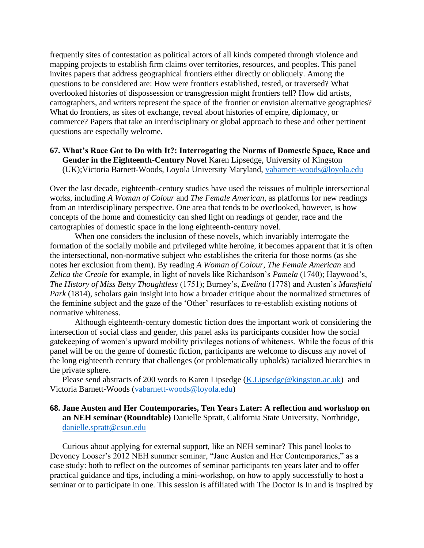frequently sites of contestation as political actors of all kinds competed through violence and mapping projects to establish firm claims over territories, resources, and peoples. This panel invites papers that address geographical frontiers either directly or obliquely. Among the questions to be considered are: How were frontiers established, tested, or traversed? What overlooked histories of dispossession or transgression might frontiers tell? How did artists, cartographers, and writers represent the space of the frontier or envision alternative geographies? What do frontiers, as sites of exchange, reveal about histories of empire, diplomacy, or commerce? Papers that take an interdisciplinary or global approach to these and other pertinent questions are especially welcome.

### **67. What's Race Got to Do with It?: Interrogating the Norms of Domestic Space, Race and Gender in the Eighteenth-Century Novel** Karen Lipsedge, University of Kingston (UK);Victoria Barnett-Woods, Loyola University Maryland, [vabarnett-woods@loyola.edu](mailto:vabarnett-woods@loyola.edu)

Over the last decade, eighteenth-century studies have used the reissues of multiple intersectional works, including *A Woman of Colour* and *The Female American*, as platforms for new readings from an interdisciplinary perspective. One area that tends to be overlooked, however, is how concepts of the home and domesticity can shed light on readings of gender, race and the cartographies of domestic space in the long eighteenth-century novel.

When one considers the inclusion of these novels, which invariably interrogate the formation of the socially mobile and privileged white heroine, it becomes apparent that it is often the intersectional, non-normative subject who establishes the criteria for those norms (as she notes her exclusion from them). By reading *A Woman of Colour*, *The Female American* and *Zelica the Creole* for example, in light of novels like Richardson's *Pamela* (1740); Haywood's, *The History of Miss Betsy Thoughtless* (1751); Burney's, *Evelina* (1778) and Austen's *Mansfield Park* (1814), scholars gain insight into how a broader critique about the normalized structures of the feminine subject and the gaze of the 'Other' resurfaces to re-establish existing notions of normative whiteness.

Although eighteenth-century domestic fiction does the important work of considering the intersection of social class and gender, this panel asks its participants consider how the social gatekeeping of women's upward mobility privileges notions of whiteness. While the focus of this panel will be on the genre of domestic fiction, participants are welcome to discuss any novel of the long eighteenth century that challenges (or problematically upholds) racialized hierarchies in the private sphere.

Please send abstracts of 200 words to Karen Lipsedge [\(K.Lipsedge@kingston.ac.uk\)](mailto:K.Lipsedge@kingston.ac.uk) and Victoria Barnett-Woods [\(vabarnett-woods@loyola.edu\)](mailto:vabarnett-woods@loyola.edu)

### **68. Jane Austen and Her Contemporaries, Ten Years Later: A reflection and workshop on an NEH seminar (Roundtable)** Danielle Spratt, California State University, Northridge, [danielle.spratt@csun.edu](mailto:danielle.spratt@csun.edu)

Curious about applying for external support, like an NEH seminar? This panel looks to Devoney Looser's 2012 NEH summer seminar, "Jane Austen and Her Contemporaries," as a case study: both to reflect on the outcomes of seminar participants ten years later and to offer practical guidance and tips, including a mini-workshop, on how to apply successfully to host a seminar or to participate in one. This session is affiliated with The Doctor Is In and is inspired by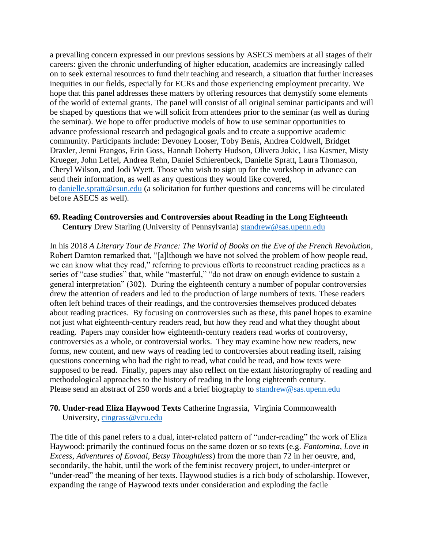a prevailing concern expressed in our previous sessions by ASECS members at all stages of their careers: given the chronic underfunding of higher education, academics are increasingly called on to seek external resources to fund their teaching and research, a situation that further increases inequities in our fields, especially for ECRs and those experiencing employment precarity. We hope that this panel addresses these matters by offering resources that demystify some elements of the world of external grants. The panel will consist of all original seminar participants and will be shaped by questions that we will solicit from attendees prior to the seminar (as well as during the seminar). We hope to offer productive models of how to use seminar opportunities to advance professional research and pedagogical goals and to create a supportive academic community. Participants include: Devoney Looser, Toby Benis, Andrea Coldwell, Bridget Draxler, Jenni Frangos, Erin Goss, Hannah Doherty Hudson, Olivera Jokic, Lisa Kasmer, Misty Krueger, John Leffel, Andrea Rehn, Daniel Schierenbeck, Danielle Spratt, Laura Thomason, Cheryl Wilson, and Jodi Wyett. Those who wish to sign up for the workshop in advance can send their information, as well as any questions they would like covered, to [danielle.spratt@csun.edu](mailto:danielle.spratt@csun.edu) (a solicitation for further questions and concerns will be circulated before ASECS as well).

#### **69. Reading Controversies and Controversies about Reading in the Long Eighteenth Century** Drew Starling (University of Pennsylvania) [standrew@sas.upenn.edu](mailto:standrew@sas.upenn.edu)

In his 2018 *A Literary Tour de France: The World of Books on the Eve of the French Revolution*, Robert Darnton remarked that, "[a]lthough we have not solved the problem of how people read, we can know what they read," referring to previous efforts to reconstruct reading practices as a series of "case studies" that, while "masterful," "do not draw on enough evidence to sustain a general interpretation" (302). During the eighteenth century a number of popular controversies drew the attention of readers and led to the production of large numbers of texts. These readers often left behind traces of their readings, and the controversies themselves produced debates about reading practices. By focusing on controversies such as these, this panel hopes to examine not just what eighteenth-century readers read, but how they read and what they thought about reading. Papers may consider how eighteenth-century readers read works of controversy, controversies as a whole, or controversial works. They may examine how new readers, new forms, new content, and new ways of reading led to controversies about reading itself, raising questions concerning who had the right to read, what could be read, and how texts were supposed to be read. Finally, papers may also reflect on the extant historiography of reading and methodological approaches to the history of reading in the long eighteenth century. Please send an abstract of 250 words and a brief biography to [standrew@sas.upenn.edu](mailto:standrew@sas.upenn.edu)

### **70. Under-read Eliza Haywood Texts** Catherine Ingrassia, Virginia Commonwealth University, [cingrass@vcu.edu](mailto:cingrass@vcu.edu)

The title of this panel refers to a dual, inter-related pattern of "under-reading" the work of Eliza Haywood: primarily the continued focus on the same dozen or so texts (e.g. *Fantomina*, *Love in Excess, Adventures of Eovaai, Betsy Thoughtless*) from the more than 72 in her oeuvre, and, secondarily, the habit, until the work of the feminist recovery project, to under-interpret or "under-read" the meaning of her texts. Haywood studies is a rich body of scholarship. However, expanding the range of Haywood texts under consideration and exploding the facile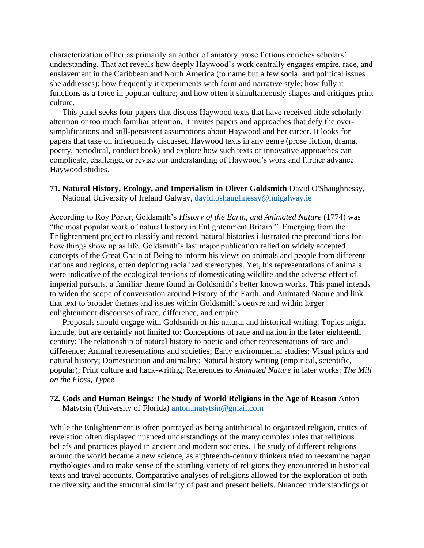characterization of her as primarily an author of amatory prose fictions enriches scholars' understanding. That act reveals how deeply Haywood's work centrally engages empire, race, and enslavement in the Caribbean and North America (to name but a few social and political issues she addresses); how frequently it experiments with form and narrative style; how fully it functions as a force in popular culture; and how often it simultaneously shapes and critiques print culture.

This panel seeks four papers that discuss Haywood texts that have received little scholarly attention or too much familiar attention. It invites papers and approaches that defy the oversimplifications and still-persistent assumptions about Haywood and her career. It looks for papers that take on infrequently discussed Haywood texts in any genre (prose fiction, drama, poetry, periodical, conduct book) and explore how such texts or innovative approaches can complicate, challenge, or revise our understanding of Haywood's work and further advance Haywood studies.

#### **71. Natural History, Ecology, and Imperialism in Oliver Goldsmith** David O'Shaughnessy, National University of Ireland Galway, [david.oshaughnessy@nuigalway.ie](mailto:david.oshaughnessy@nuigalway.ie)

According to Roy Porter, Goldsmith's *History of the Earth, and Animated Nature* (1774) was "the most popular work of natural history in Enlightenment Britain." Emerging from the Enlightenment project to classify and record, natural histories illustrated the preconditions for how things show up as life. Goldsmith's last major publication relied on widely accepted concepts of the Great Chain of Being to inform his views on animals and people from different nations and regions, often depicting racialized stereotypes. Yet, his representations of animals were indicative of the ecological tensions of domesticating wildlife and the adverse effect of imperial pursuits, a familiar theme found in Goldsmith's better known works. This panel intends to widen the scope of conversation around History of the Earth, and Animated Nature and link that text to broader themes and issues within Goldsmith's oeuvre and within larger enlightenment discourses of race, difference, and empire.

Proposals should engage with Goldsmith or his natural and historical writing. Topics might include, but are certainly not limited to: Conceptions of race and nation in the later eighteenth century; The relationship of natural history to poetic and other representations of race and difference; Animal representations and societies; Early environmental studies; Visual prints and natural history; Domestication and animality; Natural history writing (empirical, scientific, popular); Print culture and hack-writing; References to *Animated Nature* in later works: *The Mill on the Floss*, *Typee*

#### **72. Gods and Human Beings: The Study of World Religions in the Age of Reason** Anton Matytsin (University of Florida) [anton.matytsin@gmail.com](mailto:anton.matytsin@gmail.com)

While the Enlightenment is often portrayed as being antithetical to organized religion, critics of revelation often displayed nuanced understandings of the many complex roles that religious beliefs and practices played in ancient and modern societies. The study of different religions around the world became a new science, as eighteenth-century thinkers tried to reexamine pagan mythologies and to make sense of the startling variety of religions they encountered in historical texts and travel accounts. Comparative analyses of religions allowed for the exploration of both the diversity and the structural similarity of past and present beliefs. Nuanced understandings of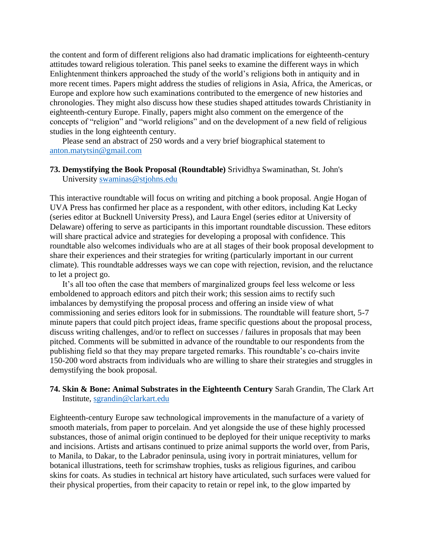the content and form of different religions also had dramatic implications for eighteenth-century attitudes toward religious toleration. This panel seeks to examine the different ways in which Enlightenment thinkers approached the study of the world's religions both in antiquity and in more recent times. Papers might address the studies of religions in Asia, Africa, the Americas, or Europe and explore how such examinations contributed to the emergence of new histories and chronologies. They might also discuss how these studies shaped attitudes towards Christianity in eighteenth-century Europe. Finally, papers might also comment on the emergence of the concepts of "religion" and "world religions" and on the development of a new field of religious studies in the long eighteenth century.

Please send an abstract of 250 words and a very brief biographical statement to [anton.matytsin@gmail.com](mailto:anton.matytsin@gmail.com)

#### **73. Demystifying the Book Proposal (Roundtable)** Srividhya Swaminathan, St. John's University [swaminas@stjohns.edu](mailto:swaminas@stjohns.edu)

This interactive roundtable will focus on writing and pitching a book proposal. Angie Hogan of UVA Press has confirmed her place as a respondent, with other editors, including Kat Lecky (series editor at Bucknell University Press), and Laura Engel (series editor at University of Delaware) offering to serve as participants in this important roundtable discussion. These editors will share practical advice and strategies for developing a proposal with confidence. This roundtable also welcomes individuals who are at all stages of their book proposal development to share their experiences and their strategies for writing (particularly important in our current climate). This roundtable addresses ways we can cope with rejection, revision, and the reluctance to let a project go.

It's all too often the case that members of marginalized groups feel less welcome or less emboldened to approach editors and pitch their work; this session aims to rectify such imbalances by demystifying the proposal process and offering an inside view of what commissioning and series editors look for in submissions. The roundtable will feature short, 5-7 minute papers that could pitch project ideas, frame specific questions about the proposal process, discuss writing challenges, and/or to reflect on successes / failures in proposals that may been pitched. Comments will be submitted in advance of the roundtable to our respondents from the publishing field so that they may prepare targeted remarks. This roundtable's co-chairs invite 150-200 word abstracts from individuals who are willing to share their strategies and struggles in demystifying the book proposal.

#### **74. Skin & Bone: Animal Substrates in the Eighteenth Century** Sarah Grandin, The Clark Art Institute, [sgrandin@clarkart.edu](mailto:sgrandin@clarkart.edu)

Eighteenth-century Europe saw technological improvements in the manufacture of a variety of smooth materials, from paper to porcelain. And yet alongside the use of these highly processed substances, those of animal origin continued to be deployed for their unique receptivity to marks and incisions. Artists and artisans continued to prize animal supports the world over, from Paris, to Manila, to Dakar, to the Labrador peninsula, using ivory in portrait miniatures, vellum for botanical illustrations, teeth for scrimshaw trophies, tusks as religious figurines, and caribou skins for coats. As studies in technical art history have articulated, such surfaces were valued for their physical properties, from their capacity to retain or repel ink, to the glow imparted by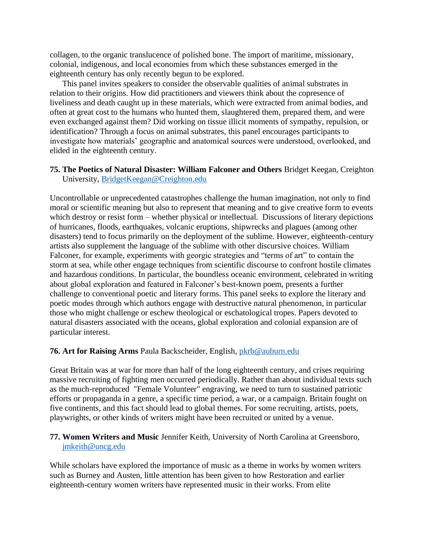collagen, to the organic translucence of polished bone. The import of maritime, missionary, colonial, indigenous, and local economies from which these substances emerged in the eighteenth century has only recently begun to be explored.

This panel invites speakers to consider the observable qualities of animal substrates in relation to their origins. How did practitioners and viewers think about the copresence of liveliness and death caught up in these materials, which were extracted from animal bodies, and often at great cost to the humans who hunted them, slaughtered them, prepared them, and were even exchanged against them? Did working on tissue illicit moments of sympathy, repulsion, or identification? Through a focus on animal substrates, this panel encourages participants to investigate how materials' geographic and anatomical sources were understood, overlooked, and elided in the eighteenth century.

### **75. The Poetics of Natural Disaster: William Falconer and Others** Bridget Keegan, Creighton University, [BridgetKeegan@Creighton.edu](mailto:BridgetKeegan@Creighton.edu)

Uncontrollable or unprecedented catastrophes challenge the human imagination, not only to find moral or scientific meaning but also to represent that meaning and to give creative form to events which destroy or resist form – whether physical or intellectual. Discussions of literary depictions of hurricanes, floods, earthquakes, volcanic eruptions, shipwrecks and plagues (among other disasters) tend to focus primarily on the deployment of the sublime. However, eighteenth-century artists also supplement the language of the sublime with other discursive choices. William Falconer, for example, experiments with georgic strategies and "terms of art" to contain the storm at sea, while other engage techniques from scientific discourse to confront hostile climates and hazardous conditions. In particular, the boundless oceanic environment, celebrated in writing about global exploration and featured in Falconer's best-known poem, presents a further challenge to conventional poetic and literary forms. This panel seeks to explore the literary and poetic modes through which authors engage with destructive natural phenomenon, in particular those who might challenge or eschew theological or eschatological tropes. Papers devoted to natural disasters associated with the oceans, global exploration and colonial expansion are of particular interest.

# **76. Art for Raising Arms** Paula Backscheider, English, [pkrb@auburn.edu](mailto:pkrb@auburn.edu)

Great Britain was at war for more than half of the long eighteenth century, and crises requiring massive recruiting of fighting men occurred periodically. Rather than about individual texts such as the much-reproduced "Female Volunteer" engraving, we need to turn to sustained patriotic efforts or propaganda in a genre, a specific time period, a war, or a campaign. Britain fought on five continents, and this fact should lead to global themes. For some recruiting, artists, poets, playwrights, or other kinds of writers might have been recruited or united by a venue.

### **77. Women Writers and Music** Jennifer Keith, University of North Carolina at Greensboro, [jmkeith@uncg.edu](mailto:jmkeith@uncg.edu)

While scholars have explored the importance of music as a theme in works by women writers such as Burney and Austen, little attention has been given to how Restoration and earlier eighteenth-century women writers have represented music in their works. From elite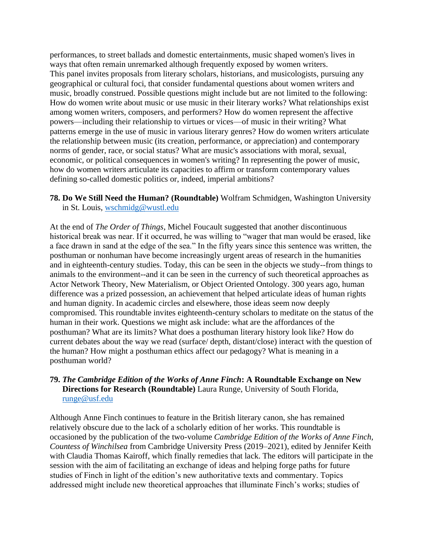performances, to street ballads and domestic entertainments, music shaped women's lives in ways that often remain unremarked although frequently exposed by women writers. This panel invites proposals from literary scholars, historians, and musicologists, pursuing any geographical or cultural foci, that consider fundamental questions about women writers and music, broadly construed. Possible questions might include but are not limited to the following: How do women write about music or use music in their literary works? What relationships exist among women writers, composers, and performers? How do women represent the affective powers—including their relationship to virtues or vices—of music in their writing? What patterns emerge in the use of music in various literary genres? How do women writers articulate the relationship between music (its creation, performance, or appreciation) and contemporary norms of gender, race, or social status? What are music's associations with moral, sexual, economic, or political consequences in women's writing? In representing the power of music, how do women writers articulate its capacities to affirm or transform contemporary values defining so-called domestic politics or, indeed, imperial ambitions?

**78. Do We Still Need the Human? (Roundtable)** Wolfram Schmidgen, Washington University in St. Louis, [wschmidg@wustl.edu](mailto:wschmidg@wustl.edu)

At the end of *The Order of Things*, Michel Foucault suggested that another discontinuous historical break was near. If it occurred, he was willing to "wager that man would be erased, like a face drawn in sand at the edge of the sea." In the fifty years since this sentence was written, the posthuman or nonhuman have become increasingly urgent areas of research in the humanities and in eighteenth-century studies. Today, this can be seen in the objects we study--from things to animals to the environment--and it can be seen in the currency of such theoretical approaches as Actor Network Theory, New Materialism, or Object Oriented Ontology. 300 years ago, human difference was a prized possession, an achievement that helped articulate ideas of human rights and human dignity. In academic circles and elsewhere, those ideas seem now deeply compromised. This roundtable invites eighteenth-century scholars to meditate on the status of the human in their work. Questions we might ask include: what are the affordances of the posthuman? What are its limits? What does a posthuman literary history look like? How do current debates about the way we read (surface/ depth, distant/close) interact with the question of the human? How might a posthuman ethics affect our pedagogy? What is meaning in a posthuman world?

# **79.** *The Cambridge Edition of the Works of Anne Finch***: A Roundtable Exchange on New Directions for Research (Roundtable)** Laura Runge, University of South Florida, [runge@usf.edu](mailto:runge@usf.edu)

Although Anne Finch continues to feature in the British literary canon, she has remained relatively obscure due to the lack of a scholarly edition of her works. This roundtable is occasioned by the publication of the two-volume *Cambridge Edition of the Works of Anne Finch, Countess of Winchilsea* from Cambridge University Press (2019–2021), edited by Jennifer Keith with Claudia Thomas Kairoff, which finally remedies that lack. The editors will participate in the session with the aim of facilitating an exchange of ideas and helping forge paths for future studies of Finch in light of the edition's new authoritative texts and commentary. Topics addressed might include new theoretical approaches that illuminate Finch's works; studies of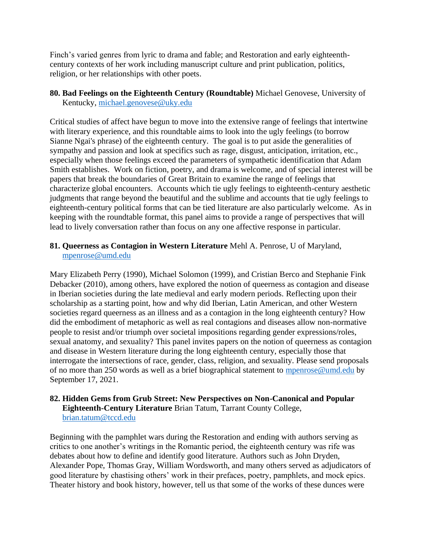Finch's varied genres from lyric to drama and fable; and Restoration and early eighteenthcentury contexts of her work including manuscript culture and print publication, politics, religion, or her relationships with other poets.

**80. Bad Feelings on the Eighteenth Century (Roundtable)** Michael Genovese, University of Kentucky, [michael.genovese@uky.edu](mailto:michael.genovese@uky.edu)

Critical studies of affect have begun to move into the extensive range of feelings that intertwine with literary experience, and this roundtable aims to look into the ugly feelings (to borrow Sianne Ngai's phrase) of the eighteenth century. The goal is to put aside the generalities of sympathy and passion and look at specifics such as rage, disgust, anticipation, irritation, etc., especially when those feelings exceed the parameters of sympathetic identification that Adam Smith establishes. Work on fiction, poetry, and drama is welcome, and of special interest will be papers that break the boundaries of Great Britain to examine the range of feelings that characterize global encounters. Accounts which tie ugly feelings to eighteenth-century aesthetic judgments that range beyond the beautiful and the sublime and accounts that tie ugly feelings to eighteenth-century political forms that can be tied literature are also particularly welcome. As in keeping with the roundtable format, this panel aims to provide a range of perspectives that will lead to lively conversation rather than focus on any one affective response in particular.

#### **81. Queerness as Contagion in Western Literature** Mehl A. Penrose, U of Maryland, [mpenrose@umd.edu](mailto:mpenrose@umd.edu)

Mary Elizabeth Perry (1990), Michael Solomon (1999), and Cristian Berco and Stephanie Fink Debacker (2010), among others, have explored the notion of queerness as contagion and disease in Iberian societies during the late medieval and early modern periods. Reflecting upon their scholarship as a starting point, how and why did Iberian, Latin American, and other Western societies regard queerness as an illness and as a contagion in the long eighteenth century? How did the embodiment of metaphoric as well as real contagions and diseases allow non-normative people to resist and/or triumph over societal impositions regarding gender expressions/roles, sexual anatomy, and sexuality? This panel invites papers on the notion of queerness as contagion and disease in Western literature during the long eighteenth century, especially those that interrogate the intersections of race, gender, class, religion, and sexuality. Please send proposals of no more than 250 words as well as a brief biographical statement to [mpenrose@umd.edu](mailto:mpenrose@umd.edu) by September 17, 2021.

### **82. Hidden Gems from Grub Street: New Perspectives on Non-Canonical and Popular Eighteenth-Century Literature** Brian Tatum, Tarrant County College, [brian.tatum@tccd.edu](mailto:brian.tatum@tccd.edu)

Beginning with the pamphlet wars during the Restoration and ending with authors serving as critics to one another's writings in the Romantic period, the eighteenth century was rife was debates about how to define and identify good literature. Authors such as John Dryden, Alexander Pope, Thomas Gray, William Wordsworth, and many others served as adjudicators of good literature by chastising others' work in their prefaces, poetry, pamphlets, and mock epics. Theater history and book history, however, tell us that some of the works of these dunces were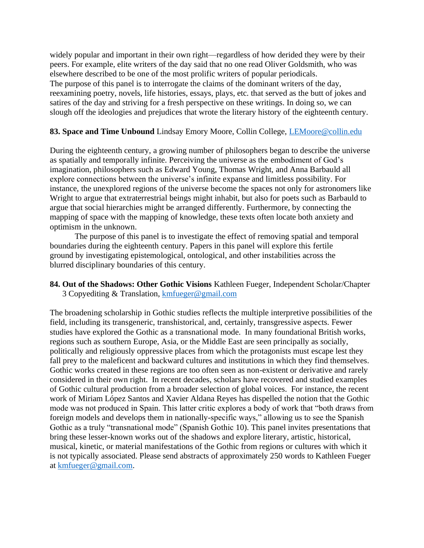widely popular and important in their own right—regardless of how derided they were by their peers. For example, elite writers of the day said that no one read Oliver Goldsmith, who was elsewhere described to be one of the most prolific writers of popular periodicals. The purpose of this panel is to interrogate the claims of the dominant writers of the day, reexamining poetry, novels, life histories, essays, plays, etc. that served as the butt of jokes and satires of the day and striving for a fresh perspective on these writings. In doing so, we can slough off the ideologies and prejudices that wrote the literary history of the eighteenth century.

#### **83. Space and Time Unbound** Lindsay Emory Moore, Collin College, [LEMoore@collin.edu](mailto:LEMoore@collin.edu)

During the eighteenth century, a growing number of philosophers began to describe the universe as spatially and temporally infinite. Perceiving the universe as the embodiment of God's imagination, philosophers such as Edward Young, Thomas Wright, and Anna Barbauld all explore connections between the universe's infinite expanse and limitless possibility. For instance, the unexplored regions of the universe become the spaces not only for astronomers like Wright to argue that extraterrestrial beings might inhabit, but also for poets such as Barbauld to argue that social hierarchies might be arranged differently. Furthermore, by connecting the mapping of space with the mapping of knowledge, these texts often locate both anxiety and optimism in the unknown.

The purpose of this panel is to investigate the effect of removing spatial and temporal boundaries during the eighteenth century. Papers in this panel will explore this fertile ground by investigating epistemological, ontological, and other instabilities across the blurred disciplinary boundaries of this century.

**84. Out of the Shadows: Other Gothic Visions** Kathleen Fueger, Independent Scholar/Chapter 3 Copyediting & Translation, [kmfueger@gmail.com](mailto:kmfueger@gmail.com)

The broadening scholarship in Gothic studies reflects the multiple interpretive possibilities of the field, including its transgeneric, transhistorical, and, certainly, transgressive aspects. Fewer studies have explored the Gothic as a transnational mode. In many foundational British works, regions such as southern Europe, Asia, or the Middle East are seen principally as socially, politically and religiously oppressive places from which the protagonists must escape lest they fall prey to the maleficent and backward cultures and institutions in which they find themselves. Gothic works created in these regions are too often seen as non-existent or derivative and rarely considered in their own right. In recent decades, scholars have recovered and studied examples of Gothic cultural production from a broader selection of global voices. For instance, the recent work of Miriam López Santos and Xavier Aldana Reyes has dispelled the notion that the Gothic mode was not produced in Spain. This latter critic explores a body of work that "both draws from foreign models and develops them in nationally-specific ways," allowing us to see the Spanish Gothic as a truly "transnational mode" (Spanish Gothic 10). This panel invites presentations that bring these lesser-known works out of the shadows and explore literary, artistic, historical, musical, kinetic, or material manifestations of the Gothic from regions or cultures with which it is not typically associated. Please send abstracts of approximately 250 words to Kathleen Fueger at [kmfueger@gmail.com.](mailto:kmfueger@gmail.com)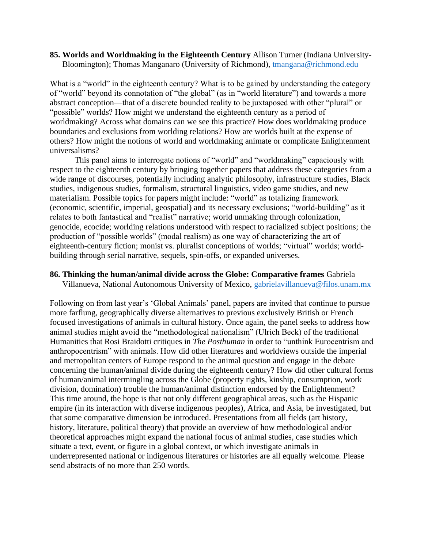#### **85. Worlds and Worldmaking in the Eighteenth Century** Allison Turner (Indiana University-Bloomington); Thomas Manganaro (University of Richmond), [tmangana@richmond.edu](mailto:tmangana@richmond.edu)

What is a "world" in the eighteenth century? What is to be gained by understanding the category of "world" beyond its connotation of "the global" (as in "world literature") and towards a more abstract conception—that of a discrete bounded reality to be juxtaposed with other "plural" or "possible" worlds? How might we understand the eighteenth century as a period of worldmaking? Across what domains can we see this practice? How does worldmaking produce boundaries and exclusions from worlding relations? How are worlds built at the expense of others? How might the notions of world and worldmaking animate or complicate Enlightenment universalisms?

This panel aims to interrogate notions of "world" and "worldmaking" capaciously with respect to the eighteenth century by bringing together papers that address these categories from a wide range of discourses, potentially including analytic philosophy, infrastructure studies, Black studies, indigenous studies, formalism, structural linguistics, video game studies, and new materialism. Possible topics for papers might include: "world" as totalizing framework (economic, scientific, imperial, geospatial) and its necessary exclusions; "world-building" as it relates to both fantastical and "realist" narrative; world unmaking through colonization, genocide, ecocide; worlding relations understood with respect to racialized subject positions; the production of "possible worlds" (modal realism) as one way of characterizing the art of eighteenth-century fiction; monist vs. pluralist conceptions of worlds; "virtual" worlds; worldbuilding through serial narrative, sequels, spin-offs, or expanded universes.

#### **86. Thinking the human/animal divide across the Globe: Comparative frames** Gabriela

Villanueva, National Autonomous University of Mexico, [gabrielavillanueva@filos.unam.mx](mailto:gabrielavillanueva@filos.unam.mx)

Following on from last year's 'Global Animals' panel, papers are invited that continue to pursue more farflung, geographically diverse alternatives to previous exclusively British or French focused investigations of animals in cultural history. Once again, the panel seeks to address how animal studies might avoid the "methodological nationalism" (Ulrich Beck) of the traditional Humanities that Rosi Braidotti critiques in *The Posthuman* in order to "unthink Eurocentrism and anthropocentrism" with animals. How did other literatures and worldviews outside the imperial and metropolitan centers of Europe respond to the animal question and engage in the debate concerning the human/animal divide during the eighteenth century? How did other cultural forms of human/animal intermingling across the Globe (property rights, kinship, consumption, work division, domination) trouble the human/animal distinction endorsed by the Enlightenment? This time around, the hope is that not only different geographical areas, such as the Hispanic empire (in its interaction with diverse indigenous peoples), Africa, and Asia, be investigated, but that some comparative dimension be introduced. Presentations from all fields (art history, history, literature, political theory) that provide an overview of how methodological and/or theoretical approaches might expand the national focus of animal studies, case studies which situate a text, event, or figure in a global context, or which investigate animals in underrepresented national or indigenous literatures or histories are all equally welcome. Please send abstracts of no more than 250 words.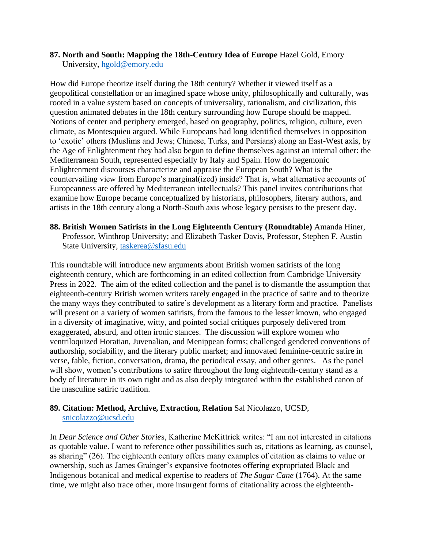#### **87. North and South: Mapping the 18th-Century Idea of Europe** Hazel Gold, Emory University, [hgold@emory.edu](mailto:hgold@emory.edu)

How did Europe theorize itself during the 18th century? Whether it viewed itself as a geopolitical constellation or an imagined space whose unity, philosophically and culturally, was rooted in a value system based on concepts of universality, rationalism, and civilization, this question animated debates in the 18th century surrounding how Europe should be mapped. Notions of center and periphery emerged, based on geography, politics, religion, culture, even climate, as Montesquieu argued. While Europeans had long identified themselves in opposition to 'exotic' others (Muslims and Jews; Chinese, Turks, and Persians) along an East-West axis, by the Age of Enlightenment they had also begun to define themselves against an internal other: the Mediterranean South, represented especially by Italy and Spain. How do hegemonic Enlightenment discourses characterize and appraise the European South? What is the countervailing view from Europe's marginal(ized) inside? That is, what alternative accounts of Europeanness are offered by Mediterranean intellectuals? This panel invites contributions that examine how Europe became conceptualized by historians, philosophers, literary authors, and artists in the 18th century along a North-South axis whose legacy persists to the present day.

### **88. British Women Satirists in the Long Eighteenth Century (Roundtable)** Amanda Hiner, Professor, Winthrop University; and Elizabeth Tasker Davis, Professor, Stephen F. Austin State University, [taskerea@sfasu.edu](mailto:taskerea@sfasu.edu)

This roundtable will introduce new arguments about British women satirists of the long eighteenth century, which are forthcoming in an edited collection from Cambridge University Press in 2022. The aim of the edited collection and the panel is to dismantle the assumption that eighteenth-century British women writers rarely engaged in the practice of satire and to theorize the many ways they contributed to satire's development as a literary form and practice. Panelists will present on a variety of women satirists, from the famous to the lesser known, who engaged in a diversity of imaginative, witty, and pointed social critiques purposely delivered from exaggerated, absurd, and often ironic stances. The discussion will explore women who ventriloquized Horatian, Juvenalian, and Menippean forms; challenged gendered conventions of authorship, sociability, and the literary public market; and innovated feminine-centric satire in verse, fable, fiction, conversation, drama, the periodical essay, and other genres. As the panel will show, women's contributions to satire throughout the long eighteenth-century stand as a body of literature in its own right and as also deeply integrated within the established canon of the masculine satiric tradition.

### **89. Citation: Method, Archive, Extraction, Relation** Sal Nicolazzo, UCSD, [snicolazzo@ucsd.edu](mailto:snicolazzo@ucsd.edu)

In *Dear Science and Other Storie*s, Katherine McKittrick writes: "I am not interested in citations as quotable value. I want to reference other possibilities such as, citations as learning, as counsel, as sharing" (26). The eighteenth century offers many examples of citation as claims to value or ownership, such as James Grainger's expansive footnotes offering expropriated Black and Indigenous botanical and medical expertise to readers of *The Sugar Cane* (1764). At the same time, we might also trace other, more insurgent forms of citationality across the eighteenth-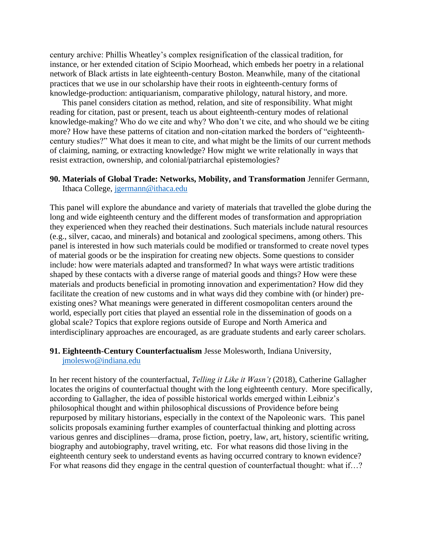century archive: Phillis Wheatley's complex resignification of the classical tradition, for instance, or her extended citation of Scipio Moorhead, which embeds her poetry in a relational network of Black artists in late eighteenth-century Boston. Meanwhile, many of the citational practices that we use in our scholarship have their roots in eighteenth-century forms of knowledge-production: antiquarianism, comparative philology, natural history, and more.

This panel considers citation as method, relation, and site of responsibility. What might reading for citation, past or present, teach us about eighteenth-century modes of relational knowledge-making? Who do we cite and why? Who don't we cite, and who should we be citing more? How have these patterns of citation and non-citation marked the borders of "eighteenthcentury studies?" What does it mean to cite, and what might be the limits of our current methods of claiming, naming, or extracting knowledge? How might we write relationally in ways that resist extraction, ownership, and colonial/patriarchal epistemologies?

#### **90. Materials of Global Trade: Networks, Mobility, and Transformation** Jennifer Germann, Ithaca College, [jgermann@ithaca.edu](mailto:jgermann@ithaca.edu)

This panel will explore the abundance and variety of materials that travelled the globe during the long and wide eighteenth century and the different modes of transformation and appropriation they experienced when they reached their destinations. Such materials include natural resources (e.g., silver, cacao, and minerals) and botanical and zoological specimens, among others. This panel is interested in how such materials could be modified or transformed to create novel types of material goods or be the inspiration for creating new objects. Some questions to consider include: how were materials adapted and transformed? In what ways were artistic traditions shaped by these contacts with a diverse range of material goods and things? How were these materials and products beneficial in promoting innovation and experimentation? How did they facilitate the creation of new customs and in what ways did they combine with (or hinder) preexisting ones? What meanings were generated in different cosmopolitan centers around the world, especially port cities that played an essential role in the dissemination of goods on a global scale? Topics that explore regions outside of Europe and North America and interdisciplinary approaches are encouraged, as are graduate students and early career scholars.

#### **91. Eighteenth-Century Counterfactualism** Jesse Molesworth, Indiana University, [jmoleswo@indiana.edu](mailto:jmoleswo@indiana.edu)

In her recent history of the counterfactual, *Telling it Like it Wasn't* (2018), Catherine Gallagher locates the origins of counterfactual thought with the long eighteenth century. More specifically, according to Gallagher, the idea of possible historical worlds emerged within Leibniz's philosophical thought and within philosophical discussions of Providence before being repurposed by military historians, especially in the context of the Napoleonic wars. This panel solicits proposals examining further examples of counterfactual thinking and plotting across various genres and disciplines—drama, prose fiction, poetry, law, art, history, scientific writing, biography and autobiography, travel writing, etc. For what reasons did those living in the eighteenth century seek to understand events as having occurred contrary to known evidence? For what reasons did they engage in the central question of counterfactual thought: what if…?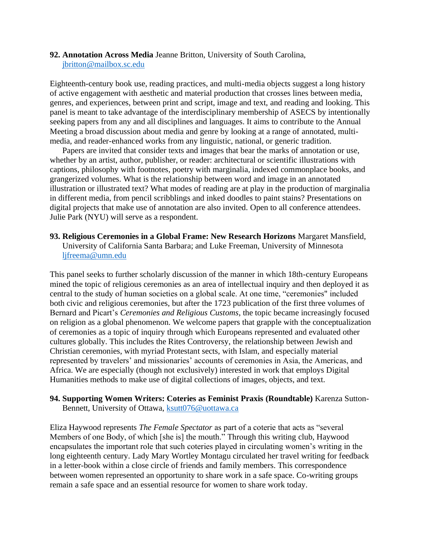#### **92. Annotation Across Media** Jeanne Britton, University of South Carolina, [jbritton@mailbox.sc.edu](mailto:jbritton@mailbox.sc.edu)

Eighteenth-century book use, reading practices, and multi-media objects suggest a long history of active engagement with aesthetic and material production that crosses lines between media, genres, and experiences, between print and script, image and text, and reading and looking. This panel is meant to take advantage of the interdisciplinary membership of ASECS by intentionally seeking papers from any and all disciplines and languages. It aims to contribute to the Annual Meeting a broad discussion about media and genre by looking at a range of annotated, multimedia, and reader-enhanced works from any linguistic, national, or generic tradition.

Papers are invited that consider texts and images that bear the marks of annotation or use, whether by an artist, author, publisher, or reader: architectural or scientific illustrations with captions, philosophy with footnotes, poetry with marginalia, indexed commonplace books, and grangerized volumes. What is the relationship between word and image in an annotated illustration or illustrated text? What modes of reading are at play in the production of marginalia in different media, from pencil scribblings and inked doodles to paint stains? Presentations on digital projects that make use of annotation are also invited. Open to all conference attendees. Julie Park (NYU) will serve as a respondent.

#### **93. Religious Ceremonies in a Global Frame: New Research Horizons** Margaret Mansfield, University of California Santa Barbara; and Luke Freeman, University of Minnesota [ljfreema@umn.edu](mailto:ljfreema@umn.edu)

This panel seeks to further scholarly discussion of the manner in which 18th-century Europeans mined the topic of religious ceremonies as an area of intellectual inquiry and then deployed it as central to the study of human societies on a global scale. At one time, "ceremonies" included both civic and religious ceremonies, but after the 1723 publication of the first three volumes of Bernard and Picart's *Ceremonies and Religious Customs*, the topic became increasingly focused on religion as a global phenomenon. We welcome papers that grapple with the conceptualization of ceremonies as a topic of inquiry through which Europeans represented and evaluated other cultures globally. This includes the Rites Controversy, the relationship between Jewish and Christian ceremonies, with myriad Protestant sects, with Islam, and especially material represented by travelers' and missionaries' accounts of ceremonies in Asia, the Americas, and Africa. We are especially (though not exclusively) interested in work that employs Digital Humanities methods to make use of digital collections of images, objects, and text.

#### **94. Supporting Women Writers: Coteries as Feminist Praxis (Roundtable)** Karenza Sutton-Bennett, University of Ottawa, [ksutt076@uottawa.ca](mailto:ksutt076@uottawa.ca)

Eliza Haywood represents *The Female Spectator* as part of a coterie that acts as "several Members of one Body, of which [she is] the mouth." Through this writing club, Haywood encapsulates the important role that such coteries played in circulating women's writing in the long eighteenth century. Lady Mary Wortley Montagu circulated her travel writing for feedback in a letter-book within a close circle of friends and family members. This correspondence between women represented an opportunity to share work in a safe space. Co-writing groups remain a safe space and an essential resource for women to share work today.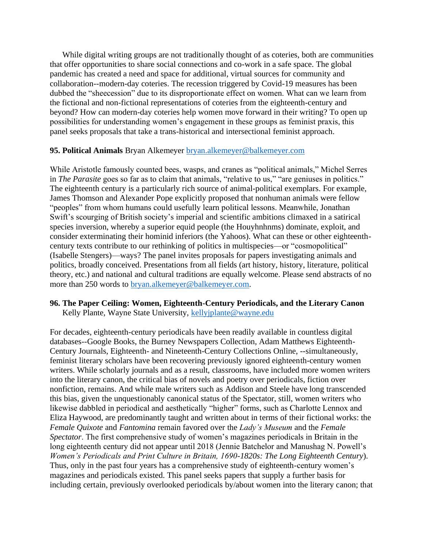While digital writing groups are not traditionally thought of as coteries, both are communities that offer opportunities to share social connections and co-work in a safe space. The global pandemic has created a need and space for additional, virtual sources for community and collaboration--modern-day coteries. The recession triggered by Covid-19 measures has been dubbed the "sheecession" due to its disproportionate effect on women. What can we learn from the fictional and non-fictional representations of coteries from the eighteenth-century and beyond? How can modern-day coteries help women move forward in their writing? To open up possibilities for understanding women's engagement in these groups as feminist praxis, this panel seeks proposals that take a trans-historical and intersectional feminist approach.

#### **95. Political Animals** Bryan Alkemeyer [bryan.alkemeyer@balkemeyer.com](mailto:bryan.alkemeyer@balkemeyer.com)

While Aristotle famously counted bees, wasps, and cranes as "political animals," Michel Serres in *The Parasite* goes so far as to claim that animals, "relative to us," "are geniuses in politics." The eighteenth century is a particularly rich source of animal-political exemplars. For example, James Thomson and Alexander Pope explicitly proposed that nonhuman animals were fellow "peoples" from whom humans could usefully learn political lessons. Meanwhile, Jonathan Swift's scourging of British society's imperial and scientific ambitions climaxed in a satirical species inversion, whereby a superior equid people (the Houyhnhnms) dominate, exploit, and consider exterminating their hominid inferiors (the Yahoos). What can these or other eighteenthcentury texts contribute to our rethinking of politics in multispecies—or "cosmopolitical" (Isabelle Stengers)—ways? The panel invites proposals for papers investigating animals and politics, broadly conceived. Presentations from all fields (art history, history, literature, political theory, etc.) and national and cultural traditions are equally welcome. Please send abstracts of no more than 250 words to [bryan.alkemeyer@balkemeyer.com.](mailto:bryan.alkemeyer@balkemeyer.com)

#### **96. The Paper Ceiling: Women, Eighteenth-Century Periodicals, and the Literary Canon** Kelly Plante, Wayne State University, [kellyjplante@wayne.edu](mailto:kellyjplante@wayne.edu)

For decades, eighteenth-century periodicals have been readily available in countless digital databases--Google Books, the Burney Newspapers Collection, Adam Matthews Eighteenth-Century Journals, Eighteenth- and Nineteenth-Century Collections Online, --simultaneously, feminist literary scholars have been recovering previously ignored eighteenth-century women writers. While scholarly journals and as a result, classrooms, have included more women writers into the literary canon, the critical bias of novels and poetry over periodicals, fiction over nonfiction, remains. And while male writers such as Addison and Steele have long transcended this bias, given the unquestionably canonical status of the Spectator, still, women writers who likewise dabbled in periodical and aesthetically "higher" forms, such as Charlotte Lennox and Eliza Haywood, are predominantly taught and written about in terms of their fictional works: the *Female Quixote* and *Fantomina* remain favored over the *Lady's Museum* and the *Female Spectator*. The first comprehensive study of women's magazines periodicals in Britain in the long eighteenth century did not appear until 2018 (Jennie Batchelor and Manushag N. Powell's *Women's Periodicals and Print Culture in Britain, 1690-1820s: The Long Eighteenth Century*). Thus, only in the past four years has a comprehensive study of eighteenth-century women's magazines and periodicals existed. This panel seeks papers that supply a further basis for including certain, previously overlooked periodicals by/about women into the literary canon; that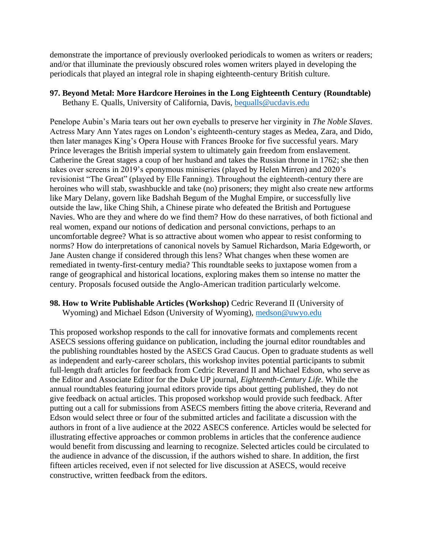demonstrate the importance of previously overlooked periodicals to women as writers or readers; and/or that illuminate the previously obscured roles women writers played in developing the periodicals that played an integral role in shaping eighteenth-century British culture.

## **97. Beyond Metal: More Hardcore Heroines in the Long Eighteenth Century (Roundtable)**

Bethany E. Qualls, University of California, Davis, [bequalls@ucdavis.edu](mailto:bequalls@ucdavis.edu)

Penelope Aubin's Maria tears out her own eyeballs to preserve her virginity in *The Noble Slaves*. Actress Mary Ann Yates rages on London's eighteenth-century stages as Medea, Zara, and Dido, then later manages King's Opera House with Frances Brooke for five successful years. Mary Prince leverages the British imperial system to ultimately gain freedom from enslavement. Catherine the Great stages a coup of her husband and takes the Russian throne in 1762; she then takes over screens in 2019's eponymous miniseries (played by Helen Mirren) and 2020's revisionist "The Great" (played by Elle Fanning). Throughout the eighteenth-century there are heroines who will stab, swashbuckle and take (no) prisoners; they might also create new artforms like Mary Delany, govern like Badshah Begum of the Mughal Empire, or successfully live outside the law, like Ching Shih, a Chinese pirate who defeated the British and Portuguese Navies. Who are they and where do we find them? How do these narratives, of both fictional and real women, expand our notions of dedication and personal convictions, perhaps to an uncomfortable degree? What is so attractive about women who appear to resist conforming to norms? How do interpretations of canonical novels by Samuel Richardson, Maria Edgeworth, or Jane Austen change if considered through this lens? What changes when these women are remediated in twenty-first-century media? This roundtable seeks to juxtapose women from a range of geographical and historical locations, exploring makes them so intense no matter the century. Proposals focused outside the Anglo-American tradition particularly welcome.

## **98. How to Write Publishable Articles (Workshop)** Cedric Reverand II (University of Wyoming) and Michael Edson (University of Wyoming), [medson@uwyo.edu](mailto:medson@uwyo.edu)

This proposed workshop responds to the call for innovative formats and complements recent ASECS sessions offering guidance on publication, including the journal editor roundtables and the publishing roundtables hosted by the ASECS Grad Caucus. Open to graduate students as well as independent and early-career scholars, this workshop invites potential participants to submit full-length draft articles for feedback from Cedric Reverand II and Michael Edson, who serve as the Editor and Associate Editor for the Duke UP journal, *Eighteenth-Century Life*. While the annual roundtables featuring journal editors provide tips about getting published, they do not give feedback on actual articles. This proposed workshop would provide such feedback. After putting out a call for submissions from ASECS members fitting the above criteria, Reverand and Edson would select three or four of the submitted articles and facilitate a discussion with the authors in front of a live audience at the 2022 ASECS conference. Articles would be selected for illustrating effective approaches or common problems in articles that the conference audience would benefit from discussing and learning to recognize. Selected articles could be circulated to the audience in advance of the discussion, if the authors wished to share. In addition, the first fifteen articles received, even if not selected for live discussion at ASECS, would receive constructive, written feedback from the editors.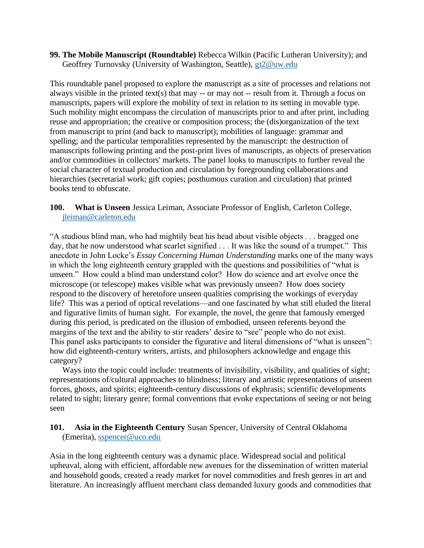**99. The Mobile Manuscript (Roundtable)** Rebecca Wilkin (Pacific Lutheran University); and Geoffrey Turnovsky (University of Washington, Seattle), [gt2@uw.edu](mailto:gt2@uw.edu)

This roundtable panel proposed to explore the manuscript as a site of processes and relations not always visible in the printed text(s) that may -- or may not -- result from it. Through a focus on manuscripts, papers will explore the mobility of text in relation to its setting in movable type. Such mobility might encompass the circulation of manuscripts prior to and after print, including reuse and appropriation; the creative or composition process; the (dis)organization of the text from manuscript to print (and back to manuscript); mobilities of language: grammar and spelling; and the particular temporalities represented by the manuscript: the destruction of manuscripts following printing and the post-print lives of manuscripts, as objects of preservation and/or commodities in collectors' markets. The panel looks to manuscripts to further reveal the social character of textual production and circulation by foregrounding collaborations and hierarchies (secretarial work; gift copies; posthumous curation and circulation) that printed books tend to obfuscate.

**100. What is Unseen** Jessica Leiman, Associate Professor of English, Carleton College, [jleiman@carleton.edu](mailto:jleiman@carleton.edu)

"A studious blind man, who had mightily beat his head about visible objects . . . bragged one day, that he now understood what scarlet signified . . . It was like the sound of a trumpet." This anecdote in John Locke's *Essay Concerning Human Understanding* marks one of the many ways in which the long eighteenth century grappled with the questions and possibilities of "what is unseen." How could a blind man understand color? How do science and art evolve once the microscope (or telescope) makes visible what was previously unseen? How does society respond to the discovery of heretofore unseen qualities comprising the workings of everyday life? This was a period of optical revelations—and one fascinated by what still eluded the literal and figurative limits of human sight. For example, the novel, the genre that famously emerged during this period, is predicated on the illusion of embodied, unseen referents beyond the margins of the text and the ability to stir readers' desire to "see" people who do not exist. This panel asks participants to consider the figurative and literal dimensions of "what is unseen": how did eighteenth-century writers, artists, and philosophers acknowledge and engage this category?

Ways into the topic could include: treatments of invisibility, visibility, and qualities of sight; representations of/cultural approaches to blindness; literary and artistic representations of unseen forces, ghosts, and spirits; eighteenth-century discussions of ekphrasis; scientific developments related to sight; literary genre; formal conventions that evoke expectations of seeing or not being seen

## **101. Asia in the Eighteenth Century** Susan Spencer, University of Central Oklahoma (Emerita), [sspencer@uco.edu](mailto:sspencer@uco.edu)

Asia in the long eighteenth century was a dynamic place. Widespread social and political upheaval, along with efficient, affordable new avenues for the dissemination of written material and household goods, created a ready market for novel commodities and fresh genres in art and literature. An increasingly affluent merchant class demanded luxury goods and commodities that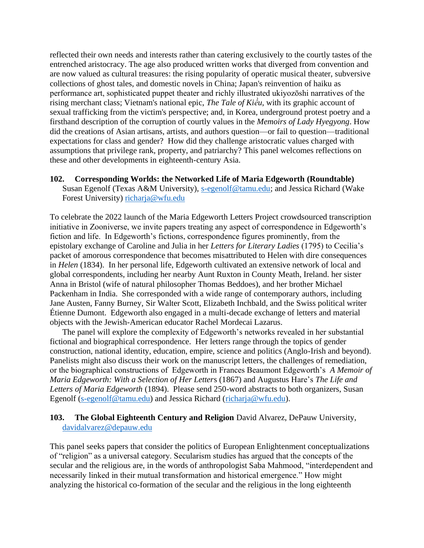reflected their own needs and interests rather than catering exclusively to the courtly tastes of the entrenched aristocracy. The age also produced written works that diverged from convention and are now valued as cultural treasures: the rising popularity of operatic musical theater, subversive collections of ghost tales, and domestic novels in China; Japan's reinvention of haiku as performance art, sophisticated puppet theater and richly illustrated ukiyozōshi narratives of the rising merchant class; Vietnam's national epic, *The Tale of Kiều*, with its graphic account of sexual trafficking from the victim's perspective; and, in Korea, underground protest poetry and a firsthand description of the corruption of courtly values in the *Memoirs of Lady Hyegyong*. How did the creations of Asian artisans, artists, and authors question—or fail to question—traditional expectations for class and gender? How did they challenge aristocratic values charged with assumptions that privilege rank, property, and patriarchy? This panel welcomes reflections on these and other developments in eighteenth-century Asia.

#### **102. Corresponding Worlds: the Networked Life of Maria Edgeworth (Roundtable)**

Susan Egenolf (Texas A&M University), [s-egenolf@tamu.edu;](mailto:s-egenolf@tamu.edu) and Jessica Richard (Wake Forest University) [richarja@wfu.edu](mailto:richarja@wfu.edu)

To celebrate the 2022 launch of the Maria Edgeworth Letters Project crowdsourced transcription initiative in Zooniverse, we invite papers treating any aspect of correspondence in Edgeworth's fiction and life. In Edgeworth's fictions, correspondence figures prominently, from the epistolary exchange of Caroline and Julia in her *Letters for Literary Ladies* (1795) to Cecilia's packet of amorous correspondence that becomes misattributed to Helen with dire consequences in *Helen* (1834). In her personal life, Edgeworth cultivated an extensive network of local and global correspondents, including her nearby Aunt Ruxton in County Meath, Ireland. her sister Anna in Bristol (wife of natural philosopher Thomas Beddoes), and her brother Michael Packenham in India. She corresponded with a wide range of contemporary authors, including Jane Austen, Fanny Burney, Sir Walter Scott, Elizabeth Inchbald, and the Swiss political writer Étienne Dumont. Edgeworth also engaged in a multi-decade exchange of letters and material objects with the Jewish-American educator Rachel Mordecai Lazarus.

The panel will explore the complexity of Edgeworth's networks revealed in her substantial fictional and biographical correspondence. Her letters range through the topics of gender construction, national identity, education, empire, science and politics (Anglo-Irish and beyond). Panelists might also discuss their work on the manuscript letters, the challenges of remediation, or the biographical constructions of Edgeworth in Frances Beaumont Edgeworth's *A Memoir of Maria Edgeworth: With a Selection of Her Letter*s (1867) and Augustus Hare's *The Life and Letters of Maria Edgeworth* (1894). Please send 250-word abstracts to both organizers, Susan Egenolf [\(s-egenolf@tamu.edu\)](mailto:s-egenolf@tamu.edu) and Jessica Richard [\(richarja@wfu.edu\)](mailto:richarja@wfu.edu).

#### **103. The Global Eighteenth Century and Religion** David Alvarez, DePauw University, [davidalvarez@depauw.edu](mailto:davidalvarez@depauw.edu)

This panel seeks papers that consider the politics of European Enlightenment conceptualizations of "religion" as a universal category. Secularism studies has argued that the concepts of the secular and the religious are, in the words of anthropologist Saba Mahmood, "interdependent and necessarily linked in their mutual transformation and historical emergence." How might analyzing the historical co-formation of the secular and the religious in the long eighteenth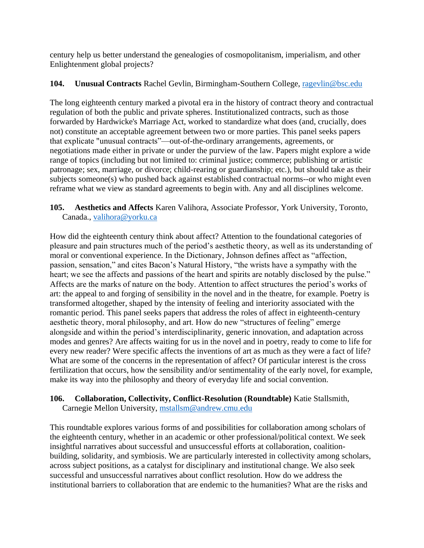century help us better understand the genealogies of cosmopolitanism, imperialism, and other Enlightenment global projects?

## **104. Unusual Contracts** Rachel Gevlin, Birmingham-Southern College, [ragevlin@bsc.edu](mailto:ragevlin@bsc.edu)

The long eighteenth century marked a pivotal era in the history of contract theory and contractual regulation of both the public and private spheres. Institutionalized contracts, such as those forwarded by Hardwicke's Marriage Act, worked to standardize what does (and, crucially, does not) constitute an acceptable agreement between two or more parties. This panel seeks papers that explicate "unusual contracts"—out-of-the-ordinary arrangements, agreements, or negotiations made either in private or under the purview of the law. Papers might explore a wide range of topics (including but not limited to: criminal justice; commerce; publishing or artistic patronage; sex, marriage, or divorce; child-rearing or guardianship; etc.), but should take as their subjects someone(s) who pushed back against established contractual norms--or who might even reframe what we view as standard agreements to begin with. Any and all disciplines welcome.

## **105. Aesthetics and Affects** Karen Valihora, Associate Professor, York University, Toronto, Canada., [valihora@yorku.ca](mailto:valihora@yorku.ca)

How did the eighteenth century think about affect? Attention to the foundational categories of pleasure and pain structures much of the period's aesthetic theory, as well as its understanding of moral or conventional experience. In the Dictionary, Johnson defines affect as "affection, passion, sensation," and cites Bacon's Natural History, "the wrists have a sympathy with the heart; we see the affects and passions of the heart and spirits are notably disclosed by the pulse." Affects are the marks of nature on the body. Attention to affect structures the period's works of art: the appeal to and forging of sensibility in the novel and in the theatre, for example. Poetry is transformed altogether, shaped by the intensity of feeling and interiority associated with the romantic period. This panel seeks papers that address the roles of affect in eighteenth-century aesthetic theory, moral philosophy, and art. How do new "structures of feeling" emerge alongside and within the period's interdisciplinarity, generic innovation, and adaptation across modes and genres? Are affects waiting for us in the novel and in poetry, ready to come to life for every new reader? Were specific affects the inventions of art as much as they were a fact of life? What are some of the concerns in the representation of affect? Of particular interest is the cross fertilization that occurs, how the sensibility and/or sentimentality of the early novel, for example, make its way into the philosophy and theory of everyday life and social convention.

#### **106. Collaboration, Collectivity, Conflict-Resolution (Roundtable)** Katie Stallsmith, Carnegie Mellon University, [mstallsm@andrew.cmu.edu](mailto:mstallsm@andrew.cmu.edu)

This roundtable explores various forms of and possibilities for collaboration among scholars of the eighteenth century, whether in an academic or other professional/political context. We seek insightful narratives about successful and unsuccessful efforts at collaboration, coalitionbuilding, solidarity, and symbiosis. We are particularly interested in collectivity among scholars, across subject positions, as a catalyst for disciplinary and institutional change. We also seek successful and unsuccessful narratives about conflict resolution. How do we address the institutional barriers to collaboration that are endemic to the humanities? What are the risks and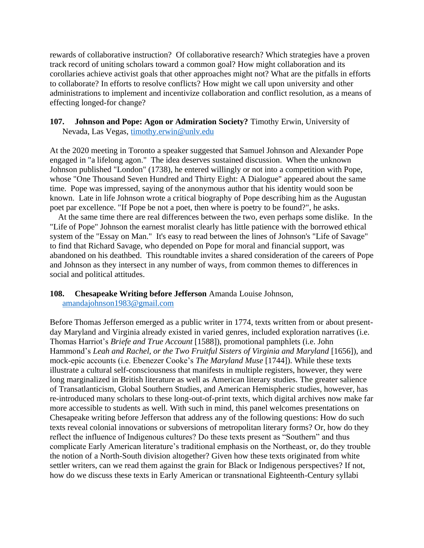rewards of collaborative instruction? Of collaborative research? Which strategies have a proven track record of uniting scholars toward a common goal? How might collaboration and its corollaries achieve activist goals that other approaches might not? What are the pitfalls in efforts to collaborate? In efforts to resolve conflicts? How might we call upon university and other administrations to implement and incentivize collaboration and conflict resolution, as a means of effecting longed-for change?

#### **107. Johnson and Pope: Agon or Admiration Society?** Timothy Erwin, University of Nevada, Las Vegas, [timothy.erwin@unlv.edu](mailto:timothy.erwin@unlv.edu)

At the 2020 meeting in Toronto a speaker suggested that Samuel Johnson and Alexander Pope engaged in "a lifelong agon." The idea deserves sustained discussion. When the unknown Johnson published "London" (1738), he entered willingly or not into a competition with Pope, whose "One Thousand Seven Hundred and Thirty Eight: A Dialogue" appeared about the same time. Pope was impressed, saying of the anonymous author that his identity would soon be known. Late in life Johnson wrote a critical biography of Pope describing him as the Augustan poet par excellence. "If Pope be not a poet, then where is poetry to be found?", he asks.

 At the same time there are real differences between the two, even perhaps some dislike. In the "Life of Pope" Johnson the earnest moralist clearly has little patience with the borrowed ethical system of the "Essay on Man." It's easy to read between the lines of Johnson's "Life of Savage" to find that Richard Savage, who depended on Pope for moral and financial support, was abandoned on his deathbed. This roundtable invites a shared consideration of the careers of Pope and Johnson as they intersect in any number of ways, from common themes to differences in social and political attitudes.

#### **108. Chesapeake Writing before Jefferson** Amanda Louise Johnson, [amandajohnson1983@gmail.com](mailto:amandajohnson1983@gmail.com)

Before Thomas Jefferson emerged as a public writer in 1774, texts written from or about presentday Maryland and Virginia already existed in varied genres, included exploration narratives (i.e. Thomas Harriot's *Briefe and True Account* [1588]), promotional pamphlets (i.e. John Hammond's *Leah and Rachel, or the Two Fruitful Sisters of Virginia and Maryland* [1656]), and mock-epic accounts (i.e. Ebenezer Cooke's *The Maryland Muse* [1744]). While these texts illustrate a cultural self-consciousness that manifests in multiple registers, however, they were long marginalized in British literature as well as American literary studies. The greater salience of Transatlanticism, Global Southern Studies, and American Hemispheric studies, however, has re-introduced many scholars to these long-out-of-print texts, which digital archives now make far more accessible to students as well. With such in mind, this panel welcomes presentations on Chesapeake writing before Jefferson that address any of the following questions: How do such texts reveal colonial innovations or subversions of metropolitan literary forms? Or, how do they reflect the influence of Indigenous cultures? Do these texts present as "Southern" and thus complicate Early American literature's traditional emphasis on the Northeast, or, do they trouble the notion of a North-South division altogether? Given how these texts originated from white settler writers, can we read them against the grain for Black or Indigenous perspectives? If not, how do we discuss these texts in Early American or transnational Eighteenth-Century syllabi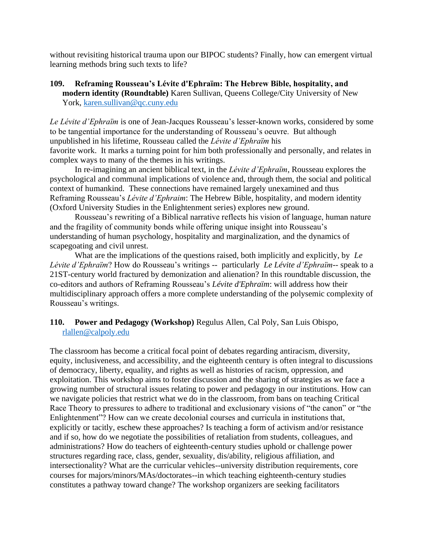without revisiting historical trauma upon our BIPOC students? Finally, how can emergent virtual learning methods bring such texts to life?

## **109. Reframing Rousseau's Lévite d'Ephraïm: The Hebrew Bible, hospitality, and modern identity (Roundtable)** Karen Sullivan, Queens College/City University of New York, [karen.sullivan@qc.cuny.edu](mailto:karen.sullivan@qc.cuny.edu)

*Le Lévite d'Ephraïm* is one of Jean-Jacques Rousseau's lesser-known works, considered by some to be tangential importance for the understanding of Rousseau's oeuvre. But although unpublished in his lifetime, Rousseau called the *Lévite d'Ephraïm* his favorite work. It marks a turning point for him both professionally and personally, and relates in complex ways to many of the themes in his writings.

In re-imagining an ancient biblical text, in the *Lévite d'Ephraïm*, Rousseau explores the psychological and communal implications of violence and, through them, the social and political context of humankind. These connections have remained largely unexamined and thus Reframing Rousseau's *Lévite d'Ephraim*: The Hebrew Bible, hospitality, and modern identity (Oxford University Studies in the Enlightenment series) explores new ground.

Rousseau's rewriting of a Biblical narrative reflects his vision of language, human nature and the fragility of community bonds while offering unique insight into Rousseau's understanding of human psychology, hospitality and marginalization, and the dynamics of scapegoating and civil unrest.

What are the implications of the questions raised, both implicitly and explicitly, by *Le Lévite d'Ephraïm*? How do Rousseau's writings -- particularly *Le Lévite d'Ephraïm*-- speak to a 21ST-century world fractured by demonization and alienation? In this roundtable discussion, the co-editors and authors of Reframing Rousseau's *Lévite d'Ephraïm*: will address how their multidisciplinary approach offers a more complete understanding of the polysemic complexity of Rousseau's writings.

## **110. Power and Pedagogy (Workshop)** Regulus Allen, Cal Poly, San Luis Obispo, [rlallen@calpoly.edu](mailto:rlallen@calpoly.edu)

The classroom has become a critical focal point of debates regarding antiracism, diversity, equity, inclusiveness, and accessibility, and the eighteenth century is often integral to discussions of democracy, liberty, equality, and rights as well as histories of racism, oppression, and exploitation. This workshop aims to foster discussion and the sharing of strategies as we face a growing number of structural issues relating to power and pedagogy in our institutions. How can we navigate policies that restrict what we do in the classroom, from bans on teaching Critical Race Theory to pressures to adhere to traditional and exclusionary visions of "the canon" or "the Enlightenment"? How can we create decolonial courses and curricula in institutions that, explicitly or tacitly, eschew these approaches? Is teaching a form of activism and/or resistance and if so, how do we negotiate the possibilities of retaliation from students, colleagues, and administrations? How do teachers of eighteenth-century studies uphold or challenge power structures regarding race, class, gender, sexuality, dis/ability, religious affiliation, and intersectionality? What are the curricular vehicles--university distribution requirements, core courses for majors/minors/MAs/doctorates--in which teaching eighteenth-century studies constitutes a pathway toward change? The workshop organizers are seeking facilitators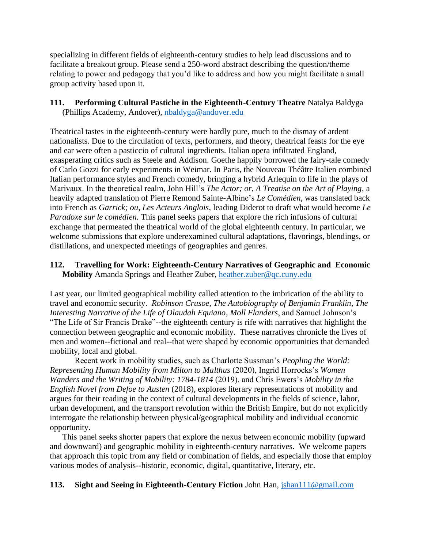specializing in different fields of eighteenth-century studies to help lead discussions and to facilitate a breakout group. Please send a 250-word abstract describing the question/theme relating to power and pedagogy that you'd like to address and how you might facilitate a small group activity based upon it.

#### **111. Performing Cultural Pastiche in the Eighteenth-Century Theatre** Natalya Baldyga (Phillips Academy, Andover), [nbaldyga@andover.edu](mailto:nbaldyga@andover.edu)

Theatrical tastes in the eighteenth-century were hardly pure, much to the dismay of ardent nationalists. Due to the circulation of texts, performers, and theory, theatrical feasts for the eye and ear were often a pasticcio of cultural ingredients. Italian opera infiltrated England, exasperating critics such as Steele and Addison. Goethe happily borrowed the fairy-tale comedy of Carlo Gozzi for early experiments in Weimar. In Paris, the Nouveau Théâtre Italien combined Italian performance styles and French comedy, bringing a hybrid Arlequin to life in the plays of Marivaux. In the theoretical realm, John Hill's *The Actor; or, A Treatise on the Art of Playing*, a heavily adapted translation of Pierre Remond Sainte-Albine's *Le Comédien*, was translated back into French as *Garrick; ou, Les Acteurs Anglois*, leading Diderot to draft what would become *Le Paradoxe sur le comédien.* This panel seeks papers that explore the rich infusions of cultural exchange that permeated the theatrical world of the global eighteenth century. In particular, we welcome submissions that explore underexamined cultural adaptations, flavorings, blendings, or distillations, and unexpected meetings of geographies and genres.

## **112. Travelling for Work: Eighteenth-Century Narratives of Geographic and Economic Mobility** Amanda Springs and Heather Zuber, [heather.zuber@qc.cuny.edu](mailto:heather.zuber@qc.cuny.edu)

Last year, our limited geographical mobility called attention to the imbrication of the ability to travel and economic security. *Robinson Crusoe*, *The Autobiography of Benjamin Franklin*, *The Interesting Narrative of the Life of Olaudah Equiano*, *Moll Flanders*, and Samuel Johnson's "The Life of Sir Francis Drake"--the eighteenth century is rife with narratives that highlight the connection between geographic and economic mobility. These narratives chronicle the lives of men and women--fictional and real--that were shaped by economic opportunities that demanded mobility, local and global.

Recent work in mobility studies, such as Charlotte Sussman's *Peopling the World: Representing Human Mobility from Milton to Malthus* (2020), Ingrid Horrocks's *Women Wanders and the Writing of Mobility: 1784-1814* (2019), and Chris Ewers's *Mobility in the English Novel from Defoe to Austen* (2018), explores literary representations of mobility and argues for their reading in the context of cultural developments in the fields of science, labor, urban development, and the transport revolution within the British Empire, but do not explicitly interrogate the relationship between physical/geographical mobility and individual economic opportunity.

This panel seeks shorter papers that explore the nexus between economic mobility (upward and downward) and geographic mobility in eighteenth-century narratives. We welcome papers that approach this topic from any field or combination of fields, and especially those that employ various modes of analysis--historic, economic, digital, quantitative, literary, etc.

#### **113. Sight and Seeing in Eighteenth-Century Fiction** John Han, [jshan111@gmail.com](mailto:jshan111@gmail.com)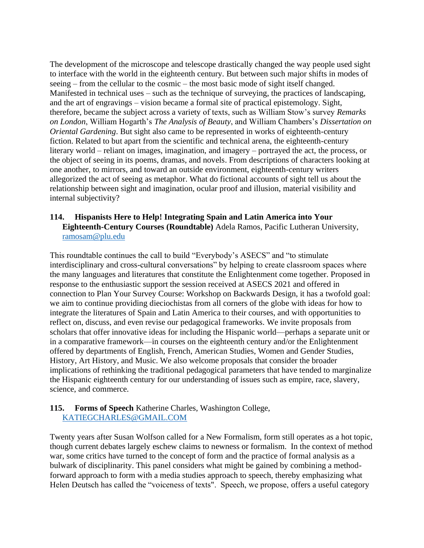The development of the microscope and telescope drastically changed the way people used sight to interface with the world in the eighteenth century. But between such major shifts in modes of seeing – from the cellular to the cosmic – the most basic mode of sight itself changed. Manifested in technical uses – such as the technique of surveying, the practices of landscaping, and the art of engravings – vision became a formal site of practical epistemology. Sight, therefore, became the subject across a variety of texts, such as William Stow's survey *Remarks on London*, William Hogarth's *The Analysis of Beauty*, and William Chambers's *Dissertation on Oriental Gardening*. But sight also came to be represented in works of eighteenth-century fiction. Related to but apart from the scientific and technical arena, the eighteenth-century literary world – reliant on images, imagination, and imagery – portrayed the act, the process, or the object of seeing in its poems, dramas, and novels. From descriptions of characters looking at one another, to mirrors, and toward an outside environment, eighteenth-century writers allegorized the act of seeing as metaphor. What do fictional accounts of sight tell us about the relationship between sight and imagination, ocular proof and illusion, material visibility and internal subjectivity?

#### **114. Hispanists Here to Help! Integrating Spain and Latin America into Your Eighteenth-Century Courses (Roundtable)** Adela Ramos, Pacific Lutheran University, [ramosam@plu.edu](mailto:ramosam@plu.edu)

This roundtable continues the call to build "Everybody's ASECS" and "to stimulate interdisciplinary and cross-cultural conversations" by helping to create classroom spaces where the many languages and literatures that constitute the Enlightenment come together. Proposed in response to the enthusiastic support the session received at ASECS 2021 and offered in connection to Plan Your Survey Course: Workshop on Backwards Design, it has a twofold goal: we aim to continue providing dieciochistas from all corners of the globe with ideas for how to integrate the literatures of Spain and Latin America to their courses, and with opportunities to reflect on, discuss, and even revise our pedagogical frameworks. We invite proposals from scholars that offer innovative ideas for including the Hispanic world—perhaps a separate unit or in a comparative framework—in courses on the eighteenth century and/or the Enlightenment offered by departments of English, French, American Studies, Women and Gender Studies, History, Art History, and Music. We also welcome proposals that consider the broader implications of rethinking the traditional pedagogical parameters that have tended to marginalize the Hispanic eighteenth century for our understanding of issues such as empire, race, slavery, science, and commerce.

#### **115. Forms of Speech** Katherine Charles, Washington College, [KATIEGCHARLES@GMAIL.COM](mailto:KATIEGCHARLES@GMAIL.COM)

Twenty years after Susan Wolfson called for a New Formalism, form still operates as a hot topic, though current debates largely eschew claims to newness or formalism. In the context of method war, some critics have turned to the concept of form and the practice of formal analysis as a bulwark of disciplinarity. This panel considers what might be gained by combining a methodforward approach to form with a media studies approach to speech, thereby emphasizing what Helen Deutsch has called the "voiceness of texts". Speech, we propose, offers a useful category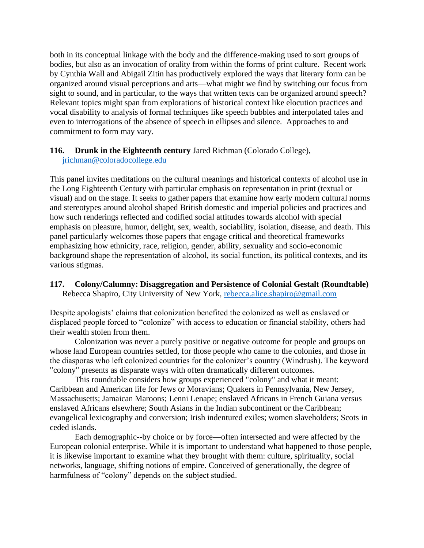both in its conceptual linkage with the body and the difference-making used to sort groups of bodies, but also as an invocation of orality from within the forms of print culture. Recent work by Cynthia Wall and Abigail Zitin has productively explored the ways that literary form can be organized around visual perceptions and arts—what might we find by switching our focus from sight to sound, and in particular, to the ways that written texts can be organized around speech? Relevant topics might span from explorations of historical context like elocution practices and vocal disability to analysis of formal techniques like speech bubbles and interpolated tales and even to interrogations of the absence of speech in ellipses and silence. Approaches to and commitment to form may vary.

#### **116. Drunk in the Eighteenth century** Jared Richman (Colorado College), [jrichman@coloradocollege.edu](mailto:jrichman@coloradocollege.edu)

This panel invites meditations on the cultural meanings and historical contexts of alcohol use in the Long Eighteenth Century with particular emphasis on representation in print (textual or visual) and on the stage. It seeks to gather papers that examine how early modern cultural norms and stereotypes around alcohol shaped British domestic and imperial policies and practices and how such renderings reflected and codified social attitudes towards alcohol with special emphasis on pleasure, humor, delight, sex, wealth, sociability, isolation, disease, and death. This panel particularly welcomes those papers that engage critical and theoretical frameworks emphasizing how ethnicity, race, religion, gender, ability, sexuality and socio-economic background shape the representation of alcohol, its social function, its political contexts, and its various stigmas.

#### **117. Colony/Calumny: Disaggregation and Persistence of Colonial Gestalt (Roundtable)** Rebecca Shapiro, City University of New York, [rebecca.alice.shapiro@gmail.com](mailto:rebecca.alice.shapiro@gmail.com)

Despite apologists' claims that colonization benefited the colonized as well as enslaved or displaced people forced to "colonize" with access to education or financial stability, others had their wealth stolen from them.

Colonization was never a purely positive or negative outcome for people and groups on whose land European countries settled, for those people who came to the colonies, and those in the diasporas who left colonized countries for the colonizer's country (Windrush). The keyword "colony" presents as disparate ways with often dramatically different outcomes.

This roundtable considers how groups experienced "colony" and what it meant: Caribbean and American life for Jews or Moravians; Quakers in Pennsylvania, New Jersey, Massachusetts; Jamaican Maroons; Lenni Lenape; enslaved Africans in French Guiana versus enslaved Africans elsewhere; South Asians in the Indian subcontinent or the Caribbean; evangelical lexicography and conversion; Irish indentured exiles; women slaveholders; Scots in ceded islands.

Each demographic--by choice or by force—often intersected and were affected by the European colonial enterprise. While it is important to understand what happened to those people, it is likewise important to examine what they brought with them: culture, spirituality, social networks, language, shifting notions of empire. Conceived of generationally, the degree of harmfulness of "colony" depends on the subject studied.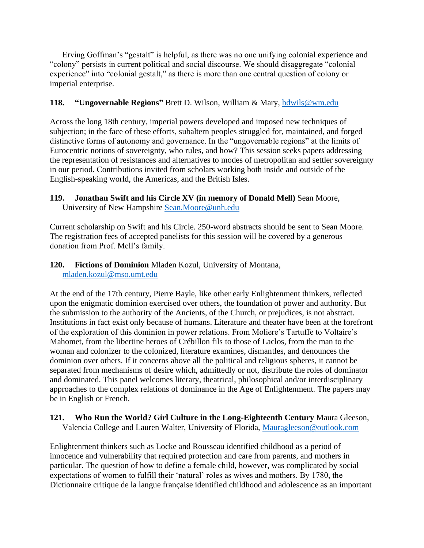Erving Goffman's "gestalt" is helpful, as there was no one unifying colonial experience and "colony" persists in current political and social discourse. We should disaggregate "colonial experience" into "colonial gestalt," as there is more than one central question of colony or imperial enterprise.

## **118. "Ungovernable Regions"** Brett D. Wilson, William & Mary, [bdwils@wm.edu](mailto:bdwils@wm.edu)

Across the long 18th century, imperial powers developed and imposed new techniques of subjection; in the face of these efforts, subaltern peoples struggled for, maintained, and forged distinctive forms of autonomy and governance. In the "ungovernable regions" at the limits of Eurocentric notions of sovereignty, who rules, and how? This session seeks papers addressing the representation of resistances and alternatives to modes of metropolitan and settler sovereignty in our period. Contributions invited from scholars working both inside and outside of the English-speaking world, the Americas, and the British Isles.

# **119. Jonathan Swift and his Circle XV (in memory of Donald Mell)** Sean Moore,

University of New Hampshire [Sean.Moore@unh.edu](mailto:Sean.Moore@unh.edu)

Current scholarship on Swift and his Circle. 250-word abstracts should be sent to Sean Moore. The registration fees of accepted panelists for this session will be covered by a generous donation from Prof. Mell's family.

**120. Fictions of Dominion** Mladen Kozul, University of Montana, [mladen.kozul@mso.umt.edu](mailto:mladen.kozul@mso.umt.edu)

At the end of the 17th century, Pierre Bayle, like other early Enlightenment thinkers, reflected upon the enigmatic dominion exercised over others, the foundation of power and authority. But the submission to the authority of the Ancients, of the Church, or prejudices, is not abstract. Institutions in fact exist only because of humans. Literature and theater have been at the forefront of the exploration of this dominion in power relations. From Moliere's Tartuffe to Voltaire's Mahomet, from the libertine heroes of Crébillon fils to those of Laclos, from the man to the woman and colonizer to the colonized, literature examines, dismantles, and denounces the dominion over others. If it concerns above all the political and religious spheres, it cannot be separated from mechanisms of desire which, admittedly or not, distribute the roles of dominator and dominated. This panel welcomes literary, theatrical, philosophical and/or interdisciplinary approaches to the complex relations of dominance in the Age of Enlightenment. The papers may be in English or French.

## **121. Who Run the World? Girl Culture in the Long-Eighteenth Century** Maura Gleeson, Valencia College and Lauren Walter, University of Florida, [Mauragleeson@outlook.com](mailto:Mauragleeson@outlook.com)

Enlightenment thinkers such as Locke and Rousseau identified childhood as a period of innocence and vulnerability that required protection and care from parents, and mothers in particular. The question of how to define a female child, however, was complicated by social expectations of women to fulfill their 'natural' roles as wives and mothers. By 1780, the Dictionnaire critique de la langue française identified childhood and adolescence as an important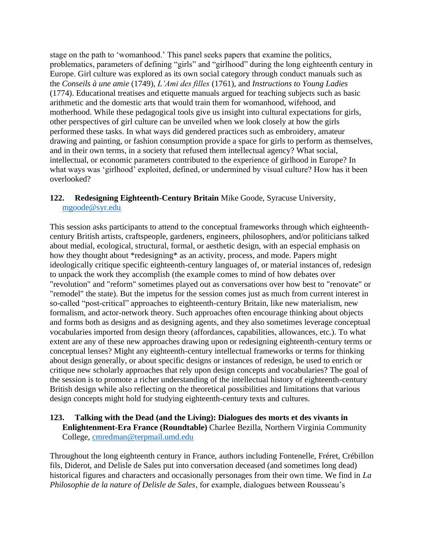stage on the path to 'womanhood.' This panel seeks papers that examine the politics, problematics, parameters of defining "girls" and "girlhood" during the long eighteenth century in Europe. Girl culture was explored as its own social category through conduct manuals such as the *Conseils à une amie* (1749), *L'Ami des filles* (1761), and *Instructions to Young Ladies* (1774). Educational treatises and etiquette manuals argued for teaching subjects such as basic arithmetic and the domestic arts that would train them for womanhood, wifehood, and motherhood. While these pedagogical tools give us insight into cultural expectations for girls, other perspectives of girl culture can be unveiled when we look closely at how the girls performed these tasks. In what ways did gendered practices such as embroidery, amateur drawing and painting, or fashion consumption provide a space for girls to perform as themselves, and in their own terms, in a society that refused them intellectual agency? What social, intellectual, or economic parameters contributed to the experience of girlhood in Europe? In what ways was 'girlhood' exploited, defined, or undermined by visual culture? How has it been overlooked?

## **122. Redesigning Eighteenth-Century Britain** Mike Goode, Syracuse University, [mgoode@syr.edu](mailto:mgoode@syr.edu)

This session asks participants to attend to the conceptual frameworks through which eighteenthcentury British artists, craftspeople, gardeners, engineers, philosophers, and/or politicians talked about medial, ecological, structural, formal, or aesthetic design, with an especial emphasis on how they thought about \*redesigning\* as an activity, process, and mode. Papers might ideologically critique specific eighteenth-century languages of, or material instances of, redesign to unpack the work they accomplish (the example comes to mind of how debates over "revolution" and "reform" sometimes played out as conversations over how best to "renovate" or "remodel" the state). But the impetus for the session comes just as much from current interest in so-called "post-critical" approaches to eighteenth-century Britain, like new materialism, new formalism, and actor-network theory. Such approaches often encourage thinking about objects and forms both as designs and as designing agents, and they also sometimes leverage conceptual vocabularies imported from design theory (affordances, capabilities, allowances, etc.). To what extent are any of these new approaches drawing upon or redesigning eighteenth-century terms or conceptual lenses? Might any eighteenth-century intellectual frameworks or terms for thinking about design generally, or about specific designs or instances of redesign, be used to enrich or critique new scholarly approaches that rely upon design concepts and vocabularies? The goal of the session is to promote a richer understanding of the intellectual history of eighteenth-century British design while also reflecting on the theoretical possibilities and limitations that various design concepts might hold for studying eighteenth-century texts and cultures.

## **123. Talking with the Dead (and the Living): Dialogues des morts et des vivants in Enlightenment-Era France (Roundtable)** Charlee Bezilla, Northern Virginia Community College, [cmredman@terpmail.umd.edu](mailto:cmredman@terpmail.umd.edu)

Throughout the long eighteenth century in France, authors including Fontenelle, Fréret, Crébillon fils, Diderot, and Delisle de Sales put into conversation deceased (and sometimes long dead) historical figures and characters and occasionally personages from their own time. We find in *La Philosophie de la nature of Delisle de Sales*, for example, dialogues between Rousseau's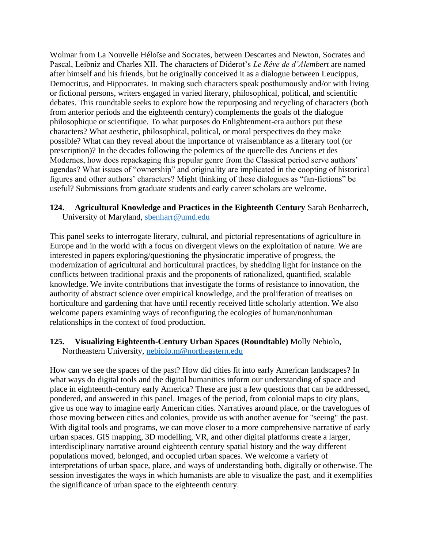Wolmar from La Nouvelle Héloïse and Socrates, between Descartes and Newton, Socrates and Pascal, Leibniz and Charles XII. The characters of Diderot's *Le Rêve de d'Alembert* are named after himself and his friends, but he originally conceived it as a dialogue between Leucippus, Democritus, and Hippocrates. In making such characters speak posthumously and/or with living or fictional persons, writers engaged in varied literary, philosophical, political, and scientific debates. This roundtable seeks to explore how the repurposing and recycling of characters (both from anterior periods and the eighteenth century) complements the goals of the dialogue philosophique or scientifique. To what purposes do Enlightenment-era authors put these characters? What aesthetic, philosophical, political, or moral perspectives do they make possible? What can they reveal about the importance of vraisemblance as a literary tool (or prescription)? In the decades following the polemics of the querelle des Anciens et des Modernes, how does repackaging this popular genre from the Classical period serve authors' agendas? What issues of "ownership" and originality are implicated in the coopting of historical figures and other authors' characters? Might thinking of these dialogues as "fan-fictions" be useful? Submissions from graduate students and early career scholars are welcome.

#### **124. Agricultural Knowledge and Practices in the Eighteenth Century** Sarah Benharrech, University of Maryland, [sbenharr@umd.edu](mailto:sbenharr@umd.edu)

This panel seeks to interrogate literary, cultural, and pictorial representations of agriculture in Europe and in the world with a focus on divergent views on the exploitation of nature. We are interested in papers exploring/questioning the physiocratic imperative of progress, the modernization of agricultural and horticultural practices, by shedding light for instance on the conflicts between traditional praxis and the proponents of rationalized, quantified, scalable knowledge. We invite contributions that investigate the forms of resistance to innovation, the authority of abstract science over empirical knowledge, and the proliferation of treatises on horticulture and gardening that have until recently received little scholarly attention. We also welcome papers examining ways of reconfiguring the ecologies of human/nonhuman relationships in the context of food production.

## **125. Visualizing Eighteenth-Century Urban Spaces (Roundtable)** Molly Nebiolo, Northeastern University, [nebiolo.m@northeastern.edu](mailto:nebiolo.m@northeastern.edu)

How can we see the spaces of the past? How did cities fit into early American landscapes? In what ways do digital tools and the digital humanities inform our understanding of space and place in eighteenth-century early America? These are just a few questions that can be addressed, pondered, and answered in this panel. Images of the period, from colonial maps to city plans, give us one way to imagine early American cities. Narratives around place, or the travelogues of those moving between cities and colonies, provide us with another avenue for "seeing" the past. With digital tools and programs, we can move closer to a more comprehensive narrative of early urban spaces. GIS mapping, 3D modelling, VR, and other digital platforms create a larger, interdisciplinary narrative around eighteenth century spatial history and the way different populations moved, belonged, and occupied urban spaces. We welcome a variety of interpretations of urban space, place, and ways of understanding both, digitally or otherwise. The session investigates the ways in which humanists are able to visualize the past, and it exemplifies the significance of urban space to the eighteenth century.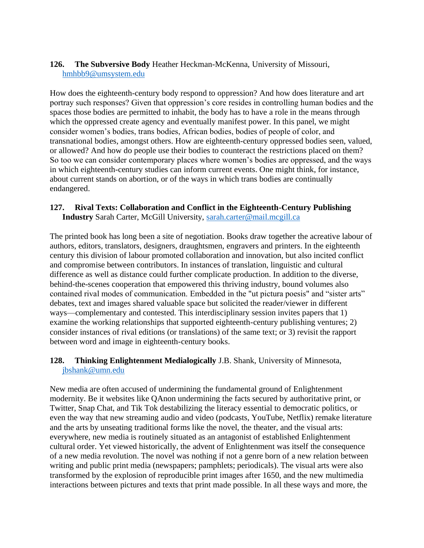## **126. The Subversive Body** Heather Heckman-McKenna, University of Missouri, [hmhbb9@umsystem.edu](mailto:hmhbb9@umsystem.edu)

How does the eighteenth-century body respond to oppression? And how does literature and art portray such responses? Given that oppression's core resides in controlling human bodies and the spaces those bodies are permitted to inhabit, the body has to have a role in the means through which the oppressed create agency and eventually manifest power. In this panel, we might consider women's bodies, trans bodies, African bodies, bodies of people of color, and transnational bodies, amongst others. How are eighteenth-century oppressed bodies seen, valued, or allowed? And how do people use their bodies to counteract the restrictions placed on them? So too we can consider contemporary places where women's bodies are oppressed, and the ways in which eighteenth-century studies can inform current events. One might think, for instance, about current stands on abortion, or of the ways in which trans bodies are continually endangered.

## **127. Rival Texts: Collaboration and Conflict in the Eighteenth-Century Publishing Industry** Sarah Carter, McGill University, [sarah.carter@mail.mcgill.ca](mailto:sarah.carter@mail.mcgill.ca)

The printed book has long been a site of negotiation. Books draw together the acreative labour of authors, editors, translators, designers, draughtsmen, engravers and printers. In the eighteenth century this division of labour promoted collaboration and innovation, but also incited conflict and compromise between contributors. In instances of translation, linguistic and cultural difference as well as distance could further complicate production. In addition to the diverse, behind-the-scenes cooperation that empowered this thriving industry, bound volumes also contained rival modes of communication. Embedded in the "ut pictura poesis" and "sister arts" debates, text and images shared valuable space but solicited the reader/viewer in different ways—complementary and contested. This interdisciplinary session invites papers that 1) examine the working relationships that supported eighteenth-century publishing ventures; 2) consider instances of rival editions (or translations) of the same text; or 3) revisit the rapport between word and image in eighteenth-century books.

## **128. Thinking Enlightenment Medialogically** J.B. Shank, University of Minnesota, [jbshank@umn.edu](mailto:jbshank@umn.edu)

New media are often accused of undermining the fundamental ground of Enlightenment modernity. Be it websites like QAnon undermining the facts secured by authoritative print, or Twitter, Snap Chat, and Tik Tok destabilizing the literacy essential to democratic politics, or even the way that new streaming audio and video (podcasts, YouTube, Netflix) remake literature and the arts by unseating traditional forms like the novel, the theater, and the visual arts: everywhere, new media is routinely situated as an antagonist of established Enlightenment cultural order. Yet viewed historically, the advent of Enlightenment was itself the consequence of a new media revolution. The novel was nothing if not a genre born of a new relation between writing and public print media (newspapers; pamphlets; periodicals). The visual arts were also transformed by the explosion of reproducible print images after 1650, and the new multimedia interactions between pictures and texts that print made possible. In all these ways and more, the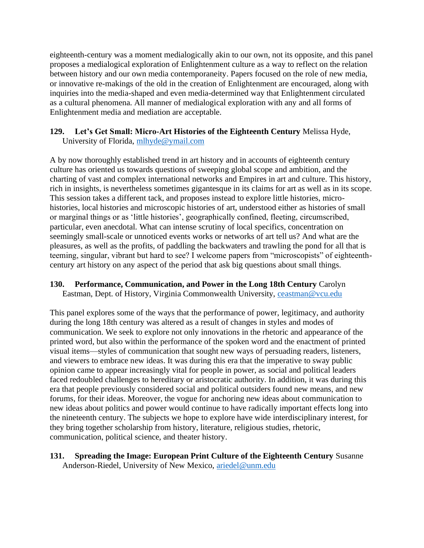eighteenth-century was a moment medialogically akin to our own, not its opposite, and this panel proposes a medialogical exploration of Enlightenment culture as a way to reflect on the relation between history and our own media contemporaneity. Papers focused on the role of new media, or innovative re-makings of the old in the creation of Enlightenment are encouraged, along with inquiries into the media-shaped and even media-determined way that Enlightenment circulated as a cultural phenomena. All manner of medialogical exploration with any and all forms of Enlightenment media and mediation are acceptable.

#### **129. Let's Get Small: Micro-Art Histories of the Eighteenth Century** Melissa Hyde, University of Florida, [mlhyde@ymail.com](mailto:mlhyde@ymail.com)

A by now thoroughly established trend in art history and in accounts of eighteenth century culture has oriented us towards questions of sweeping global scope and ambition, and the charting of vast and complex international networks and Empires in art and culture. This history, rich in insights, is nevertheless sometimes gigantesque in its claims for art as well as in its scope. This session takes a different tack, and proposes instead to explore little histories, microhistories, local histories and microscopic histories of art, understood either as histories of small or marginal things or as 'little histories', geographically confined, fleeting, circumscribed, particular, even anecdotal. What can intense scrutiny of local specifics, concentration on seemingly small-scale or unnoticed events works or networks of art tell us? And what are the pleasures, as well as the profits, of paddling the backwaters and trawling the pond for all that is teeming, singular, vibrant but hard to see? I welcome papers from "microscopists" of eighteenthcentury art history on any aspect of the period that ask big questions about small things.

## **130. Performance, Communication, and Power in the Long 18th Century** Carolyn

Eastman, Dept. of History, Virginia Commonwealth University, [ceastman@vcu.edu](mailto:ceastman@vcu.edu)

This panel explores some of the ways that the performance of power, legitimacy, and authority during the long 18th century was altered as a result of changes in styles and modes of communication. We seek to explore not only innovations in the rhetoric and appearance of the printed word, but also within the performance of the spoken word and the enactment of printed visual items—styles of communication that sought new ways of persuading readers, listeners, and viewers to embrace new ideas. It was during this era that the imperative to sway public opinion came to appear increasingly vital for people in power, as social and political leaders faced redoubled challenges to hereditary or aristocratic authority. In addition, it was during this era that people previously considered social and political outsiders found new means, and new forums, for their ideas. Moreover, the vogue for anchoring new ideas about communication to new ideas about politics and power would continue to have radically important effects long into the nineteenth century. The subjects we hope to explore have wide interdisciplinary interest, for they bring together scholarship from history, literature, religious studies, rhetoric, communication, political science, and theater history.

#### **131. Spreading the Image: European Print Culture of the Eighteenth Century** Susanne Anderson-Riedel, University of New Mexico, [ariedel@unm.edu](mailto:ariedel@unm.edu)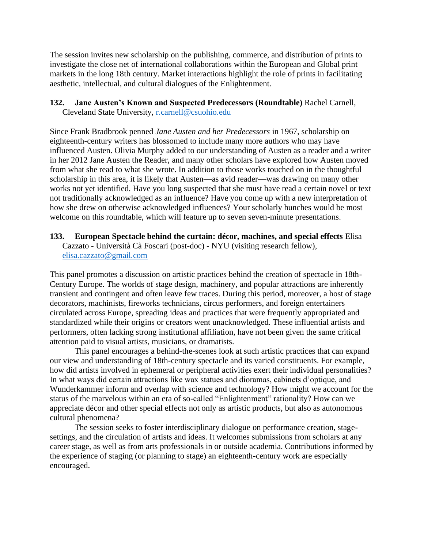The session invites new scholarship on the publishing, commerce, and distribution of prints to investigate the close net of international collaborations within the European and Global print markets in the long 18th century. Market interactions highlight the role of prints in facilitating aesthetic, intellectual, and cultural dialogues of the Enlightenment.

#### **132. Jane Austen's Known and Suspected Predecessors (Roundtable)** Rachel Carnell, Cleveland State University, [r.carnell@csuohio.edu](mailto:r.carnell@csuohio.edu)

Since Frank Bradbrook penned *Jane Austen and her Predecessors* in 1967, scholarship on eighteenth-century writers has blossomed to include many more authors who may have influenced Austen. Olivia Murphy added to our understanding of Austen as a reader and a writer in her 2012 Jane Austen the Reader, and many other scholars have explored how Austen moved from what she read to what she wrote. In addition to those works touched on in the thoughtful scholarship in this area, it is likely that Austen—as avid reader—was drawing on many other works not yet identified. Have you long suspected that she must have read a certain novel or text not traditionally acknowledged as an influence? Have you come up with a new interpretation of how she drew on otherwise acknowledged influences? Your scholarly hunches would be most welcome on this roundtable, which will feature up to seven seven-minute presentations.

#### **133. European Spectacle behind the curtain: décor, machines, and special effects** Elisa Cazzato - Università Cà Foscari (post-doc) - NYU (visiting research fellow), [elisa.cazzato@gmail.com](mailto:elisa.cazzato@gmail.com)

This panel promotes a discussion on artistic practices behind the creation of spectacle in 18th-Century Europe. The worlds of stage design, machinery, and popular attractions are inherently transient and contingent and often leave few traces. During this period, moreover, a host of stage decorators, machinists, fireworks technicians, circus performers, and foreign entertainers circulated across Europe, spreading ideas and practices that were frequently appropriated and standardized while their origins or creators went unacknowledged. These influential artists and performers, often lacking strong institutional affiliation, have not been given the same critical attention paid to visual artists, musicians, or dramatists.

This panel encourages a behind-the-scenes look at such artistic practices that can expand our view and understanding of 18th-century spectacle and its varied constituents. For example, how did artists involved in ephemeral or peripheral activities exert their individual personalities? In what ways did certain attractions like wax statues and dioramas, cabinets d'optique, and Wunderkammer inform and overlap with science and technology? How might we account for the status of the marvelous within an era of so-called "Enlightenment" rationality? How can we appreciate décor and other special effects not only as artistic products, but also as autonomous cultural phenomena?

The session seeks to foster interdisciplinary dialogue on performance creation, stagesettings, and the circulation of artists and ideas. It welcomes submissions from scholars at any career stage, as well as from arts professionals in or outside academia. Contributions informed by the experience of staging (or planning to stage) an eighteenth-century work are especially encouraged.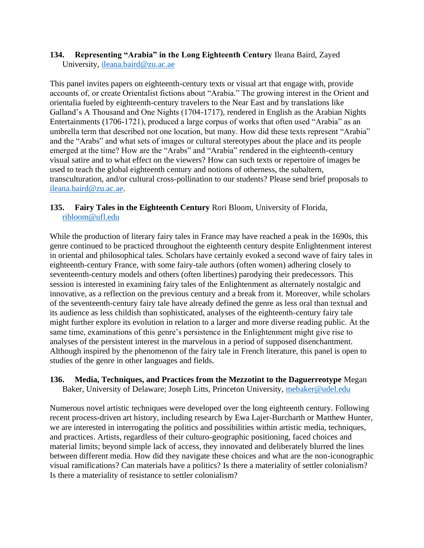#### **134. Representing "Arabia" in the Long Eighteenth Century** Ileana Baird, Zayed University, [ileana.baird@zu.ac.ae](mailto:ileana.baird@zu.ac.ae)

This panel invites papers on eighteenth-century texts or visual art that engage with, provide accounts of, or create Orientalist fictions about "Arabia." The growing interest in the Orient and orientalia fueled by eighteenth-century travelers to the Near East and by translations like Galland's A Thousand and One Nights (1704-1717), rendered in English as the Arabian Nights Entertainments (1706-1721), produced a large corpus of works that often used "Arabia" as an umbrella term that described not one location, but many. How did these texts represent "Arabia" and the "Arabs" and what sets of images or cultural stereotypes about the place and its people emerged at the time? How are the "Arabs" and "Arabia" rendered in the eighteenth-century visual satire and to what effect on the viewers? How can such texts or repertoire of images be used to teach the global eighteenth century and notions of otherness, the subaltern, transculturation, and/or cultural cross-pollination to our students? Please send brief proposals to [ileana.baird@zu.ac.ae.](mailto:ileana.baird@zu.ac.ae)

## **135. Fairy Tales in the Eighteenth Century** Rori Bloom, University of Florida, [ribloom@ufl.edu](mailto:ribloom@ufl.edu)

While the production of literary fairy tales in France may have reached a peak in the 1690s, this genre continued to be practiced throughout the eighteenth century despite Enlightenment interest in oriental and philosophical tales. Scholars have certainly evoked a second wave of fairy tales in eighteenth-century France, with some fairy-tale authors (often women) adhering closely to seventeenth-century models and others (often libertines) parodying their predecessors. This session is interested in examining fairy tales of the Enlightenment as alternately nostalgic and innovative, as a reflection on the previous century and a break from it. Moreover, while scholars of the seventeenth-century fairy tale have already defined the genre as less oral than textual and its audience as less childish than sophisticated, analyses of the eighteenth-century fairy tale might further explore its evolution in relation to a larger and more diverse reading public. At the same time, examinations of this genre's persistence in the Enlightenment might give rise to analyses of the persistent interest in the marvelous in a period of supposed disenchantment. Although inspired by the phenomenon of the fairy tale in French literature, this panel is open to studies of the genre in other languages and fields.

#### **136. Media, Techniques, and Practices from the Mezzotint to the Daguerreotype** Megan Baker, University of Delaware; Joseph Litts, Princeton University, [mebaker@udel.edu](mailto:mebaker@udel.edu)

Numerous novel artistic techniques were developed over the long eighteenth century. Following recent process-driven art history, including research by Ewa Lajer-Burcharth or Matthew Hunter, we are interested in interrogating the politics and possibilities within artistic media, techniques, and practices. Artists, regardless of their culturo-geographic positioning, faced choices and material limits; beyond simple lack of access, they innovated and deliberately blurred the lines between different media. How did they navigate these choices and what are the non-iconographic visual ramifications? Can materials have a politics? Is there a materiality of settler colonialism? Is there a materiality of resistance to settler colonialism?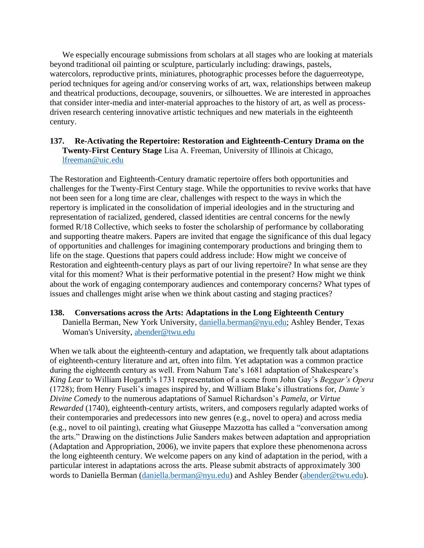We especially encourage submissions from scholars at all stages who are looking at materials beyond traditional oil painting or sculpture, particularly including: drawings, pastels, watercolors, reproductive prints, miniatures, photographic processes before the daguerreotype, period techniques for ageing and/or conserving works of art, wax, relationships between makeup and theatrical productions, decoupage, souvenirs, or silhouettes. We are interested in approaches that consider inter-media and inter-material approaches to the history of art, as well as processdriven research centering innovative artistic techniques and new materials in the eighteenth century.

## **137. Re-Activating the Repertoire: Restoration and Eighteenth-Century Drama on the Twenty-First Century Stage** Lisa A. Freeman, University of Illinois at Chicago, [lfreeman@uic.edu](mailto:lfreeman@uic.edu)

The Restoration and Eighteenth-Century dramatic repertoire offers both opportunities and challenges for the Twenty-First Century stage. While the opportunities to revive works that have not been seen for a long time are clear, challenges with respect to the ways in which the repertory is implicated in the consolidation of imperial ideologies and in the structuring and representation of racialized, gendered, classed identities are central concerns for the newly formed R/18 Collective, which seeks to foster the scholarship of performance by collaborating and supporting theatre makers. Papers are invited that engage the significance of this dual legacy of opportunities and challenges for imagining contemporary productions and bringing them to life on the stage. Questions that papers could address include: How might we conceive of Restoration and eighteenth-century plays as part of our living repertoire? In what sense are they vital for this moment? What is their performative potential in the present? How might we think about the work of engaging contemporary audiences and contemporary concerns? What types of issues and challenges might arise when we think about casting and staging practices?

## **138. Conversations across the Arts: Adaptations in the Long Eighteenth Century** Daniella Berman, New York University, [daniella.berman@nyu.edu;](mailto:daniella.berman@nyu.edu) Ashley Bender, Texas Woman's University, [abender@twu.edu](mailto:abender@twu.edu)

When we talk about the eighteenth-century and adaptation, we frequently talk about adaptations of eighteenth-century literature and art, often into film. Yet adaptation was a common practice during the eighteenth century as well. From Nahum Tate's 1681 adaptation of Shakespeare's *King Lear* to William Hogarth's 1731 representation of a scene from John Gay's *Beggar's Opera* (1728); from Henry Fuseli's images inspired by, and William Blake's illustrations for, *Dante's Divine Comedy* to the numerous adaptations of Samuel Richardson's *Pamela, or Virtue Rewarded* (1740), eighteenth-century artists, writers, and composers regularly adapted works of their contemporaries and predecessors into new genres (e.g., novel to opera) and across media (e.g., novel to oil painting), creating what Giuseppe Mazzotta has called a "conversation among the arts." Drawing on the distinctions Julie Sanders makes between adaptation and appropriation (Adaptation and Appropriation, 2006), we invite papers that explore these phenomenona across the long eighteenth century. We welcome papers on any kind of adaptation in the period, with a particular interest in adaptations across the arts. Please submit abstracts of approximately 300 words to Daniella Berman [\(daniella.berman@nyu.edu\)](mailto:daniella.berman@nyu.edu) and Ashley Bender [\(abender@twu.edu\)](mailto:abender@twu.edu).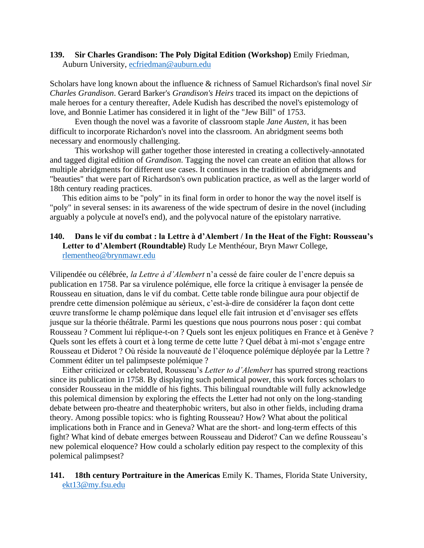#### **139. Sir Charles Grandison: The Poly Digital Edition (Workshop)** Emily Friedman, Auburn University, [ecfriedman@auburn.edu](mailto:ecfriedman@auburn.edu)

Scholars have long known about the influence & richness of Samuel Richardson's final novel *Sir Charles Grandison*. Gerard Barker's *Grandison's Heirs* traced its impact on the depictions of male heroes for a century thereafter, Adele Kudish has described the novel's epistemology of love, and Bonnie Latimer has considered it in light of the "Jew Bill" of 1753.

Even though the novel was a favorite of classroom staple *Jane Austen*, it has been difficult to incorporate Richardon's novel into the classroom. An abridgment seems both necessary and enormously challenging.

This workshop will gather together those interested in creating a collectively-annotated and tagged digital edition of *Grandison*. Tagging the novel can create an edition that allows for multiple abridgments for different use cases. It continues in the tradition of abridgments and "beauties" that were part of Richardson's own publication practice, as well as the larger world of 18th century reading practices.

This edition aims to be "poly" in its final form in order to honor the way the novel itself is "poly" in several senses: in its awareness of the wide spectrum of desire in the novel (including arguably a polycule at novel's end), and the polyvocal nature of the epistolary narrative.

#### **140. Dans le vif du combat : la Lettre à d'Alembert / In the Heat of the Fight: Rousseau's Letter to d'Alembert (Roundtable)** Rudy Le Menthéour, Bryn Mawr College, [rlementheo@brynmawr.edu](mailto:rlementheo@brynmawr.edu)

Vilipendée ou célébrée, *la Lettre à d'Alembert* n'a cessé de faire couler de l'encre depuis sa publication en 1758. Par sa virulence polémique, elle force la critique à envisager la pensée de Rousseau en situation, dans le vif du combat. Cette table ronde bilingue aura pour objectif de prendre cette dimension polémique au sérieux, c'est-à-dire de considérer la façon dont cette œuvre transforme le champ polémique dans lequel elle fait intrusion et d'envisager ses effets jusque sur la théorie théâtrale. Parmi les questions que nous pourrons nous poser : qui combat Rousseau ? Comment lui réplique-t-on ? Quels sont les enjeux politiques en France et à Genève ? Quels sont les effets à court et à long terme de cette lutte ? Quel débat à mi-mot s'engage entre Rousseau et Diderot ? Où réside la nouveauté de l'éloquence polémique déployée par la Lettre ? Comment éditer un tel palimpseste polémique ?

Either criticized or celebrated, Rousseau's *Letter to d'Alembert* has spurred strong reactions since its publication in 1758. By displaying such polemical power, this work forces scholars to consider Rousseau in the middle of his fights. This bilingual roundtable will fully acknowledge this polemical dimension by exploring the effects the Letter had not only on the long-standing debate between pro-theatre and theaterphobic writers, but also in other fields, including drama theory. Among possible topics: who is fighting Rousseau? How? What about the political implications both in France and in Geneva? What are the short- and long-term effects of this fight? What kind of debate emerges between Rousseau and Diderot? Can we define Rousseau's new polemical eloquence? How could a scholarly edition pay respect to the complexity of this polemical palimpsest?

**141. 18th century Portraiture in the Americas** Emily K. Thames, Florida State University, [ekt13@my.fsu.edu](mailto:ekt13@my.fsu.edu)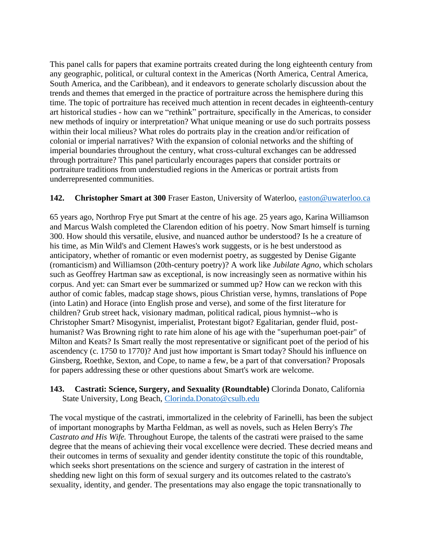This panel calls for papers that examine portraits created during the long eighteenth century from any geographic, political, or cultural context in the Americas (North America, Central America, South America, and the Caribbean), and it endeavors to generate scholarly discussion about the trends and themes that emerged in the practice of portraiture across the hemisphere during this time. The topic of portraiture has received much attention in recent decades in eighteenth-century art historical studies - how can we "rethink" portraiture, specifically in the Americas, to consider new methods of inquiry or interpretation? What unique meaning or use do such portraits possess within their local milieus? What roles do portraits play in the creation and/or reification of colonial or imperial narratives? With the expansion of colonial networks and the shifting of imperial boundaries throughout the century, what cross-cultural exchanges can be addressed through portraiture? This panel particularly encourages papers that consider portraits or portraiture traditions from understudied regions in the Americas or portrait artists from underrepresented communities.

## **142. Christopher Smart at 300** Fraser Easton, University of Waterloo, [easton@uwaterloo.ca](mailto:easton@uwaterloo.ca)

65 years ago, Northrop Frye put Smart at the centre of his age. 25 years ago, Karina Williamson and Marcus Walsh completed the Clarendon edition of his poetry. Now Smart himself is turning 300. How should this versatile, elusive, and nuanced author be understood? Is he a creature of his time, as Min Wild's and Clement Hawes's work suggests, or is he best understood as anticipatory, whether of romantic or even modernist poetry, as suggested by Denise Gigante (romanticism) and Williamson (20th-century poetry)? A work like *Jubilate Agno*, which scholars such as Geoffrey Hartman saw as exceptional, is now increasingly seen as normative within his corpus. And yet: can Smart ever be summarized or summed up? How can we reckon with this author of comic fables, madcap stage shows, pious Christian verse, hymns, translations of Pope (into Latin) and Horace (into English prose and verse), and some of the first literature for children? Grub street hack, visionary madman, political radical, pious hymnist--who is Christopher Smart? Misogynist, imperialist, Protestant bigot? Egalitarian, gender fluid, posthumanist? Was Browning right to rate him alone of his age with the "superhuman poet-pair" of Milton and Keats? Is Smart really the most representative or significant poet of the period of his ascendency (c. 1750 to 1770)? And just how important is Smart today? Should his influence on Ginsberg, Roethke, Sexton, and Cope, to name a few, be a part of that conversation? Proposals for papers addressing these or other questions about Smart's work are welcome.

## **143. Castrati: Science, Surgery, and Sexuality (Roundtable)** Clorinda Donato, California State University, Long Beach, [Clorinda.Donato@csulb.edu](mailto:Clorinda.Donato@csulb.edu)

The vocal mystique of the castrati, immortalized in the celebrity of Farinelli, has been the subject of important monographs by Martha Feldman, as well as novels, such as Helen Berry's *The Castrato and His Wife.* Throughout Europe, the talents of the castrati were praised to the same degree that the means of achieving their vocal excellence were decried. These decried means and their outcomes in terms of sexuality and gender identity constitute the topic of this roundtable, which seeks short presentations on the science and surgery of castration in the interest of shedding new light on this form of sexual surgery and its outcomes related to the castrato's sexuality, identity, and gender. The presentations may also engage the topic transnationally to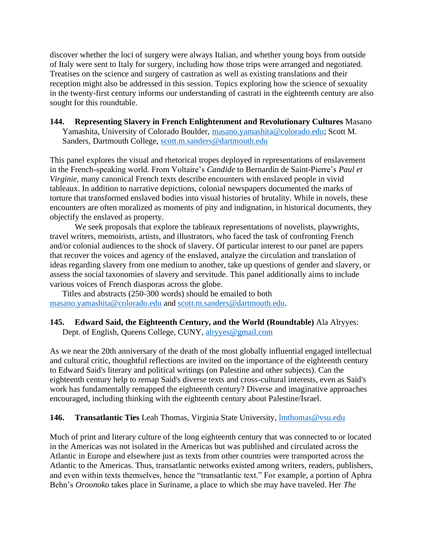discover whether the loci of surgery were always Italian, and whether young boys from outside of Italy were sent to Italy for surgery, including how those trips were arranged and negotiated. Treatises on the science and surgery of castration as well as existing translations and their reception might also be addressed in this session. Topics exploring how the science of sexuality in the twenty-first century informs our understanding of castrati in the eighteenth century are also sought for this roundtable.

**144. Representing Slavery in French Enlightenment and Revolutionary Cultures** Masano Yamashita, University of Colorado Boulder, [masano.yamashita@colorado.edu;](mailto:masano.yamashita@colorado.edu) Scott M. Sanders, Dartmouth College, [scott.m.sanders@dartmouth.edu](mailto:scott.m.sanders@dartmouth.edu)

This panel explores the visual and rhetorical tropes deployed in representations of enslavement in the French-speaking world. From Voltaire's *Candide* to Bernardin de Saint-Pierre's *Paul et Virginie*, many canonical French texts describe encounters with enslaved people in vivid tableaux. In addition to narrative depictions, colonial newspapers documented the marks of torture that transformed enslaved bodies into visual histories of brutality. While in novels, these encounters are often moralized as moments of pity and indignation, in historical documents, they objectify the enslaved as property.

We seek proposals that explore the tableaux representations of novelists, playwrights, travel writers, memoirists, artists, and illustrators, who faced the task of confronting French and/or colonial audiences to the shock of slavery. Of particular interest to our panel are papers that recover the voices and agency of the enslaved, analyze the circulation and translation of ideas regarding slavery from one medium to another, take up questions of gender and slavery, or assess the social taxonomies of slavery and servitude. This panel additionally aims to include various voices of French diasporas across the globe.

Titles and abstracts (250-300 words) should be emailed to both [masano.yamashita@colorado.edu](mailto:masano.yamashita@colorado.edu) and [scott.m.sanders@dartmouth.edu.](mailto:scott.m.sanders@dartmouth.edu)

## **145. Edward Said, the Eighteenth Century, and the World (Roundtable)** Ala Alryyes: Dept. of English, Queens College, CUNY, [alryyes@gmail.com](mailto:alryyes@gmail.com)

As we near the 20th anniversary of the death of the most globally influential engaged intellectual and cultural critic, thoughtful reflections are invited on the importance of the eighteenth century to Edward Said's literary and political writings (on Palestine and other subjects). Can the eighteenth century help to remap Said's diverse texts and cross-cultural interests, even as Said's work has fundamentally remapped the eighteenth century? Diverse and imaginative approaches encouraged, including thinking with the eighteenth century about Palestine/Israel.

## **146. Transatlantic Ties** Leah Thomas, Virginia State University, [lmthomas@vsu.edu](mailto:lmthomas@vsu.edu)

Much of print and literary culture of the long eighteenth century that was connected to or located in the Americas was not isolated in the Americas but was published and circulated across the Atlantic in Europe and elsewhere just as texts from other countries were transported across the Atlantic to the Americas. Thus, transatlantic networks existed among writers, readers, publishers, and even within texts themselves, hence the "transatlantic text." For example, a portion of Aphra Behn's *Oroonoko* takes place in Suriname, a place to which she may have traveled. Her *The*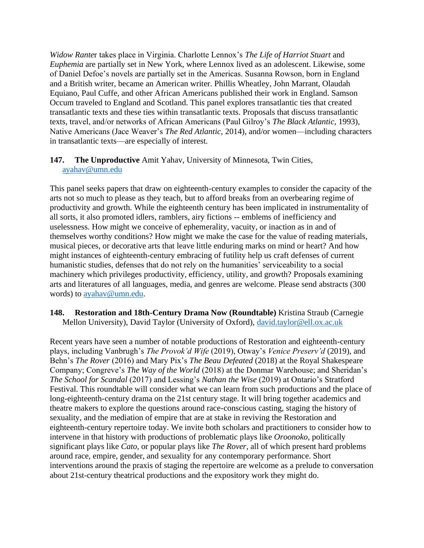*Widow Rante*r takes place in Virginia. Charlotte Lennox's *The Life of Harriot Stuart* and *Euphemia* are partially set in New York, where Lennox lived as an adolescent. Likewise, some of Daniel Defoe's novels are partially set in the Americas. Susanna Rowson, born in England and a British writer, became an American writer. Phillis Wheatley, John Marrant, Olaudah Equiano, Paul Cuffe, and other African Americans published their work in England. Samson Occum traveled to England and Scotland. This panel explores transatlantic ties that created transatlantic texts and these ties within transatlantic texts. Proposals that discuss transatlantic texts, travel, and/or networks of African Americans (Paul Gilroy's *The Black Atlantic*, 1993), Native Americans (Jace Weaver's *The Red Atlantic*, 2014), and/or women—including characters in transatlantic texts—are especially of interest.

## **147. The Unproductive** Amit Yahav, University of Minnesota, Twin Cities, [ayahav@umn.edu](mailto:ayahav@umn.edu)

This panel seeks papers that draw on eighteenth-century examples to consider the capacity of the arts not so much to please as they teach, but to afford breaks from an overbearing regime of productivity and growth. While the eighteenth century has been implicated in instrumentality of all sorts, it also promoted idlers, ramblers, airy fictions -- emblems of inefficiency and uselessness. How might we conceive of ephemerality, vacuity, or inaction as in and of themselves worthy conditions? How might we make the case for the value of reading materials, musical pieces, or decorative arts that leave little enduring marks on mind or heart? And how might instances of eighteenth-century embracing of futility help us craft defenses of current humanistic studies, defenses that do not rely on the humanities' serviceability to a social machinery which privileges productivity, efficiency, utility, and growth? Proposals examining arts and literatures of all languages, media, and genres are welcome. Please send abstracts (300 words) to [ayahav@umn.edu.](mailto:ayahav@umn.edu)

#### **148. Restoration and 18th-Century Drama Now (Roundtable)** Kristina Straub (Carnegie Mellon University), David Taylor (University of Oxford), [david.taylor@ell.ox.ac.uk](mailto:david.taylor@ell.ox.ac.uk)

Recent years have seen a number of notable productions of Restoration and eighteenth-century plays, including Vanbrugh's *The Provok'd Wife* (2019), Otway's *Venice Preserv'd* (2019), and Behn's *The Rover* (2016) and Mary Pix's *The Beau Defeated* (2018) at the Royal Shakespeare Company; Congreve's *The Way of the World* (2018) at the Donmar Warehouse; and Sheridan's *The School for Scandal* (2017) and Lessing's *Nathan the Wise* (2019) at Ontario's Stratford Festival. This roundtable will consider what we can learn from such productions and the place of long-eighteenth-century drama on the 21st century stage. It will bring together academics and theatre makers to explore the questions around race-conscious casting, staging the history of sexuality, and the mediation of empire that are at stake in reviving the Restoration and eighteenth-century repertoire today. We invite both scholars and practitioners to consider how to intervene in that history with productions of problematic plays like *Oroonoko*, politically significant plays like *Cato*, or popular plays like *The Rover*, all of which present hard problems around race, empire, gender, and sexuality for any contemporary performance. Short interventions around the praxis of staging the repertoire are welcome as a prelude to conversation about 21st-century theatrical productions and the expository work they might do.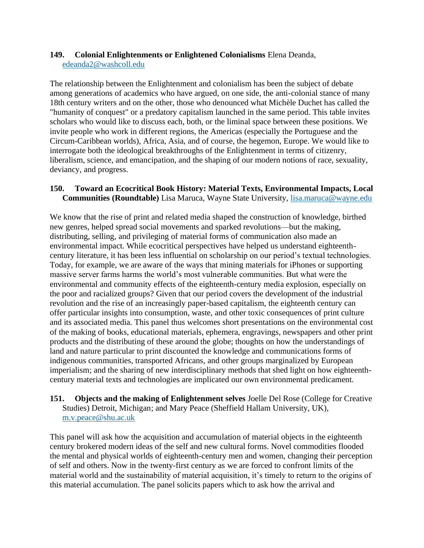## **149. Colonial Enlightenments or Enlightened Colonialisms** Elena Deanda, [edeanda2@washcoll.edu](mailto:edeanda2@washcoll.edu)

The relationship between the Enlightenment and colonialism has been the subject of debate among generations of academics who have argued, on one side, the anti-colonial stance of many 18th century writers and on the other, those who denounced what Michèle Duchet has called the "humanity of conquest" or a predatory capitalism launched in the same period. This table invites scholars who would like to discuss each, both, or the liminal space between these positions. We invite people who work in different regions, the Americas (especially the Portuguese and the Circum-Caribbean worlds), Africa, Asia, and of course, the hegemon, Europe. We would like to interrogate both the ideological breakthroughs of the Enlightenment in terms of citizenry, liberalism, science, and emancipation, and the shaping of our modern notions of race, sexuality, deviancy, and progress.

#### **150. Toward an Ecocritical Book History: Material Texts, Environmental Impacts, Local Communities (Roundtable)** Lisa Maruca, Wayne State University, [lisa.maruca@wayne.edu](mailto:lisa.maruca@wayne.edu)

We know that the rise of print and related media shaped the construction of knowledge, birthed new genres, helped spread social movements and sparked revolutions—but the making, distributing, selling, and privileging of material forms of communication also made an environmental impact. While ecocritical perspectives have helped us understand eighteenthcentury literature, it has been less influential on scholarship on our period's textual technologies. Today, for example, we are aware of the ways that mining materials for iPhones or supporting massive server farms harms the world's most vulnerable communities. But what were the environmental and community effects of the eighteenth-century media explosion, especially on the poor and racialized groups? Given that our period covers the development of the industrial revolution and the rise of an increasingly paper-based capitalism, the eighteenth century can offer particular insights into consumption, waste, and other toxic consequences of print culture and its associated media. This panel thus welcomes short presentations on the environmental cost of the making of books, educational materials, ephemera, engravings, newspapers and other print products and the distributing of these around the globe; thoughts on how the understandings of land and nature particular to print discounted the knowledge and communications forms of indigenous communities, transported Africans, and other groups marginalized by European imperialism; and the sharing of new interdisciplinary methods that shed light on how eighteenthcentury material texts and technologies are implicated our own environmental predicament.

#### **151. Objects and the making of Enlightenment selves** Joelle Del Rose (College for Creative Studies) Detroit, Michigan; and Mary Peace (Sheffield Hallam University, UK), [m.v.peace@shu.ac.uk](mailto:m.v.peace@shu.ac.uk)

This panel will ask how the acquisition and accumulation of material objects in the eighteenth century brokered modern ideas of the self and new cultural forms. Novel commodities flooded the mental and physical worlds of eighteenth-century men and women, changing their perception of self and others. Now in the twenty-first century as we are forced to confront limits of the material world and the sustainability of material acquisition, it's timely to return to the origins of this material accumulation. The panel solicits papers which to ask how the arrival and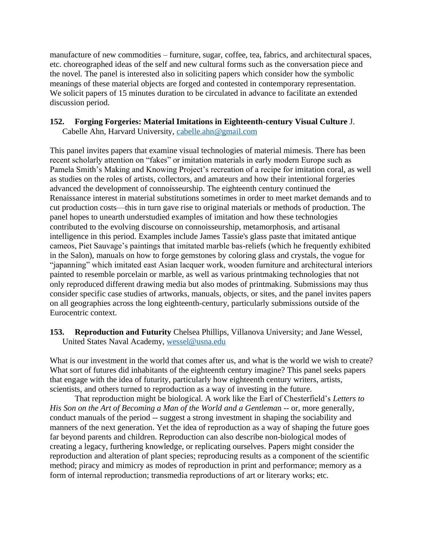manufacture of new commodities – furniture, sugar, coffee, tea, fabrics, and architectural spaces, etc. choreographed ideas of the self and new cultural forms such as the conversation piece and the novel. The panel is interested also in soliciting papers which consider how the symbolic meanings of these material objects are forged and contested in contemporary representation. We solicit papers of 15 minutes duration to be circulated in advance to facilitate an extended discussion period.

## **152. Forging Forgeries: Material Imitations in Eighteenth-century Visual Culture** J.

Cabelle Ahn, Harvard University, [cabelle.ahn@gmail.com](mailto:cabelle.ahn@gmail.com)

This panel invites papers that examine visual technologies of material mimesis. There has been recent scholarly attention on "fakes" or imitation materials in early modern Europe such as Pamela Smith's Making and Knowing Project's recreation of a recipe for imitation coral, as well as studies on the roles of artists, collectors, and amateurs and how their intentional forgeries advanced the development of connoisseurship. The eighteenth century continued the Renaissance interest in material substitutions sometimes in order to meet market demands and to cut production costs—this in turn gave rise to original materials or methods of production. The panel hopes to unearth understudied examples of imitation and how these technologies contributed to the evolving discourse on connoisseurship, metamorphosis, and artisanal intelligence in this period. Examples include James Tassie's glass paste that imitated antique cameos, Piet Sauvage's paintings that imitated marble bas-reliefs (which he frequently exhibited in the Salon), manuals on how to forge gemstones by coloring glass and crystals, the vogue for "japanning" which imitated east Asian lacquer work, wooden furniture and architectural interiors painted to resemble porcelain or marble, as well as various printmaking technologies that not only reproduced different drawing media but also modes of printmaking. Submissions may thus consider specific case studies of artworks, manuals, objects, or sites, and the panel invites papers on all geographies across the long eighteenth-century, particularly submissions outside of the Eurocentric context.

**153. Reproduction and Futurity** Chelsea Phillips, Villanova University; and Jane Wessel, United States Naval Academy, [wessel@usna.edu](mailto:wessel@usna.edu)

What is our investment in the world that comes after us, and what is the world we wish to create? What sort of futures did inhabitants of the eighteenth century imagine? This panel seeks papers that engage with the idea of futurity, particularly how eighteenth century writers, artists, scientists, and others turned to reproduction as a way of investing in the future.

That reproduction might be biological. A work like the Earl of Chesterfield's *Letters to His Son on the Art of Becoming a Man of the World and a Gentlema*n -- or, more generally, conduct manuals of the period -- suggest a strong investment in shaping the sociability and manners of the next generation. Yet the idea of reproduction as a way of shaping the future goes far beyond parents and children. Reproduction can also describe non-biological modes of creating a legacy, furthering knowledge, or replicating ourselves. Papers might consider the reproduction and alteration of plant species; reproducing results as a component of the scientific method; piracy and mimicry as modes of reproduction in print and performance; memory as a form of internal reproduction; transmedia reproductions of art or literary works; etc.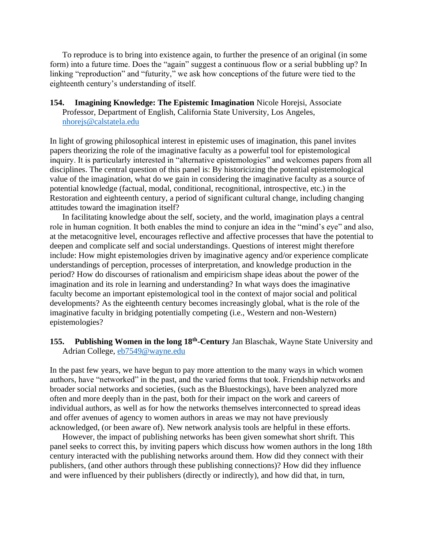To reproduce is to bring into existence again, to further the presence of an original (in some form) into a future time. Does the "again" suggest a continuous flow or a serial bubbling up? In linking "reproduction" and "futurity," we ask how conceptions of the future were tied to the eighteenth century's understanding of itself.

**154. Imagining Knowledge: The Epistemic Imagination** Nicole Horejsi, Associate Professor, Department of English, California State University, Los Angeles, [nhorejs@calstatela.edu](mailto:nhorejs@calstatela.edu)

In light of growing philosophical interest in epistemic uses of imagination, this panel invites papers theorizing the role of the imaginative faculty as a powerful tool for epistemological inquiry. It is particularly interested in "alternative epistemologies" and welcomes papers from all disciplines. The central question of this panel is: By historicizing the potential epistemological value of the imagination, what do we gain in considering the imaginative faculty as a source of potential knowledge (factual, modal, conditional, recognitional, introspective, etc.) in the Restoration and eighteenth century, a period of significant cultural change, including changing attitudes toward the imagination itself?

In facilitating knowledge about the self, society, and the world, imagination plays a central role in human cognition. It both enables the mind to conjure an idea in the "mind's eye" and also, at the metacognitive level, encourages reflective and affective processes that have the potential to deepen and complicate self and social understandings. Questions of interest might therefore include: How might epistemologies driven by imaginative agency and/or experience complicate understandings of perception, processes of interpretation, and knowledge production in the period? How do discourses of rationalism and empiricism shape ideas about the power of the imagination and its role in learning and understanding? In what ways does the imaginative faculty become an important epistemological tool in the context of major social and political developments? As the eighteenth century becomes increasingly global, what is the role of the imaginative faculty in bridging potentially competing (i.e., Western and non-Western) epistemologies?

#### 155. Publishing Women in the long 18<sup>th</sup>-Century Jan Blaschak, Wayne State University and Adrian College, [eb7549@wayne.edu](mailto:eb7549@wayne.edu)

In the past few years, we have begun to pay more attention to the many ways in which women authors, have "networked" in the past, and the varied forms that took. Friendship networks and broader social networks and societies, (such as the Bluestockings), have been analyzed more often and more deeply than in the past, both for their impact on the work and careers of individual authors, as well as for how the networks themselves interconnected to spread ideas and offer avenues of agency to women authors in areas we may not have previously acknowledged, (or been aware of). New network analysis tools are helpful in these efforts.

However, the impact of publishing networks has been given somewhat short shrift. This panel seeks to correct this, by inviting papers which discuss how women authors in the long 18th century interacted with the publishing networks around them. How did they connect with their publishers, (and other authors through these publishing connections)? How did they influence and were influenced by their publishers (directly or indirectly), and how did that, in turn,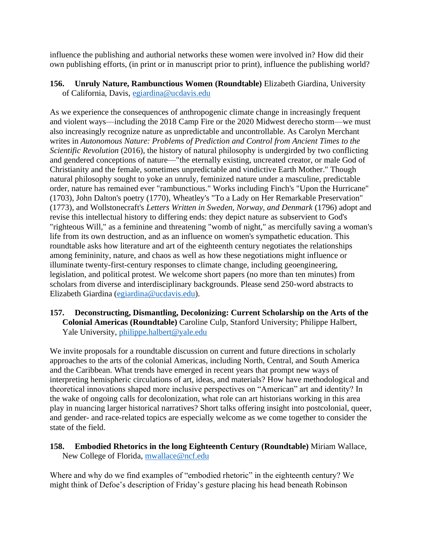influence the publishing and authorial networks these women were involved in? How did their own publishing efforts, (in print or in manuscript prior to print), influence the publishing world?

**156. Unruly Nature, Rambunctious Women (Roundtable)** Elizabeth Giardina, University of California, Davis, [egiardina@ucdavis.edu](mailto:egiardina@ucdavis.edu)

As we experience the consequences of anthropogenic climate change in increasingly frequent and violent ways—including the 2018 Camp Fire or the 2020 Midwest derecho storm—we must also increasingly recognize nature as unpredictable and uncontrollable. As Carolyn Merchant writes in *Autonomous Nature: Problems of Prediction and Control from Ancient Times to the Scientific Revolution* (2016), the history of natural philosophy is undergirded by two conflicting and gendered conceptions of nature—"the eternally existing, uncreated creator, or male God of Christianity and the female, sometimes unpredictable and vindictive Earth Mother." Though natural philosophy sought to yoke an unruly, feminized nature under a masculine, predictable order, nature has remained ever "rambunctious." Works including Finch's "Upon the Hurricane" (1703), John Dalton's poetry (1770), Wheatley's "To a Lady on Her Remarkable Preservation" (1773), and Wollstonecraft's *Letters Written in Sweden, Norway, and Denmark* (1796) adopt and revise this intellectual history to differing ends: they depict nature as subservient to God's "righteous Will," as a feminine and threatening "womb of night," as mercifully saving a woman's life from its own destruction, and as an influence on women's sympathetic education. This roundtable asks how literature and art of the eighteenth century negotiates the relationships among femininity, nature, and chaos as well as how these negotiations might influence or illuminate twenty-first-century responses to climate change, including geoengineering, legislation, and political protest. We welcome short papers (no more than ten minutes) from scholars from diverse and interdisciplinary backgrounds. Please send 250-word abstracts to Elizabeth Giardina [\(egiardina@ucdavis.edu\)](mailto:egiardina@ucdavis.edu).

**157. Deconstructing, Dismantling, Decolonizing: Current Scholarship on the Arts of the Colonial Americas (Roundtable)** Caroline Culp, Stanford University; Philippe Halbert, Yale University, [philippe.halbert@yale.edu](mailto:philippe.halbert@yale.edu)

We invite proposals for a roundtable discussion on current and future directions in scholarly approaches to the arts of the colonial Americas, including North, Central, and South America and the Caribbean. What trends have emerged in recent years that prompt new ways of interpreting hemispheric circulations of art, ideas, and materials? How have methodological and theoretical innovations shaped more inclusive perspectives on "American" art and identity? In the wake of ongoing calls for decolonization, what role can art historians working in this area play in nuancing larger historical narratives? Short talks offering insight into postcolonial, queer, and gender- and race-related topics are especially welcome as we come together to consider the state of the field.

## **158. Embodied Rhetorics in the long Eighteenth Century (Roundtable)** Miriam Wallace, New College of Florida, [mwallace@ncf.edu](mailto:mwallace@ncf.edu)

Where and why do we find examples of "embodied rhetoric" in the eighteenth century? We might think of Defoe's description of Friday's gesture placing his head beneath Robinson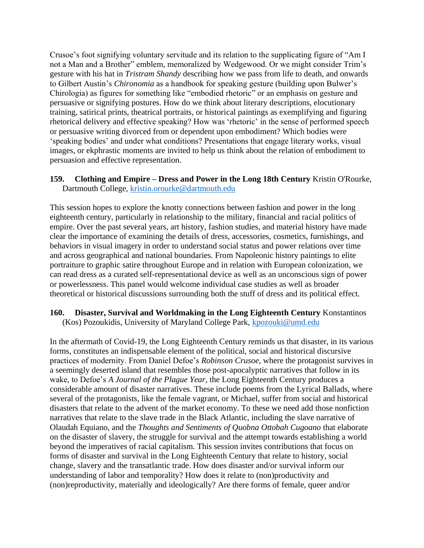Crusoe's foot signifying voluntary servitude and its relation to the supplicating figure of "Am I not a Man and a Brother" emblem, memoralized by Wedgewood. Or we might consider Trim's gesture with his hat in *Tristram Shandy* describing how we pass from life to death, and onwards to Gilbert Austin's *Chironomia* as a handbook for speaking gesture (building upon Bulwer's Chirologia) as figures for something like "embodied rhetoric" or an emphasis on gesture and persuasive or signifying postures. How do we think about literary descriptions, elocutionary training, satirical prints, theatrical portraits, or historical paintings as exemplifying and figuring rhetorical delivery and effective speaking? How was 'rhetoric' in the sense of performed speech or persuasive writing divorced from or dependent upon embodiment? Which bodies were 'speaking bodies' and under what conditions? Presentations that engage literary works, visual images, or ekphrastic moments are invited to help us think about the relation of embodiment to persuasion and effective representation.

#### **159. Clothing and Empire – Dress and Power in the Long 18th Century** Kristin O'Rourke, Dartmouth College, [kristin.orourke@dartmouth.edu](mailto:kristin.orourke@dartmouth.edu)

This session hopes to explore the knotty connections between fashion and power in the long eighteenth century, particularly in relationship to the military, financial and racial politics of empire. Over the past several years, art history, fashion studies, and material history have made clear the importance of examining the details of dress, accessories, cosmetics, furnishings, and behaviors in visual imagery in order to understand social status and power relations over time and across geographical and national boundaries. From Napoleonic history paintings to elite portraiture to graphic satire throughout Europe and in relation with European colonization, we can read dress as a curated self-representational device as well as an unconscious sign of power or powerlessness. This panel would welcome individual case studies as well as broader theoretical or historical discussions surrounding both the stuff of dress and its political effect.

#### **160. Disaster, Survival and Worldmaking in the Long Eighteenth Century** Konstantinos (Kos) Pozoukidis, University of Maryland College Park, [kpozouki@umd.edu](mailto:kpozouki@umd.edu)

In the aftermath of Covid-19, the Long Eighteenth Century reminds us that disaster, in its various forms, constitutes an indispensable element of the political, social and historical discursive practices of modernity. From Daniel Defoe's *Robinson Crusoe*, where the protagonist survives in a seemingly deserted island that resembles those post-apocalyptic narratives that follow in its wake, to Defoe's *A Journal of the Plague Year*, the Long Eighteenth Century produces a considerable amount of disaster narratives. These include poems from the Lyrical Ballads, where several of the protagonists, like the female vagrant, or Michael, suffer from social and historical disasters that relate to the advent of the market economy. To these we need add those nonfiction narratives that relate to the slave trade in the Black Atlantic, including the slave narrative of Olaudah Equiano, and the *Thoughts and Sentiments of Quobna Ottobah Cugoano* that elaborate on the disaster of slavery, the struggle for survival and the attempt towards establishing a world beyond the imperatives of racial capitalism. This session invites contributions that focus on forms of disaster and survival in the Long Eighteenth Century that relate to history, social change, slavery and the transatlantic trade. How does disaster and/or survival inform our understanding of labor and temporality? How does it relate to (non)productivity and (non)reproductivity, materially and ideologically? Are there forms of female, queer and/or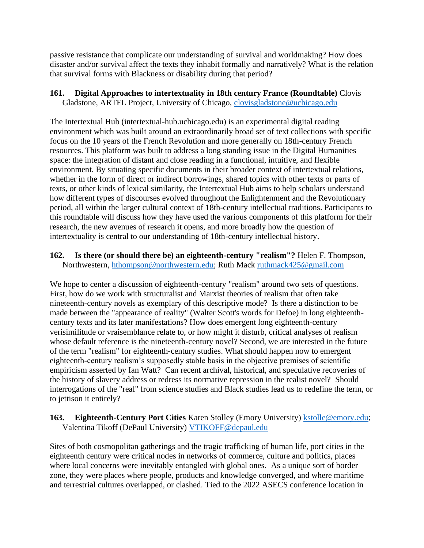passive resistance that complicate our understanding of survival and worldmaking? How does disaster and/or survival affect the texts they inhabit formally and narratively? What is the relation that survival forms with Blackness or disability during that period?

**161. Digital Approaches to intertextuality in 18th century France (Roundtable)** Clovis Gladstone, ARTFL Project, University of Chicago, [clovisgladstone@uchicago.edu](mailto:clovisgladstone@uchicago.edu)

The Intertextual Hub (intertextual-hub.uchicago.edu) is an experimental digital reading environment which was built around an extraordinarily broad set of text collections with specific focus on the 10 years of the French Revolution and more generally on 18th-century French resources. This platform was built to address a long standing issue in the Digital Humanities space: the integration of distant and close reading in a functional, intuitive, and flexible environment. By situating specific documents in their broader context of intertextual relations, whether in the form of direct or indirect borrowings, shared topics with other texts or parts of texts, or other kinds of lexical similarity, the Intertextual Hub aims to help scholars understand how different types of discourses evolved throughout the Enlightenment and the Revolutionary period, all within the larger cultural context of 18th-century intellectual traditions. Participants to this roundtable will discuss how they have used the various components of this platform for their research, the new avenues of research it opens, and more broadly how the question of intertextuality is central to our understanding of 18th-century intellectual history.

**162. Is there (or should there be) an eighteenth-century "realism"?** Helen F. Thompson, Northwestern, [hthompson@northwestern.edu;](mailto:hthompson@northwestern.edu) Ruth Mack [ruthmack425@gmail.com](mailto:ruthmack425@gmail.com)

We hope to center a discussion of eighteenth-century "realism" around two sets of questions. First, how do we work with structuralist and Marxist theories of realism that often take nineteenth-century novels as exemplary of this descriptive mode? Is there a distinction to be made between the "appearance of reality" (Walter Scott's words for Defoe) in long eighteenthcentury texts and its later manifestations? How does emergent long eighteenth-century verisimilitude or vraisemblance relate to, or how might it disturb, critical analyses of realism whose default reference is the nineteenth-century novel? Second, we are interested in the future of the term "realism" for eighteenth-century studies. What should happen now to emergent eighteenth-century realism's supposedly stable basis in the objective premises of scientific empiricism asserted by Ian Watt? Can recent archival, historical, and speculative recoveries of the history of slavery address or redress its normative repression in the realist novel? Should interrogations of the "real" from science studies and Black studies lead us to redefine the term, or to jettison it entirely?

#### 163. **Eighteenth-Century Port Cities** Karen Stolley (Emory University) **kstolle@emory.edu**; Valentina Tikoff (DePaul University) [VTIKOFF@depaul.edu](mailto:VTIKOFF@depaul.edu)

Sites of both cosmopolitan gatherings and the tragic trafficking of human life, port cities in the eighteenth century were critical nodes in networks of commerce, culture and politics, places where local concerns were inevitably entangled with global ones. As a unique sort of border zone, they were places where people, products and knowledge converged, and where maritime and terrestrial cultures overlapped, or clashed. Tied to the 2022 ASECS conference location in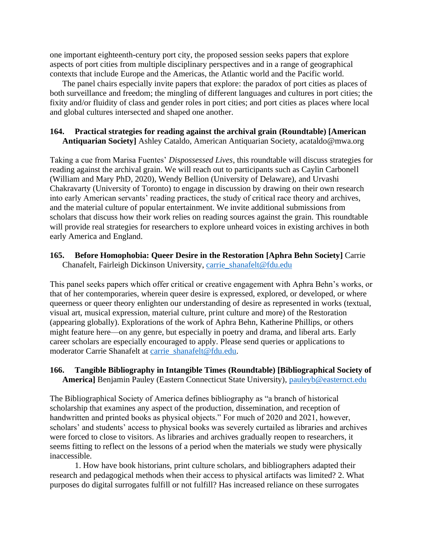one important eighteenth-century port city, the proposed session seeks papers that explore aspects of port cities from multiple disciplinary perspectives and in a range of geographical contexts that include Europe and the Americas, the Atlantic world and the Pacific world.

The panel chairs especially invite papers that explore: the paradox of port cities as places of both surveillance and freedom; the mingling of different languages and cultures in port cities; the fixity and/or fluidity of class and gender roles in port cities; and port cities as places where local and global cultures intersected and shaped one another.

## **164. Practical strategies for reading against the archival grain (Roundtable) [American Antiquarian Society]** Ashley Cataldo, American Antiquarian Society, acataldo@mwa.org

Taking a cue from Marisa Fuentes' *Dispossessed Lives*, this roundtable will discuss strategies for reading against the archival grain. We will reach out to participants such as Caylin Carbonell (William and Mary PhD, 2020), Wendy Bellion (University of Delaware), and Urvashi Chakravarty (University of Toronto) to engage in discussion by drawing on their own research into early American servants' reading practices, the study of critical race theory and archives, and the material culture of popular entertainment. We invite additional submissions from scholars that discuss how their work relies on reading sources against the grain. This roundtable will provide real strategies for researchers to explore unheard voices in existing archives in both early America and England.

## **165. Before Homophobia: Queer Desire in the Restoration [Aphra Behn Society]** Carrie Chanafelt, Fairleigh Dickinson University, [carrie\\_shanafelt@fdu.edu](mailto:carrie_shanafelt@fdu.edu)

This panel seeks papers which offer critical or creative engagement with Aphra Behn's works, or that of her contemporaries, wherein queer desire is expressed, explored, or developed, or where queerness or queer theory enlighten our understanding of desire as represented in works (textual, visual art, musical expression, material culture, print culture and more) of the Restoration (appearing globally). Explorations of the work of Aphra Behn, Katherine Phillips, or others might feature here—on any genre, but especially in poetry and drama, and liberal arts. Early career scholars are especially encouraged to apply. Please send queries or applications to moderator Carrie Shanafelt at [carrie\\_shanafelt@fdu.edu.](mailto:carrie_shanafelt@fdu.edu)

## **166. Tangible Bibliography in Intangible Times (Roundtable) [Bibliographical Society of America]** Benjamin Pauley (Eastern Connecticut State University), [pauleyb@easternct.edu](mailto:pauleyb@easternct.edu)

The Bibliographical Society of America defines bibliography as "a branch of historical scholarship that examines any aspect of the production, dissemination, and reception of handwritten and printed books as physical objects." For much of 2020 and 2021, however, scholars' and students' access to physical books was severely curtailed as libraries and archives were forced to close to visitors. As libraries and archives gradually reopen to researchers, it seems fitting to reflect on the lessons of a period when the materials we study were physically inaccessible.

1. How have book historians, print culture scholars, and bibliographers adapted their research and pedagogical methods when their access to physical artifacts was limited? 2. What purposes do digital surrogates fulfill or not fulfill? Has increased reliance on these surrogates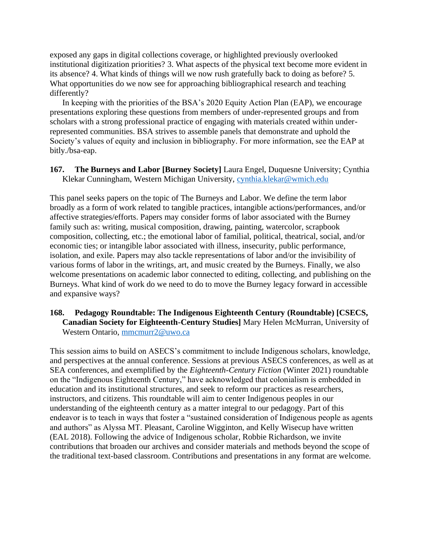exposed any gaps in digital collections coverage, or highlighted previously overlooked institutional digitization priorities? 3. What aspects of the physical text become more evident in its absence? 4. What kinds of things will we now rush gratefully back to doing as before? 5. What opportunities do we now see for approaching bibliographical research and teaching differently?

In keeping with the priorities of the BSA's 2020 Equity Action Plan (EAP), we encourage presentations exploring these questions from members of under-represented groups and from scholars with a strong professional practice of engaging with materials created within underrepresented communities. BSA strives to assemble panels that demonstrate and uphold the Society's values of equity and inclusion in bibliography. For more information, see the EAP at bitly./bsa-eap.

**167. The Burneys and Labor [Burney Society]** Laura Engel, Duquesne University; Cynthia Klekar Cunningham, Western Michigan University, [cynthia.klekar@wmich.edu](mailto:cynthia.klekar@wmich.edu)

This panel seeks papers on the topic of The Burneys and Labor. We define the term labor broadly as a form of work related to tangible practices, intangible actions/performances, and/or affective strategies/efforts. Papers may consider forms of labor associated with the Burney family such as: writing, musical composition, drawing, painting, watercolor, scrapbook composition, collecting, etc.; the emotional labor of familial, political, theatrical, social, and/or economic ties; or intangible labor associated with illness, insecurity, public performance, isolation, and exile. Papers may also tackle representations of labor and/or the invisibility of various forms of labor in the writings, art, and music created by the Burneys. Finally, we also welcome presentations on academic labor connected to editing, collecting, and publishing on the Burneys. What kind of work do we need to do to move the Burney legacy forward in accessible and expansive ways?

#### **168. Pedagogy Roundtable: The Indigenous Eighteenth Century (Roundtable) [CSECS, Canadian Society for Eighteenth-Century Studies]** Mary Helen McMurran, University of Western Ontario, [mmcmurr2@uwo.ca](mailto:mmcmurr2@uwo.ca)

This session aims to build on ASECS's commitment to include Indigenous scholars, knowledge, and perspectives at the annual conference. Sessions at previous ASECS conferences, as well as at SEA conferences, and exemplified by the *Eighteenth-Century Fiction* (Winter 2021) roundtable on the "Indigenous Eighteenth Century," have acknowledged that colonialism is embedded in education and its institutional structures, and seek to reform our practices as researchers, instructors, and citizens. This roundtable will aim to center Indigenous peoples in our understanding of the eighteenth century as a matter integral to our pedagogy. Part of this endeavor is to teach in ways that foster a "sustained consideration of Indigenous people as agents and authors" as Alyssa MT. Pleasant, Caroline Wigginton, and Kelly Wisecup have written (EAL 2018). Following the advice of Indigenous scholar, Robbie Richardson, we invite contributions that broaden our archives and consider materials and methods beyond the scope of the traditional text-based classroom. Contributions and presentations in any format are welcome.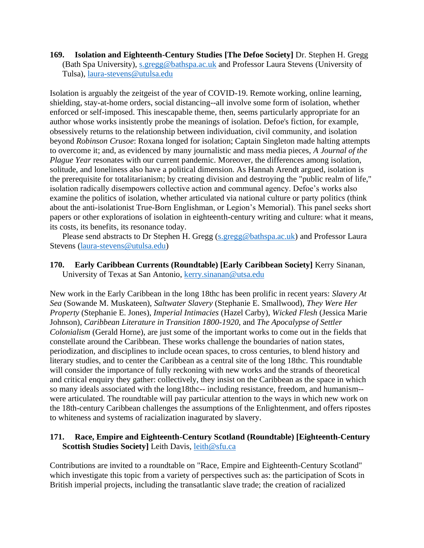**169. Isolation and Eighteenth-Century Studies [The Defoe Society]** Dr. Stephen H. Gregg (Bath Spa University), [s.gregg@bathspa.ac.uk](mailto:s.gregg@bathspa.ac.uk) and Professor Laura Stevens (University of Tulsa), [laura-stevens@utulsa.edu](mailto:laura-stevens@utulsa.edu)

Isolation is arguably the zeitgeist of the year of COVID-19. Remote working, online learning, shielding, stay-at-home orders, social distancing--all involve some form of isolation, whether enforced or self-imposed. This inescapable theme, then, seems particularly appropriate for an author whose works insistently probe the meanings of isolation. Defoe's fiction, for example, obsessively returns to the relationship between individuation, civil community, and isolation beyond *Robinson Crusoe*: Roxana longed for isolation; Captain Singleton made halting attempts to overcome it; and, as evidenced by many journalistic and mass media pieces, *A Journal of the Plague Year* resonates with our current pandemic. Moreover, the differences among isolation, solitude, and loneliness also have a political dimension. As Hannah Arendt argued, isolation is the prerequisite for totalitarianism; by creating division and destroying the "public realm of life," isolation radically disempowers collective action and communal agency. Defoe's works also examine the politics of isolation, whether articulated via national culture or party politics (think about the anti-isolationist True-Born Englishman, or Legion's Memorial). This panel seeks short papers or other explorations of isolation in eighteenth-century writing and culture: what it means, its costs, its benefits, its resonance today.

Please send abstracts to Dr Stephen H. Gregg [\(s.gregg@bathspa.ac.uk\)](mailto:s.gregg@bathspa.ac.uk) and Professor Laura Stevens [\(laura-stevens@utulsa.edu\)](mailto:laura-stevens@utulsa.edu)

**170. Early Caribbean Currents (Roundtable) [Early Caribbean Society]** Kerry Sinanan, University of Texas at San Antonio, [kerry.sinanan@utsa.edu](mailto:kerry.sinanan@utsa.edu)

New work in the Early Caribbean in the long 18thc has been prolific in recent years: *Slavery At Sea* (Sowande M. Muskateen), *Saltwater Slavery* (Stephanie E. Smallwood), *They Were Her Property* (Stephanie E. Jones), *Imperial Intimacies* (Hazel Carby), *Wicked Flesh* (Jessica Marie Johnson), *Caribbean Literature in Transition 1800-1920*, and *The Apocalypse of Settler Colonialism* (Gerald Horne), are just some of the important works to come out in the fields that constellate around the Caribbean. These works challenge the boundaries of nation states, periodization, and disciplines to include ocean spaces, to cross centuries, to blend history and literary studies, and to center the Caribbean as a central site of the long 18thc. This roundtable will consider the importance of fully reckoning with new works and the strands of theoretical and critical enquiry they gather: collectively, they insist on the Caribbean as the space in which so many ideals associated with the long18thc-- including resistance, freedom, and humanism-were articulated. The roundtable will pay particular attention to the ways in which new work on the 18th-century Caribbean challenges the assumptions of the Enlightenment, and offers ripostes to whiteness and systems of racialization inagurated by slavery.

## **171. Race, Empire and Eighteenth-Century Scotland (Roundtable) [Eighteenth-Century Scottish Studies Society]** Leith Davis, [leith@sfu.ca](mailto:leith@sfu.ca)

Contributions are invited to a roundtable on "Race, Empire and Eighteenth-Century Scotland" which investigate this topic from a variety of perspectives such as: the participation of Scots in British imperial projects, including the transatlantic slave trade; the creation of racialized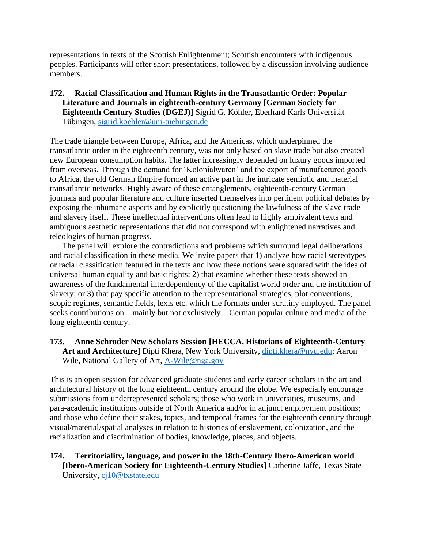representations in texts of the Scottish Enlightenment; Scottish encounters with indigenous peoples. Participants will offer short presentations, followed by a discussion involving audience members.

## **172. Racial Classification and Human Rights in the Transatlantic Order: Popular Literature and Journals in eighteenth-century Germany [German Society for Eighteenth Century Studies (DGEJ)]** Sigrid G. Köhler, Eberhard Karls Universität Tübingen, [sigrid.koehler@uni-tuebingen.de](mailto:sigrid.koehler@uni-tuebingen.de)

The trade triangle between Europe, Africa, and the Americas, which underpinned the transatlantic order in the eighteenth century, was not only based on slave trade but also created new European consumption habits. The latter increasingly depended on luxury goods imported from overseas. Through the demand for 'Kolonialwaren' and the export of manufactured goods to Africa, the old German Empire formed an active part in the intricate semiotic and material transatlantic networks. Highly aware of these entanglements, eighteenth-century German journals and popular literature and culture inserted themselves into pertinent political debates by exposing the inhumane aspects and by explicitly questioning the lawfulness of the slave trade and slavery itself. These intellectual interventions often lead to highly ambivalent texts and ambiguous aesthetic representations that did not correspond with enlightened narratives and teleologies of human progress.

The panel will explore the contradictions and problems which surround legal deliberations and racial classification in these media. We invite papers that 1) analyze how racial stereotypes or racial classification featured in the texts and how these notions were squared with the idea of universal human equality and basic rights; 2) that examine whether these texts showed an awareness of the fundamental interdependency of the capitalist world order and the institution of slavery; or 3) that pay specific attention to the representational strategies, plot conventions, scopic regimes, semantic fields, lexis etc. which the formats under scrutiny employed. The panel seeks contributions on – mainly but not exclusively – German popular culture and media of the long eighteenth century.

## **173. Anne Schroder New Scholars Session [HECCA, Historians of Eighteenth-Century Art and Architecture]** Dipti Khera, New York University, [dipti.khera@nyu.edu;](mailto:dipti.khera@nyu.edu) Aaron Wile, National Gallery of Art, [A-Wile@nga.gov](mailto:A-Wile@nga.gov)

This is an open session for advanced graduate students and early career scholars in the art and architectural history of the long eighteenth century around the globe. We especially encourage submissions from underrepresented scholars; those who work in universities, museums, and para-academic institutions outside of North America and/or in adjunct employment positions; and those who define their stakes, topics, and temporal frames for the eighteenth century through visual/material/spatial analyses in relation to histories of enslavement, colonization, and the racialization and discrimination of bodies, knowledge, places, and objects.

#### **174. Territoriality, language, and power in the 18th-Century Ibero-American world [Ibero-American Society for Eighteenth-Century Studies]** Catherine Jaffe, Texas State University, [cj10@txstate.edu](mailto:cj10@txstate.edu)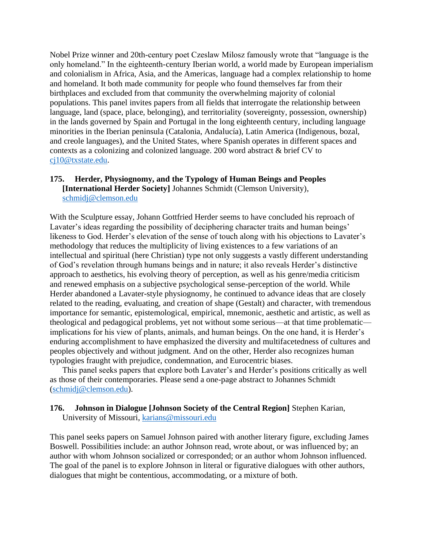Nobel Prize winner and 20th-century poet Czeslaw Milosz famously wrote that "language is the only homeland." In the eighteenth-century Iberian world, a world made by European imperialism and colonialism in Africa, Asia, and the Americas, language had a complex relationship to home and homeland. It both made community for people who found themselves far from their birthplaces and excluded from that community the overwhelming majority of colonial populations. This panel invites papers from all fields that interrogate the relationship between language, land (space, place, belonging), and territoriality (sovereignty, possession, ownership) in the lands governed by Spain and Portugal in the long eighteenth century, including language minorities in the Iberian peninsula (Catalonia, Andalucía), Latin America (Indigenous, bozal, and creole languages), and the United States, where Spanish operates in different spaces and contexts as a colonizing and colonized language. 200 word abstract & brief CV to [cj10@txstate.edu.](mailto:cj10@txstate.edu)

#### **175. Herder, Physiognomy, and the Typology of Human Beings and Peoples [International Herder Society]** Johannes Schmidt (Clemson University), [schmidj@clemson.edu](mailto:schmidj@clemson.edu)

With the Sculpture essay, Johann Gottfried Herder seems to have concluded his reproach of Lavater's ideas regarding the possibility of deciphering character traits and human beings' likeness to God. Herder's elevation of the sense of touch along with his objections to Lavater's methodology that reduces the multiplicity of living existences to a few variations of an intellectual and spiritual (here Christian) type not only suggests a vastly different understanding of God's revelation through humans beings and in nature; it also reveals Herder's distinctive approach to aesthetics, his evolving theory of perception, as well as his genre/media criticism and renewed emphasis on a subjective psychological sense-perception of the world. While Herder abandoned a Lavater-style physiognomy, he continued to advance ideas that are closely related to the reading, evaluating, and creation of shape (Gestalt) and character, with tremendous importance for semantic, epistemological, empirical, mnemonic, aesthetic and artistic, as well as theological and pedagogical problems, yet not without some serious—at that time problematic implications for his view of plants, animals, and human beings. On the one hand, it is Herder's enduring accomplishment to have emphasized the diversity and multifacetedness of cultures and peoples objectively and without judgment. And on the other, Herder also recognizes human typologies fraught with prejudice, condemnation, and Eurocentric biases.

This panel seeks papers that explore both Lavater's and Herder's positions critically as well as those of their contemporaries. Please send a one-page abstract to Johannes Schmidt [\(schmidj@clemson.edu\)](mailto:schmidj@clemson.edu).

#### **176. Johnson in Dialogue [Johnson Society of the Central Region]** Stephen Karian, University of Missouri, [karians@missouri.edu](mailto:karians@missouri.edu)

This panel seeks papers on Samuel Johnson paired with another literary figure, excluding James Boswell. Possibilities include: an author Johnson read, wrote about, or was influenced by; an author with whom Johnson socialized or corresponded; or an author whom Johnson influenced. The goal of the panel is to explore Johnson in literal or figurative dialogues with other authors, dialogues that might be contentious, accommodating, or a mixture of both.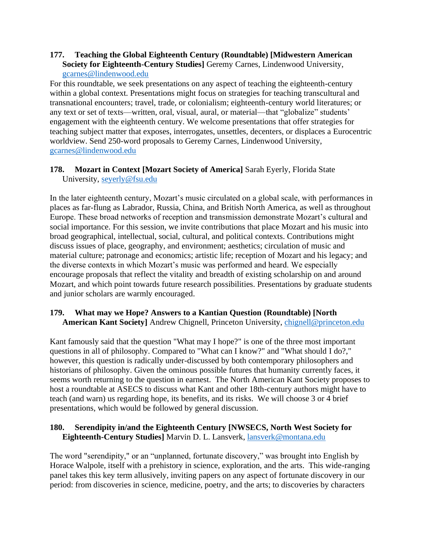#### **177. Teaching the Global Eighteenth Century (Roundtable) [Midwestern American Society for Eighteenth-Century Studies]** Geremy Carnes, Lindenwood University, [gcarnes@lindenwood.edu](mailto:gcarnes@lindenwood.edu)

For this roundtable, we seek presentations on any aspect of teaching the eighteenth-century within a global context. Presentations might focus on strategies for teaching transcultural and transnational encounters; travel, trade, or colonialism; eighteenth-century world literatures; or any text or set of texts—written, oral, visual, aural, or material—that "globalize" students' engagement with the eighteenth century. We welcome presentations that offer strategies for teaching subject matter that exposes, interrogates, unsettles, decenters, or displaces a Eurocentric worldview. Send 250-word proposals to Geremy Carnes, Lindenwood University, [gcarnes@lindenwood.edu](mailto:gcarnes@lindenwood.edu)

## **178. Mozart in Context [Mozart Society of America]** Sarah Eyerly, Florida State University, [seyerly@fsu.edu](mailto:seyerly@fsu.edu)

In the later eighteenth century, Mozart's music circulated on a global scale, with performances in places as far-flung as Labrador, Russia, China, and British North America, as well as throughout Europe. These broad networks of reception and transmission demonstrate Mozart's cultural and social importance. For this session, we invite contributions that place Mozart and his music into broad geographical, intellectual, social, cultural, and political contexts. Contributions might discuss issues of place, geography, and environment; aesthetics; circulation of music and material culture; patronage and economics; artistic life; reception of Mozart and his legacy; and the diverse contexts in which Mozart's music was performed and heard. We especially encourage proposals that reflect the vitality and breadth of existing scholarship on and around Mozart, and which point towards future research possibilities. Presentations by graduate students and junior scholars are warmly encouraged.

#### **179. What may we Hope? Answers to a Kantian Question (Roundtable) [North American Kant Society]** Andrew Chignell, Princeton University, [chignell@princeton.edu](mailto:chignell@princeton.edu)

Kant famously said that the question "What may I hope?" is one of the three most important questions in all of philosophy. Compared to "What can I know?" and "What should I do?," however, this question is radically under-discussed by both contemporary philosophers and historians of philosophy. Given the ominous possible futures that humanity currently faces, it seems worth returning to the question in earnest. The North American Kant Society proposes to host a roundtable at ASECS to discuss what Kant and other 18th-century authors might have to teach (and warn) us regarding hope, its benefits, and its risks. We will choose 3 or 4 brief presentations, which would be followed by general discussion.

## **180. Serendipity in/and the Eighteenth Century [NWSECS, North West Society for Eighteenth-Century Studies]** Marvin D. L. Lansverk, [lansverk@montana.edu](mailto:lansverk@montana.edu)

The word "serendipity," or an "unplanned, fortunate discovery," was brought into English by Horace Walpole, itself with a prehistory in science, exploration, and the arts. This wide-ranging panel takes this key term allusively, inviting papers on any aspect of fortunate discovery in our period: from discoveries in science, medicine, poetry, and the arts; to discoveries by characters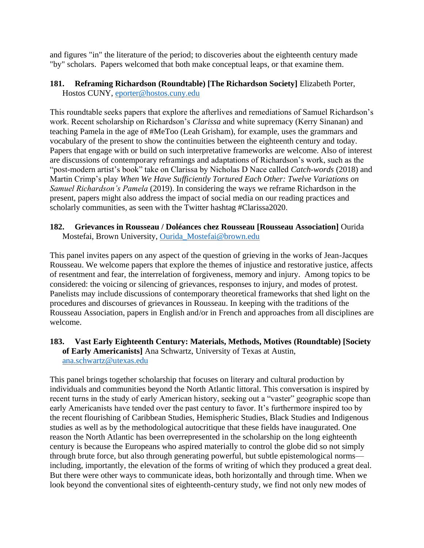and figures "in" the literature of the period; to discoveries about the eighteenth century made "by" scholars. Papers welcomed that both make conceptual leaps, or that examine them.

#### **181. Reframing Richardson (Roundtable) [The Richardson Society]** Elizabeth Porter, Hostos CUNY, [eporter@hostos.cuny.edu](mailto:eporter@hostos.cuny.edu)

This roundtable seeks papers that explore the afterlives and remediations of Samuel Richardson's work. Recent scholarship on Richardson's *Clarissa* and white supremacy (Kerry Sinanan) and teaching Pamela in the age of #MeToo (Leah Grisham), for example, uses the grammars and vocabulary of the present to show the continuities between the eighteenth century and today. Papers that engage with or build on such interpretative frameworks are welcome. Also of interest are discussions of contemporary reframings and adaptations of Richardson's work, such as the "post-modern artist's book" take on Clarissa by Nicholas D Nace called *Catch-words* (2018) and Martin Crimp's play *When We Have Sufficiently Tortured Each Other: Twelve Variations on Samuel Richardson's Pamela* (2019). In considering the ways we reframe Richardson in the present, papers might also address the impact of social media on our reading practices and scholarly communities, as seen with the Twitter hashtag #Clarissa2020.

### **182. Grievances in Rousseau / Doléances chez Rousseau [Rousseau Association]** Ourida Mostefai, Brown University, [Ourida\\_Mostefai@brown.edu](mailto:Ourida_Mostefai@brown.edu)

This panel invites papers on any aspect of the question of grieving in the works of Jean-Jacques Rousseau. We welcome papers that explore the themes of injustice and restorative justice, affects of resentment and fear, the interrelation of forgiveness, memory and injury. Among topics to be considered: the voicing or silencing of grievances, responses to injury, and modes of protest. Panelists may include discussions of contemporary theoretical frameworks that shed light on the procedures and discourses of grievances in Rousseau. In keeping with the traditions of the Rousseau Association, papers in English and/or in French and approaches from all disciplines are welcome.

#### **183. Vast Early Eighteenth Century: Materials, Methods, Motives (Roundtable) [Society of Early Americanists]** Ana Schwartz, University of Texas at Austin, [ana.schwartz@utexas.edu](mailto:ana.schwartz@utexas.edu)

This panel brings together scholarship that focuses on literary and cultural production by individuals and communities beyond the North Atlantic littoral. This conversation is inspired by recent turns in the study of early American history, seeking out a "vaster" geographic scope than early Americanists have tended over the past century to favor. It's furthermore inspired too by the recent flourishing of Caribbean Studies, Hemispheric Studies, Black Studies and Indigenous studies as well as by the methodological autocritique that these fields have inaugurated. One reason the North Atlantic has been overrepresented in the scholarship on the long eighteenth century is because the Europeans who aspired materially to control the globe did so not simply through brute force, but also through generating powerful, but subtle epistemological norms including, importantly, the elevation of the forms of writing of which they produced a great deal. But there were other ways to communicate ideas, both horizontally and through time. When we look beyond the conventional sites of eighteenth-century study, we find not only new modes of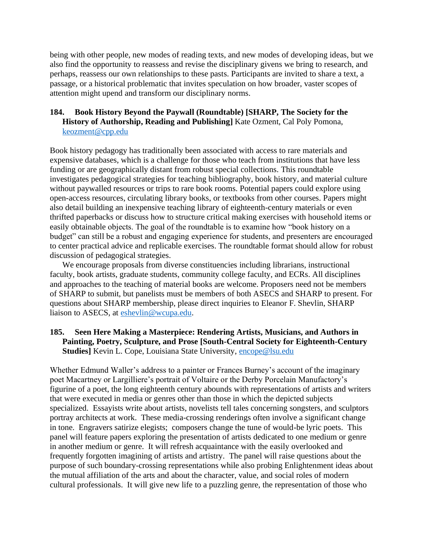being with other people, new modes of reading texts, and new modes of developing ideas, but we also find the opportunity to reassess and revise the disciplinary givens we bring to research, and perhaps, reassess our own relationships to these pasts. Participants are invited to share a text, a passage, or a historical problematic that invites speculation on how broader, vaster scopes of attention might upend and transform our disciplinary norms.

#### **184. Book History Beyond the Paywall (Roundtable) [SHARP, The Society for the History of Authorship, Reading and Publishing]** Kate Ozment, Cal Poly Pomona, [keozment@cpp.edu](mailto:keozment@cpp.edu)

Book history pedagogy has traditionally been associated with access to rare materials and expensive databases, which is a challenge for those who teach from institutions that have less funding or are geographically distant from robust special collections. This roundtable investigates pedagogical strategies for teaching bibliography, book history, and material culture without paywalled resources or trips to rare book rooms. Potential papers could explore using open-access resources, circulating library books, or textbooks from other courses. Papers might also detail building an inexpensive teaching library of eighteenth-century materials or even thrifted paperbacks or discuss how to structure critical making exercises with household items or easily obtainable objects. The goal of the roundtable is to examine how "book history on a budget" can still be a robust and engaging experience for students, and presenters are encouraged to center practical advice and replicable exercises. The roundtable format should allow for robust discussion of pedagogical strategies.

We encourage proposals from diverse constituencies including librarians, instructional faculty, book artists, graduate students, community college faculty, and ECRs. All disciplines and approaches to the teaching of material books are welcome. Proposers need not be members of SHARP to submit, but panelists must be members of both ASECS and SHARP to present. For questions about SHARP membership, please direct inquiries to Eleanor F. Shevlin, SHARP liaison to ASECS, at [eshevlin@wcupa.edu.](mailto:eshevlin@wcupa.edu)

# **185. Seen Here Making a Masterpiece: Rendering Artists, Musicians, and Authors in Painting, Poetry, Sculpture, and Prose [South-Central Society for Eighteenth-Century Studies**] Kevin L. Cope, Louisiana State University, [encope@lsu.edu](mailto:encope@lsu.edu)

Whether Edmund Waller's address to a painter or Frances Burney's account of the imaginary poet Macartney or Largilliere's portrait of Voltaire or the Derby Porcelain Manufactory's figurine of a poet, the long eighteenth century abounds with representations of artists and writers that were executed in media or genres other than those in which the depicted subjects specialized. Essayists write about artists, novelists tell tales concerning songsters, and sculptors portray architects at work. These media-crossing renderings often involve a significant change in tone. Engravers satirize elegists; composers change the tune of would-be lyric poets. This panel will feature papers exploring the presentation of artists dedicated to one medium or genre in another medium or genre. It will refresh acquaintance with the easily overlooked and frequently forgotten imagining of artists and artistry. The panel will raise questions about the purpose of such boundary-crossing representations while also probing Enlightenment ideas about the mutual affiliation of the arts and about the character, value, and social roles of modern cultural professionals. It will give new life to a puzzling genre, the representation of those who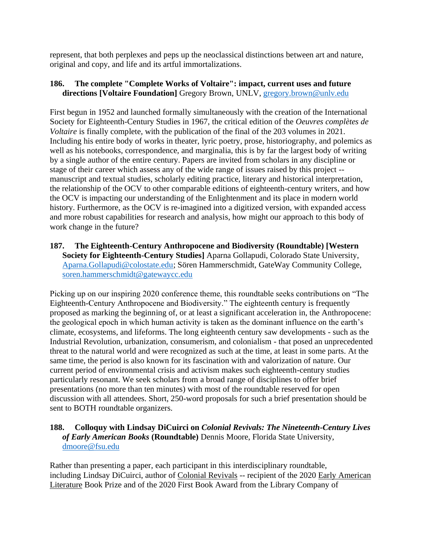represent, that both perplexes and peps up the neoclassical distinctions between art and nature, original and copy, and life and its artful immortalizations.

### **186. The complete "Complete Works of Voltaire": impact, current uses and future directions [Voltaire Foundation]** Gregory Brown, UNLV, [gregory.brown@unlv.edu](mailto:gregory.brown@unlv.edu)

First begun in 1952 and launched formally simultaneously with the creation of the International Society for Eighteenth-Century Studies in 1967, the critical edition of the *Oeuvres complètes de Voltaire* is finally complete, with the publication of the final of the 203 volumes in 2021. Including his entire body of works in theater, lyric poetry, prose, historiography, and polemics as well as his notebooks, correspondence, and marginalia, this is by far the largest body of writing by a single author of the entire century. Papers are invited from scholars in any discipline or stage of their career which assess any of the wide range of issues raised by this project - manuscript and textual studies, scholarly editing practice, literary and historical interpretation, the relationship of the OCV to other comparable editions of eighteenth-century writers, and how the OCV is impacting our understanding of the Enlightenment and its place in modern world history. Furthermore, as the OCV is re-imagined into a digitized version, with expanded access and more robust capabilities for research and analysis, how might our approach to this body of work change in the future?

**187. The Eighteenth-Century Anthropocene and Biodiversity (Roundtable) [Western Society for Eighteenth-Century Studies]** Aparna Gollapudi, Colorado State University, [Aparna.Gollapudi@colostate.edu;](mailto:Aparna.Gollapudi@colostate.edu) Sören Hammerschmidt, GateWay Community College, [soren.hammerschmidt@gatewaycc.edu](mailto:soren.hammerschmidt@gatewaycc.edu)

Picking up on our inspiring 2020 conference theme, this roundtable seeks contributions on "The Eighteenth-Century Anthropocene and Biodiversity." The eighteenth century is frequently proposed as marking the beginning of, or at least a significant acceleration in, the Anthropocene: the geological epoch in which human activity is taken as the dominant influence on the earth's climate, ecosystems, and lifeforms. The long eighteenth century saw developments - such as the Industrial Revolution, urbanization, consumerism, and colonialism - that posed an unprecedented threat to the natural world and were recognized as such at the time, at least in some parts. At the same time, the period is also known for its fascination with and valorization of nature. Our current period of environmental crisis and activism makes such eighteenth-century studies particularly resonant. We seek scholars from a broad range of disciplines to offer brief presentations (no more than ten minutes) with most of the roundtable reserved for open discussion with all attendees. Short, 250-word proposals for such a brief presentation should be sent to BOTH roundtable organizers.

# **188. Colloquy with Lindsay DiCuirci on** *Colonial Revivals: The Nineteenth-Century Lives of Early American Books* **(Roundtable)** Dennis Moore, Florida State University, [dmoore@fsu.edu](mailto:dmoore@fsu.edu)

Rather than presenting a paper, each participant in this interdisciplinary roundtable, including Lindsay DiCuirci, author of Colonial Revivals -- recipient of the 2020 Early American Literature Book Prize and of the 2020 First Book Award from the Library Company of